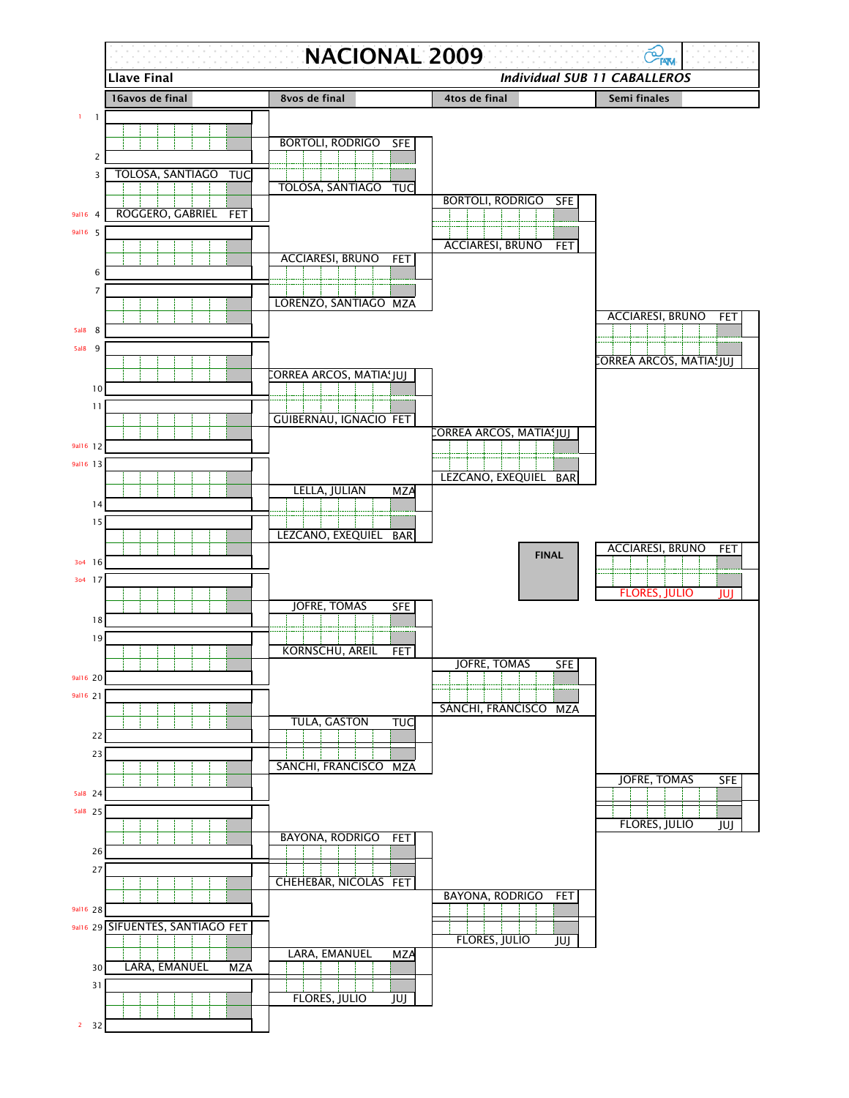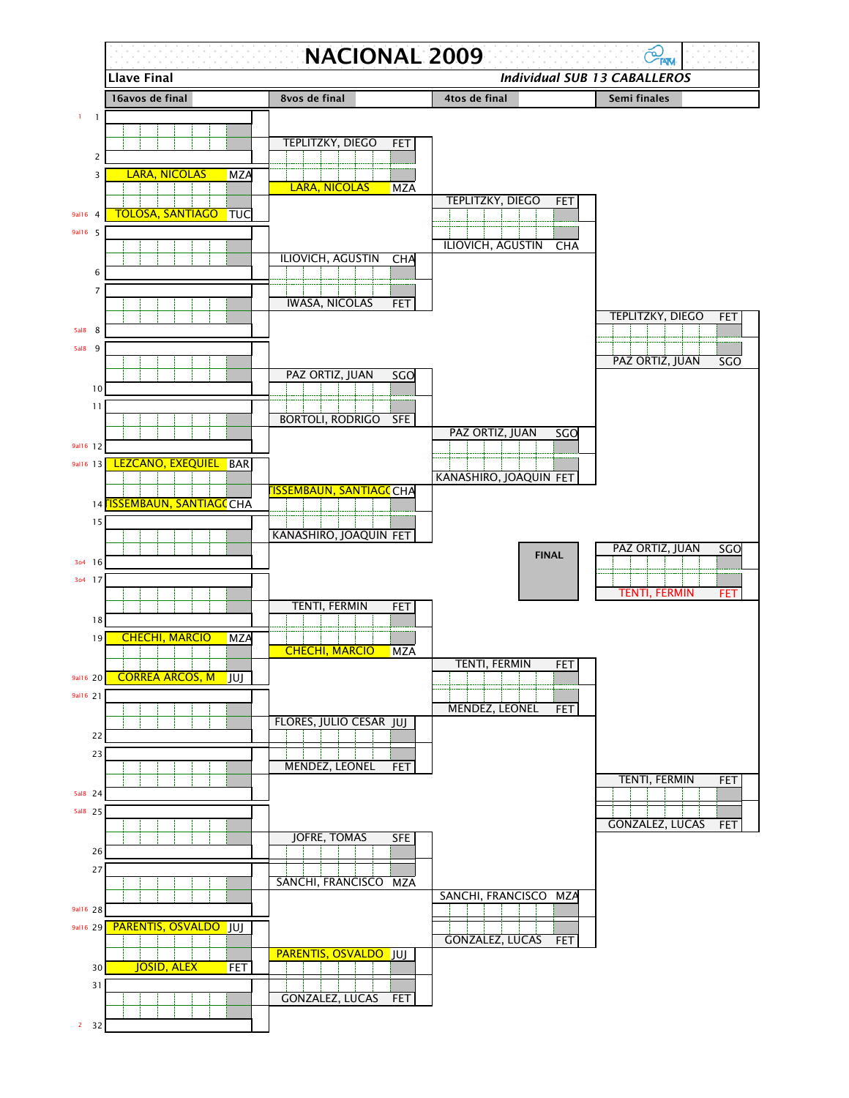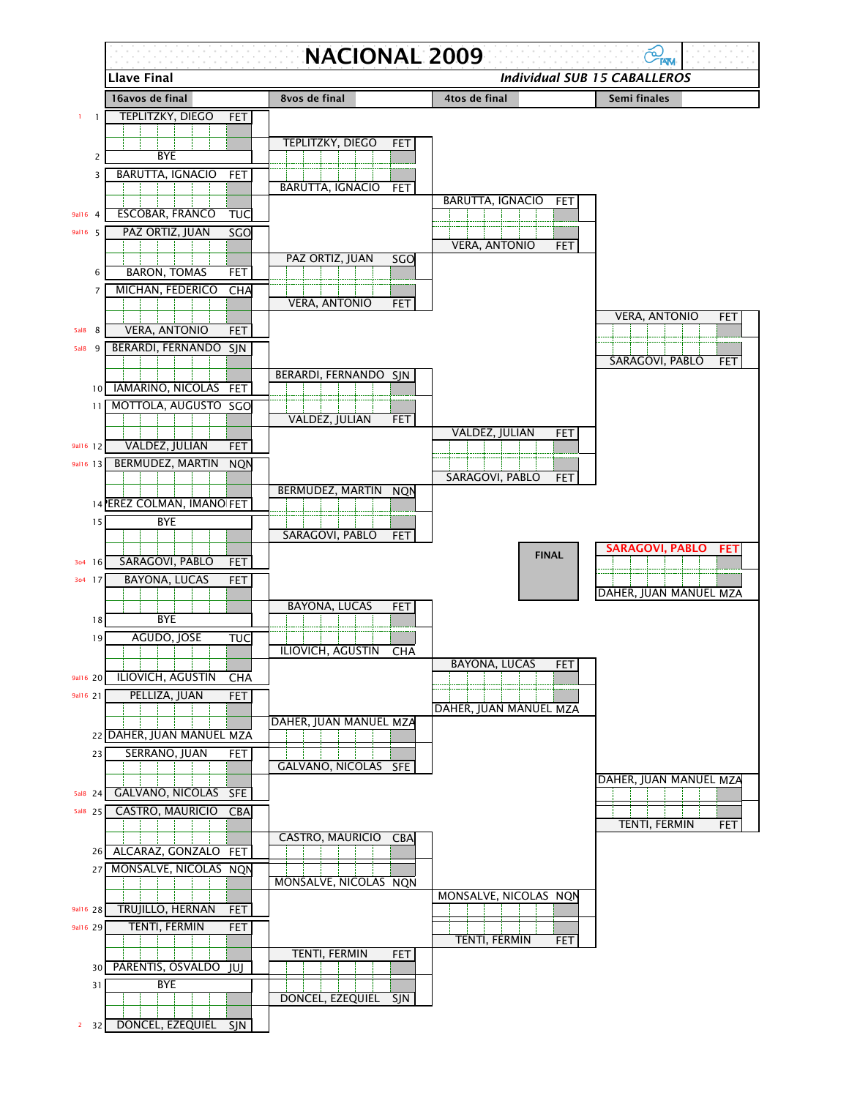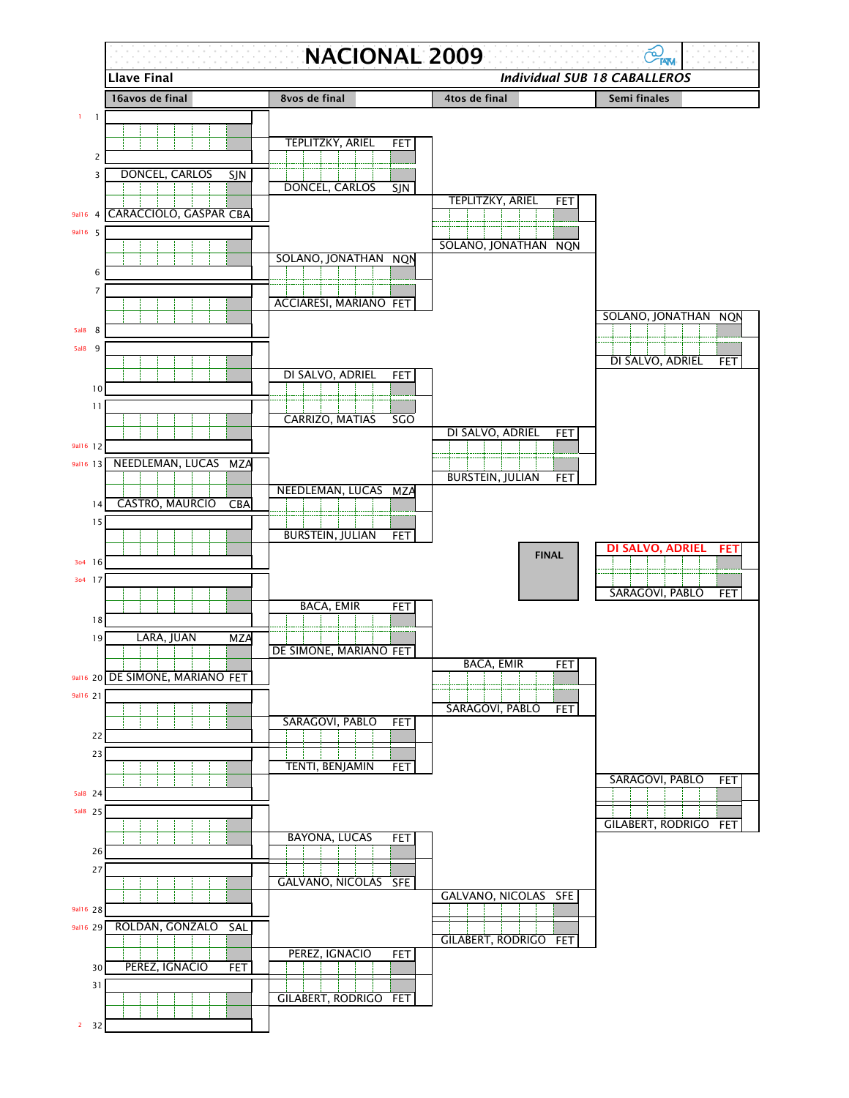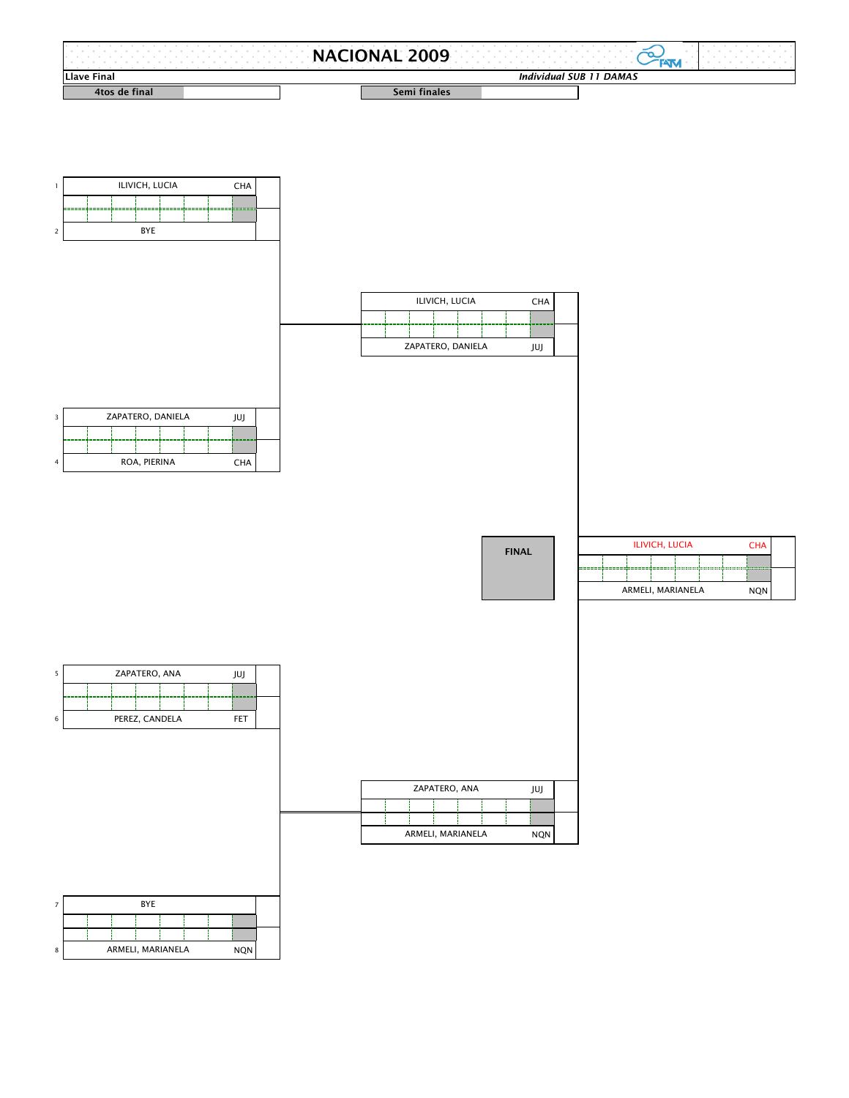|                    | 2009<br><b>NA</b> |              |
|--------------------|-------------------|--------------|
| <b>Llave Final</b> | Individual SUB    | <b>DAMAS</b> |
| 4tos de final      | Semi finales      |              |



|                   |  | <b>CHA</b> |  |  |  |     |  |
|-------------------|--|------------|--|--|--|-----|--|
|                   |  |            |  |  |  |     |  |
|                   |  |            |  |  |  |     |  |
| ZAPATERO, DANIELA |  |            |  |  |  | JUJ |  |
|                   |  |            |  |  |  |     |  |

| в | ZAPATERO, DANIELA<br>JUJ |  |  |  |  |  |  |            |  |
|---|--------------------------|--|--|--|--|--|--|------------|--|
|   |                          |  |  |  |  |  |  |            |  |
| 4 | ROA, PIERINA             |  |  |  |  |  |  | <b>CHA</b> |  |

|                   | <b>ILIVICH, LUCIA</b> |  |  |  |  |            |
|-------------------|-----------------------|--|--|--|--|------------|
|                   |                       |  |  |  |  |            |
|                   |                       |  |  |  |  |            |
| ARMELI, MARIANELA |                       |  |  |  |  | <b>NON</b> |





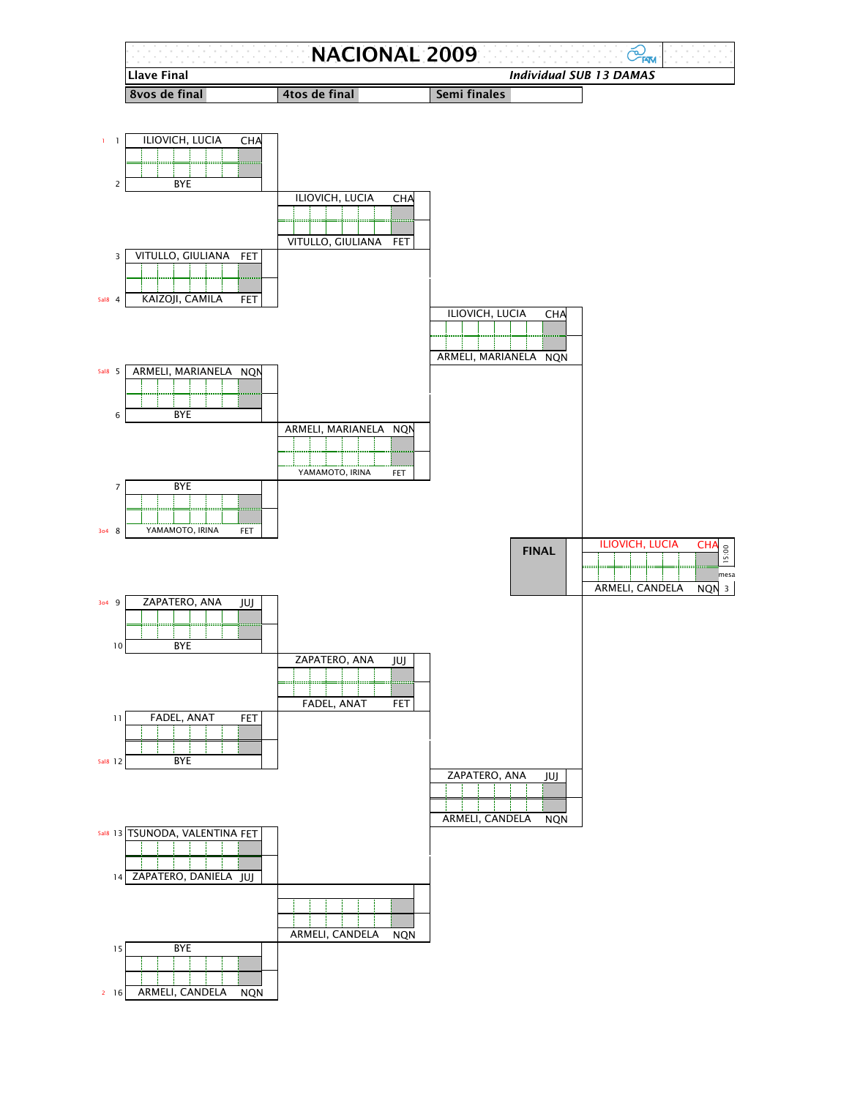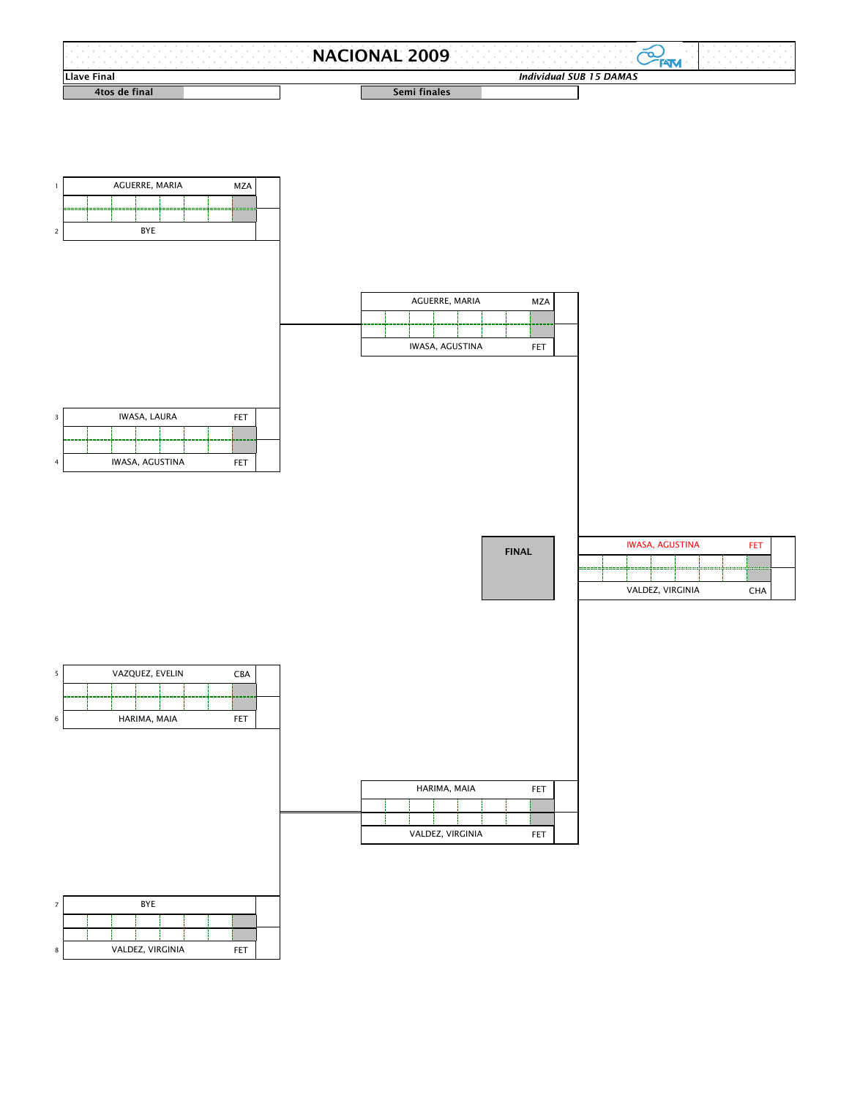|                    | 2009<br>NΑ      |                                |
|--------------------|-----------------|--------------------------------|
| <b>Llave Final</b> |                 | <b>Individual SUB 15 DAMAS</b> |
| final<br>4tos de   | Semi<br>tinales |                                |



| AGUERRE, MARIA  |  |  |  |  |  |     | <b>MZA</b> |  |
|-----------------|--|--|--|--|--|-----|------------|--|
|                 |  |  |  |  |  |     |            |  |
| IWASA, AGUSTINA |  |  |  |  |  | FET |            |  |

| IWASA, LAURA<br>FET           |  |  |  |  |  |  |  |  |
|-------------------------------|--|--|--|--|--|--|--|--|
|                               |  |  |  |  |  |  |  |  |
|                               |  |  |  |  |  |  |  |  |
| IWASA, AGUSTINA<br><b>FET</b> |  |  |  |  |  |  |  |  |

| FINAL |
|-------|
|       |

| <b>IWASA, AGUSTINA</b> |  | FET |  |  |  |  |  |
|------------------------|--|-----|--|--|--|--|--|
|                        |  |     |  |  |  |  |  |
| VALDEZ, VIRGINIA       |  |     |  |  |  |  |  |



| HARIMA, MAIA     | <b>FET</b> |  |
|------------------|------------|--|
|                  |            |  |
|                  |            |  |
| VALDEZ, VIRGINIA | FET        |  |

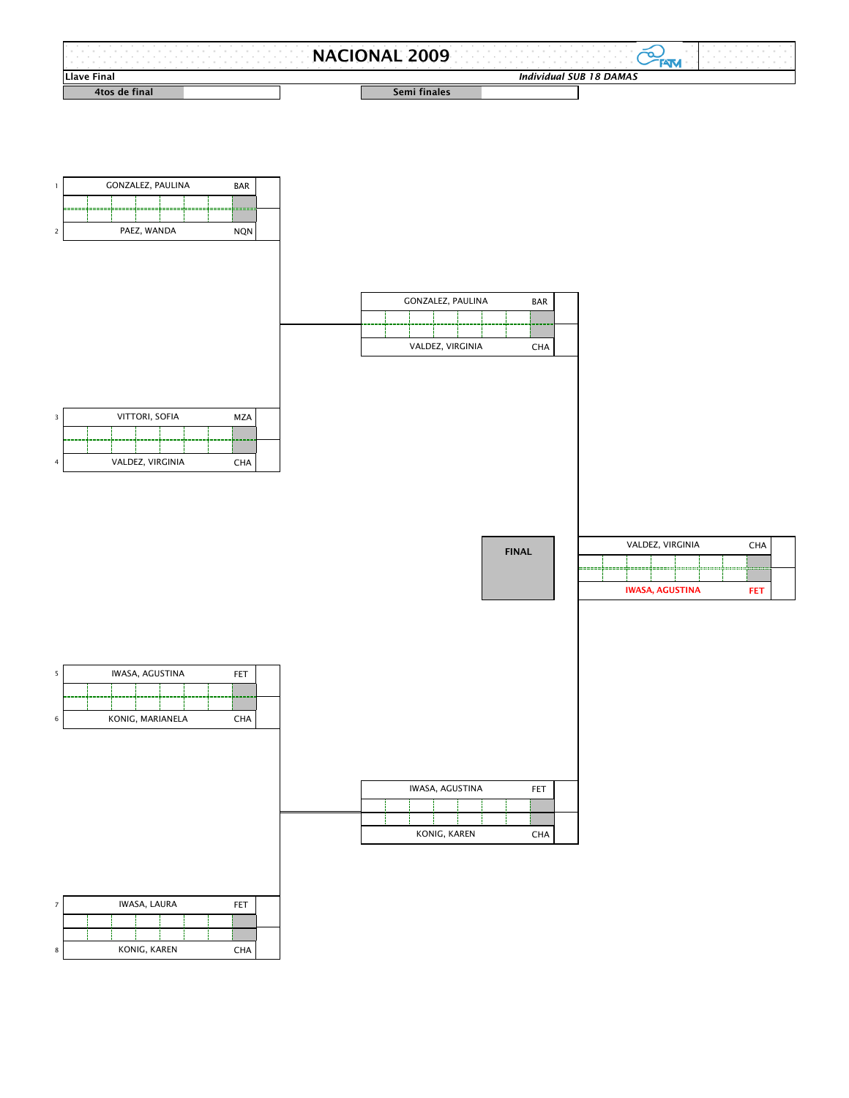|                    | ാററ<br>NΑ       |                                |
|--------------------|-----------------|--------------------------------|
| <b>Llave Final</b> |                 | <b>Individual SUB 18 DAMAS</b> |
| 4tos de final      | Semi<br>finales |                                |



|  |  | GONZALEZ, PAULINA |  | <b>BAR</b> |  |
|--|--|-------------------|--|------------|--|
|  |  |                   |  |            |  |
|  |  |                   |  |            |  |
|  |  | VALDEZ, VIRGINIA  |  | <b>CHA</b> |  |

| ₹              |                                |  |  | VITTORI, SOFIA |  |  |  | <b>MZA</b> |  |
|----------------|--------------------------------|--|--|----------------|--|--|--|------------|--|
|                |                                |  |  |                |  |  |  |            |  |
|                |                                |  |  |                |  |  |  |            |  |
| $\overline{a}$ | VALDEZ, VIRGINIA<br><b>CHA</b> |  |  |                |  |  |  |            |  |

**FINAL**

|  | VALDEZ, VIRGINIA       |  | <b>CHA</b> |  |
|--|------------------------|--|------------|--|
|  |                        |  |            |  |
|  | <b>IWASA, AGUSTINA</b> |  | FET        |  |



|  | IWASA, AGUSTINA |  | <b>FET</b> |  |
|--|-----------------|--|------------|--|
|  |                 |  |            |  |
|  |                 |  |            |  |
|  | KONIG, KAREN    |  | <b>CHA</b> |  |

|   | <b>IWASA, LAURA</b> | FET        |  |
|---|---------------------|------------|--|
|   |                     |            |  |
|   |                     |            |  |
| 8 | KONIG, KAREN        | <b>CHA</b> |  |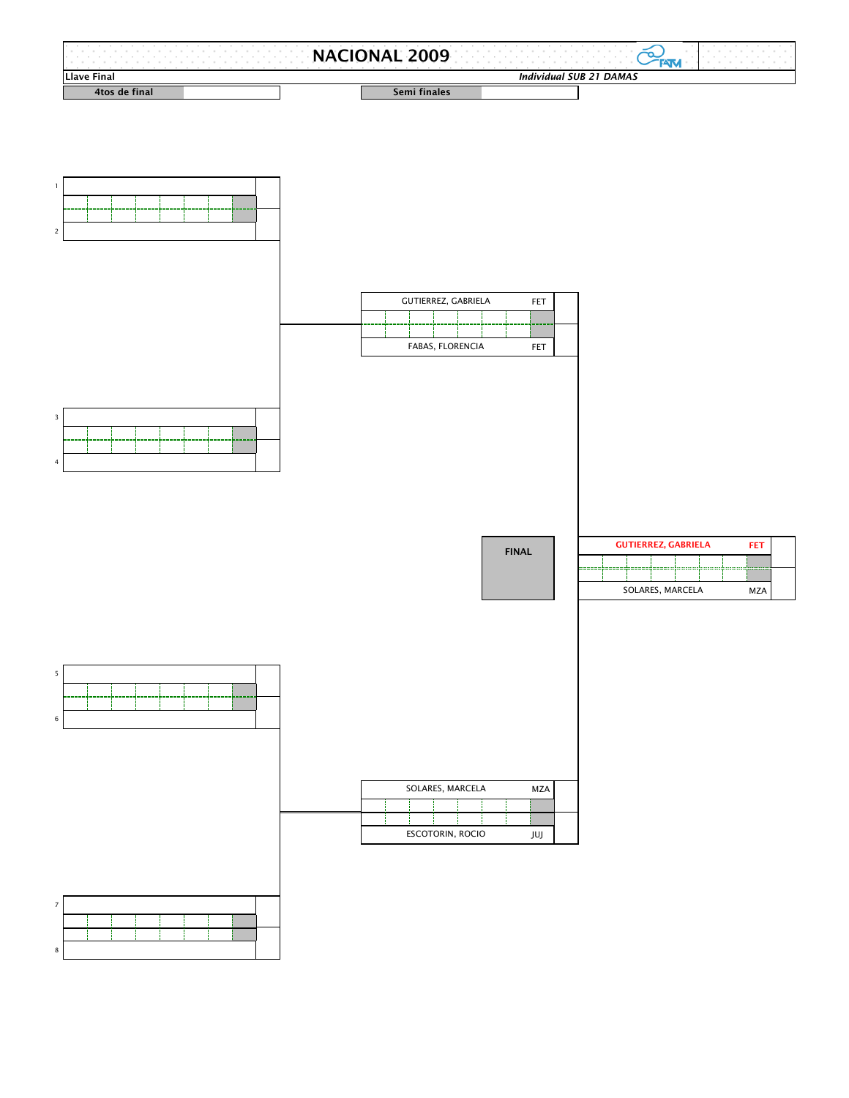

**FINAL**

| <b>GUTIERREZ, GABRIELA</b> |  |  | FET        |
|----------------------------|--|--|------------|
|                            |  |  |            |
|                            |  |  |            |
| SOLARES, MARCELA           |  |  | <b>MZA</b> |



| SOLARES, MARCELA        | <b>MZA</b> |  |
|-------------------------|------------|--|
|                         |            |  |
|                         |            |  |
| <b>ESCOTORIN, ROCIO</b> | JUJ        |  |



3

4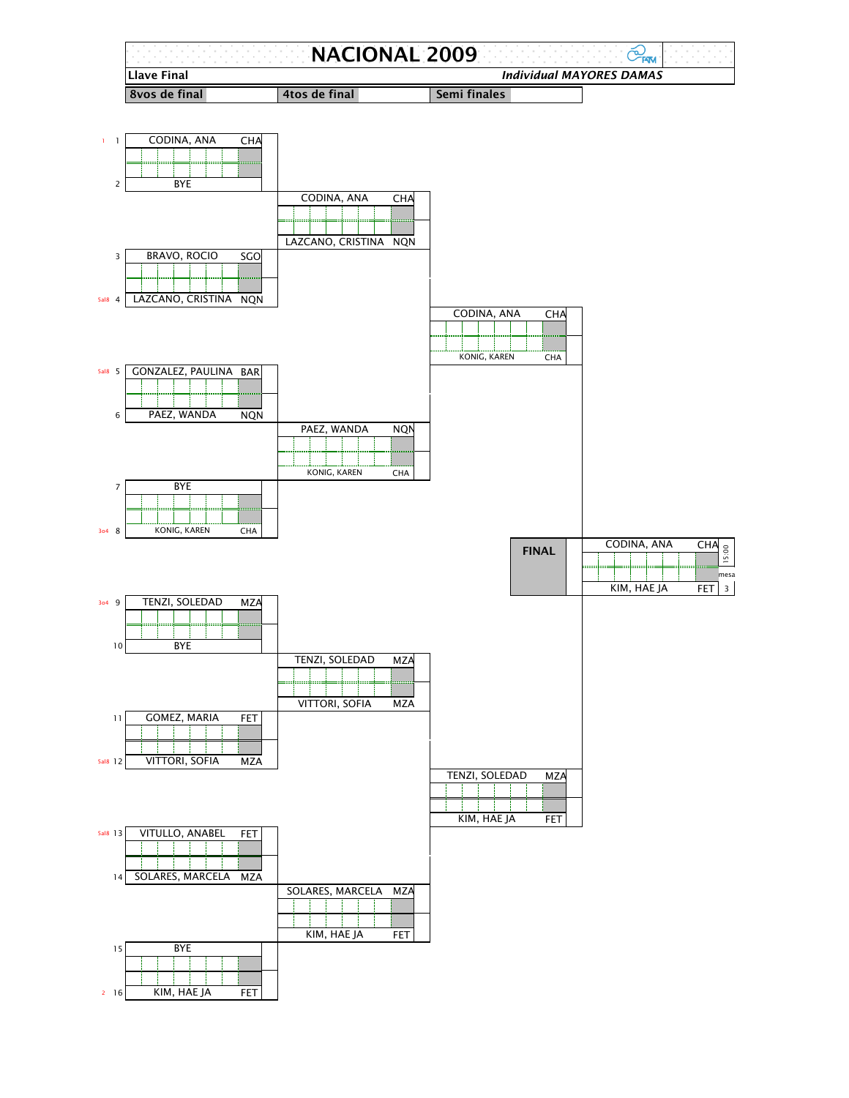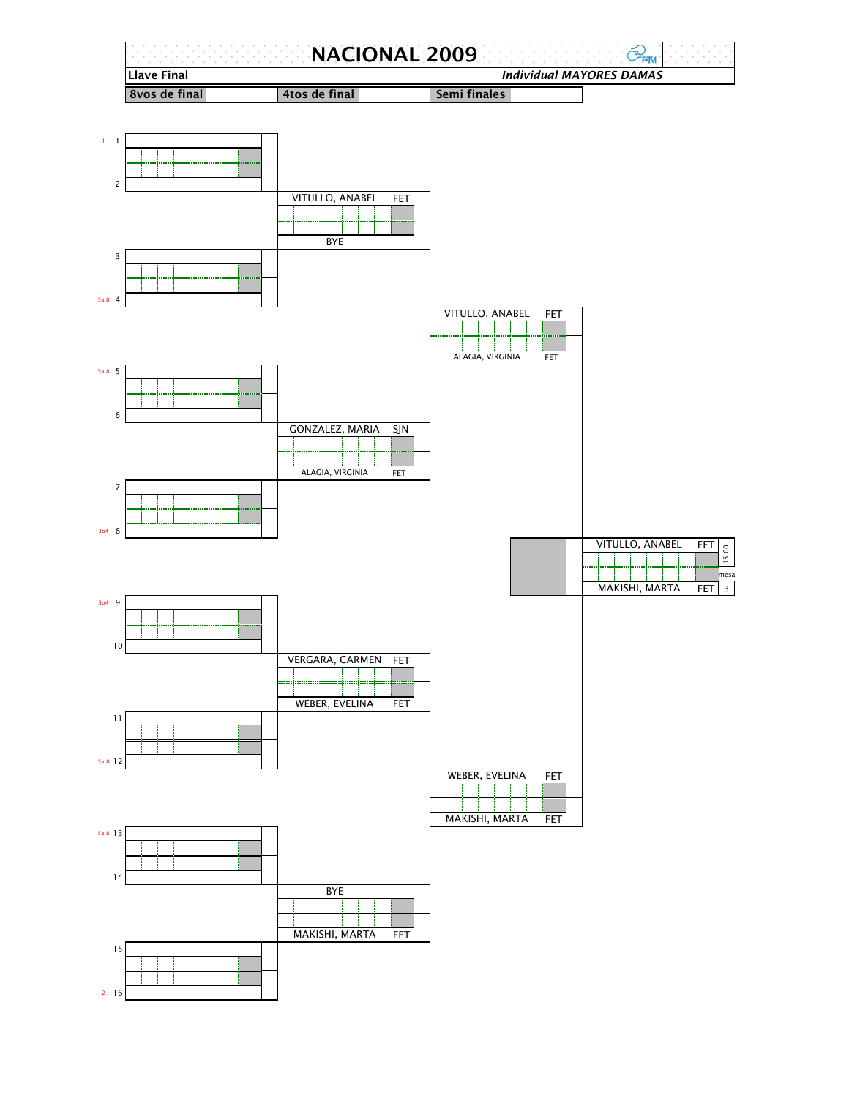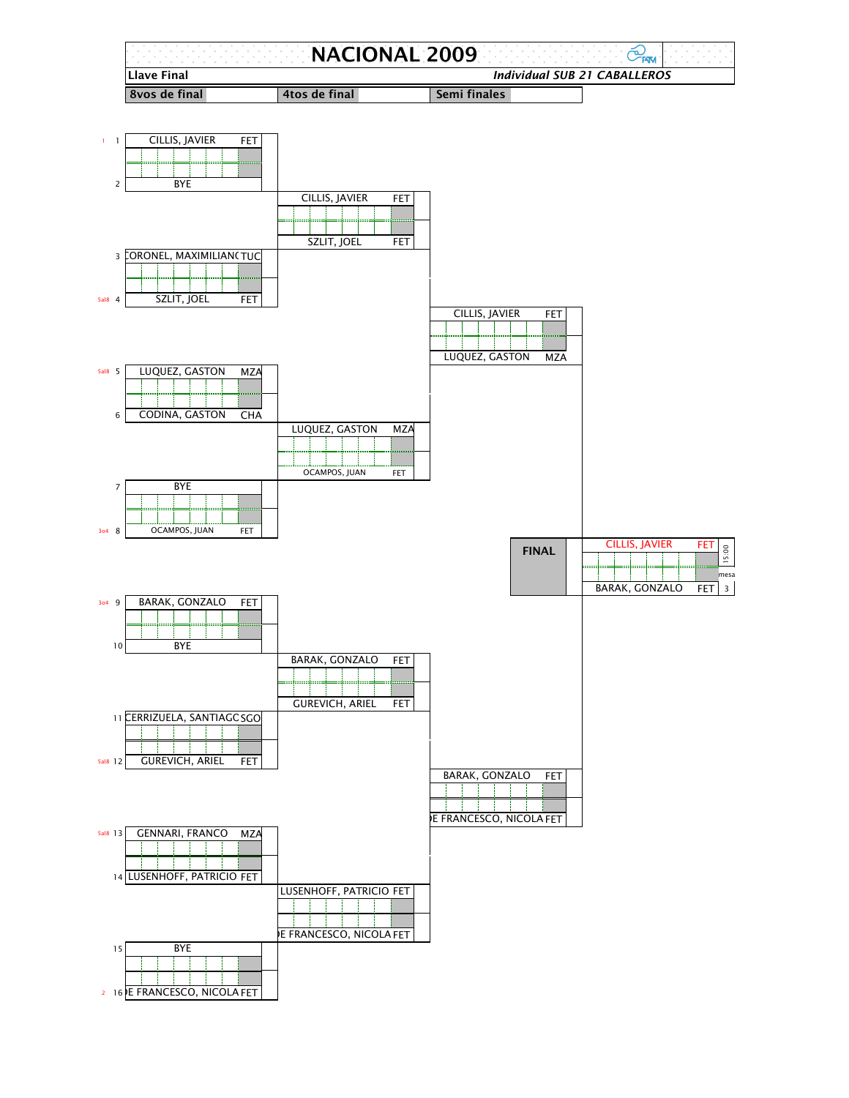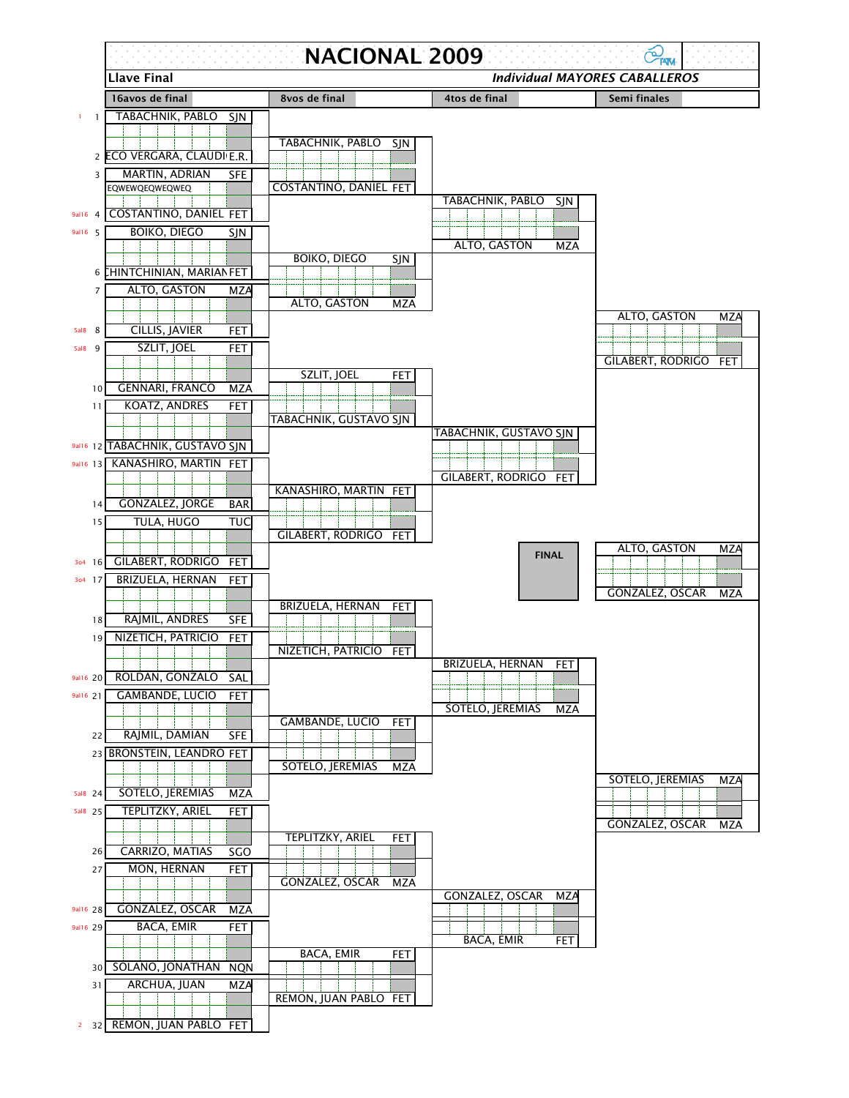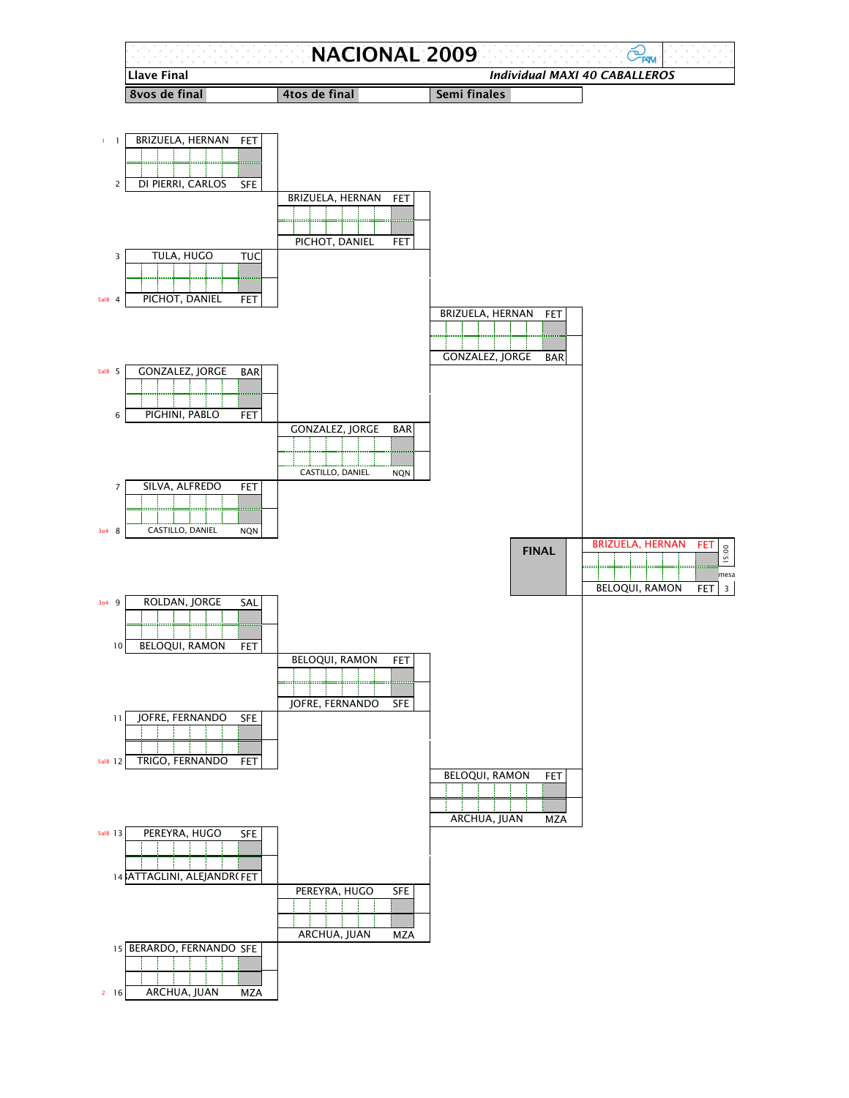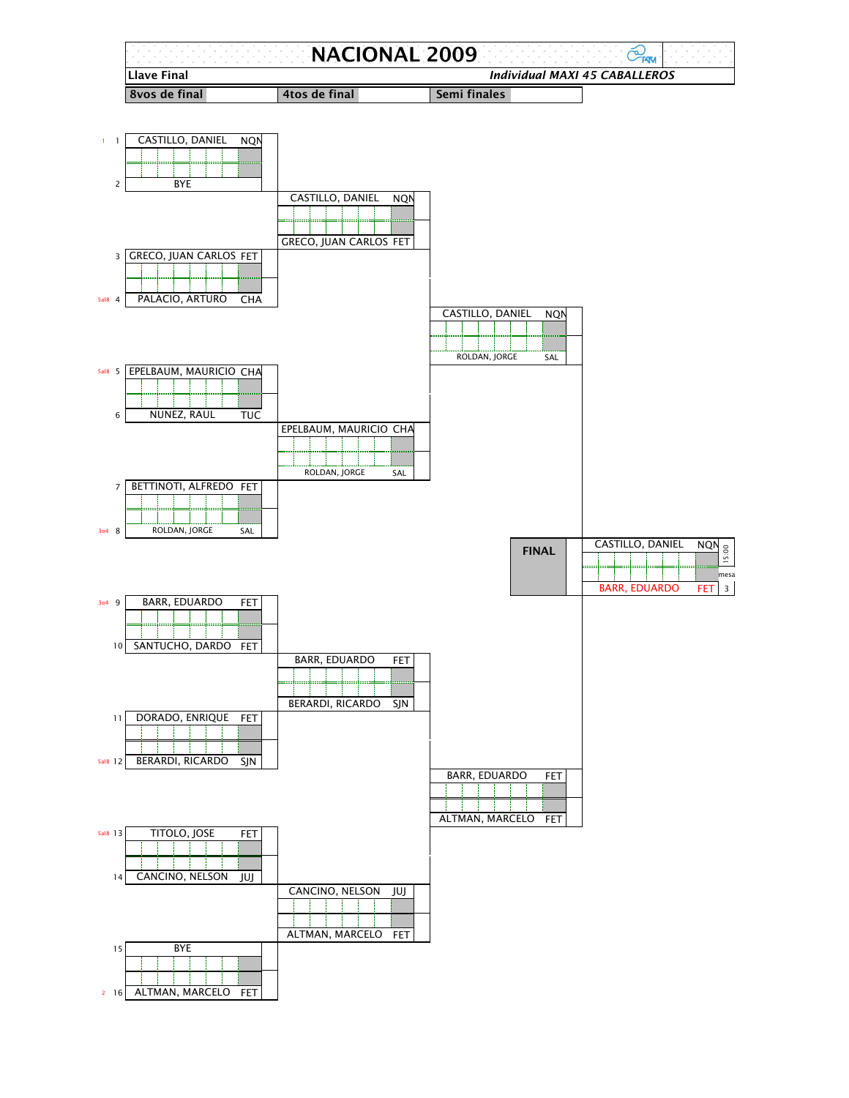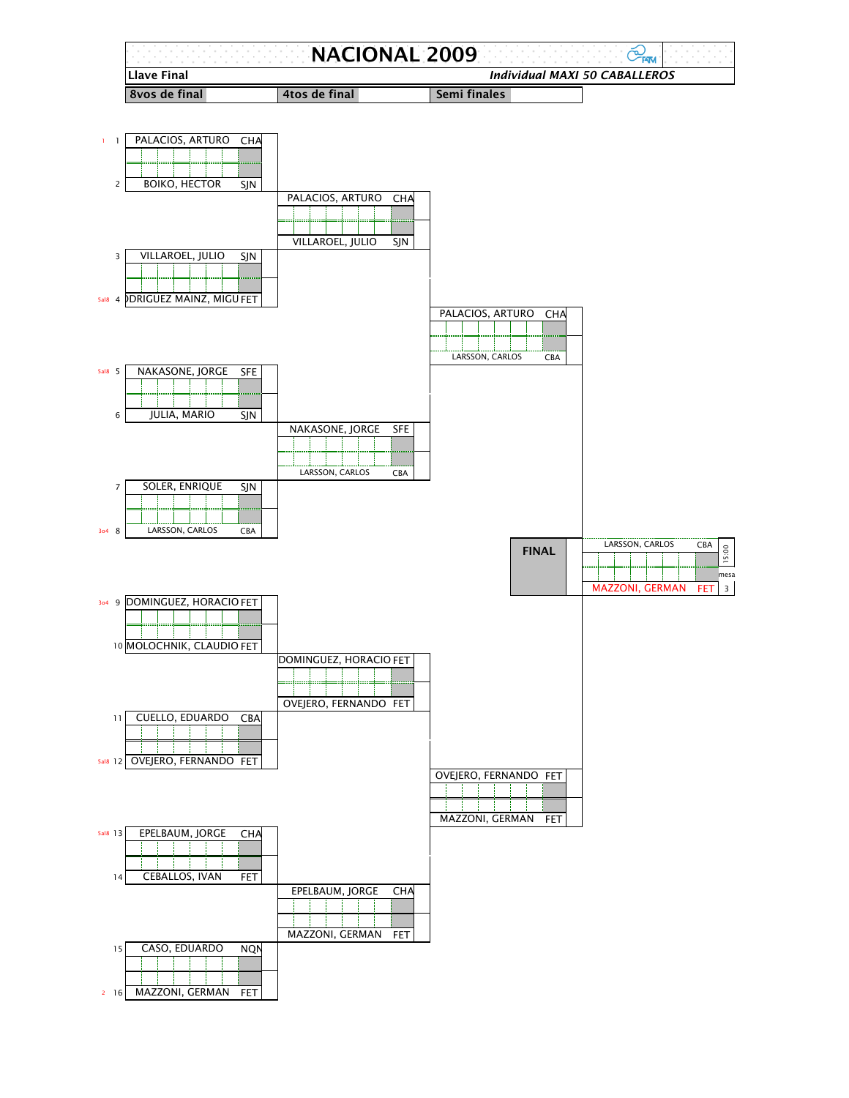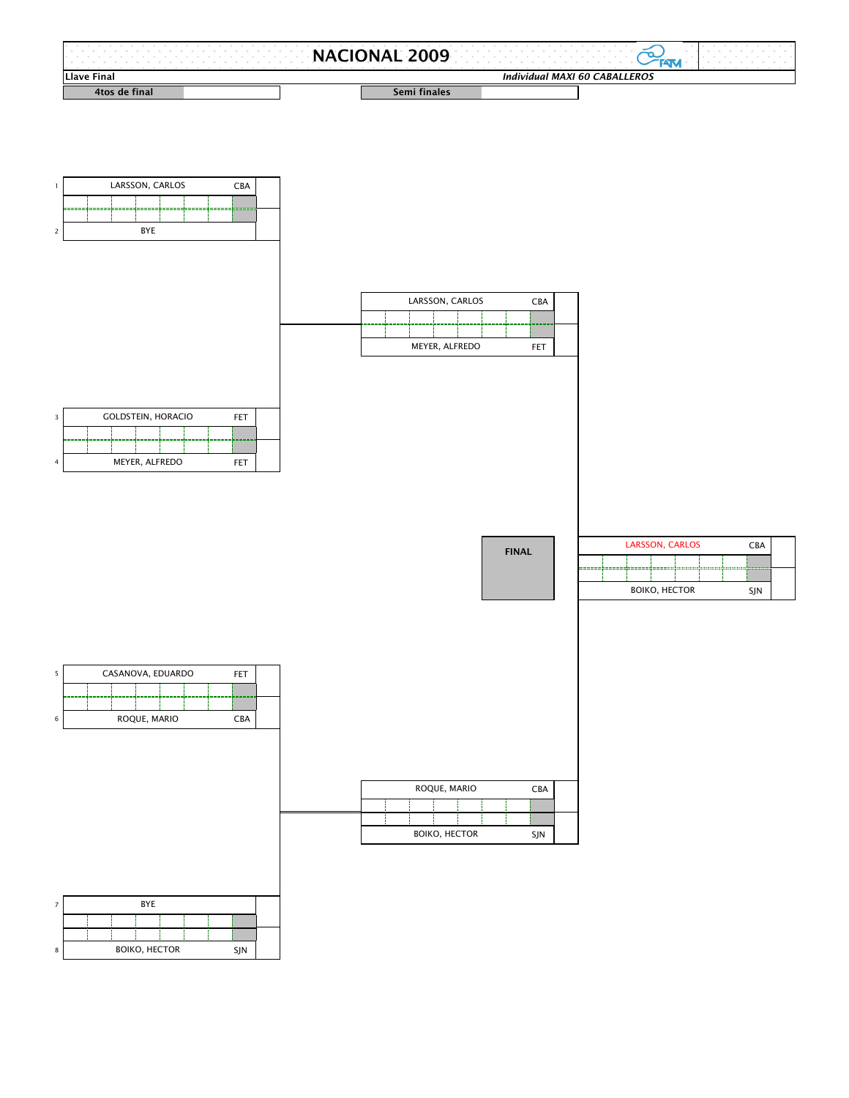|                    | 2009<br>N                     |
|--------------------|-------------------------------|
| <b>Llave Final</b> | Individual MAXI 60 CABALLEROS |
| 4tos de final      | Semi                          |



|  |  | LARSSON, CARLOS |  | CBA |  |
|--|--|-----------------|--|-----|--|
|  |  |                 |  |     |  |
|  |  |                 |  |     |  |
|  |  | MEYER, ALFREDO  |  | FET |  |
|  |  |                 |  |     |  |

|  |     | <b>GOLDSTEIN, HORACIO</b> |  | FET |  |
|--|-----|---------------------------|--|-----|--|
|  |     |                           |  |     |  |
|  |     |                           |  |     |  |
|  | FFT |                           |  |     |  |

**FINAL**

|  |  | <b>LARSSON, CARLOS</b> |  | <b>CBA</b> |  |
|--|--|------------------------|--|------------|--|
|  |  |                        |  |            |  |
|  |  |                        |  |            |  |
|  |  | <b>BOIKO, HECTOR</b>   |  | SIN        |  |
|  |  |                        |  |            |  |





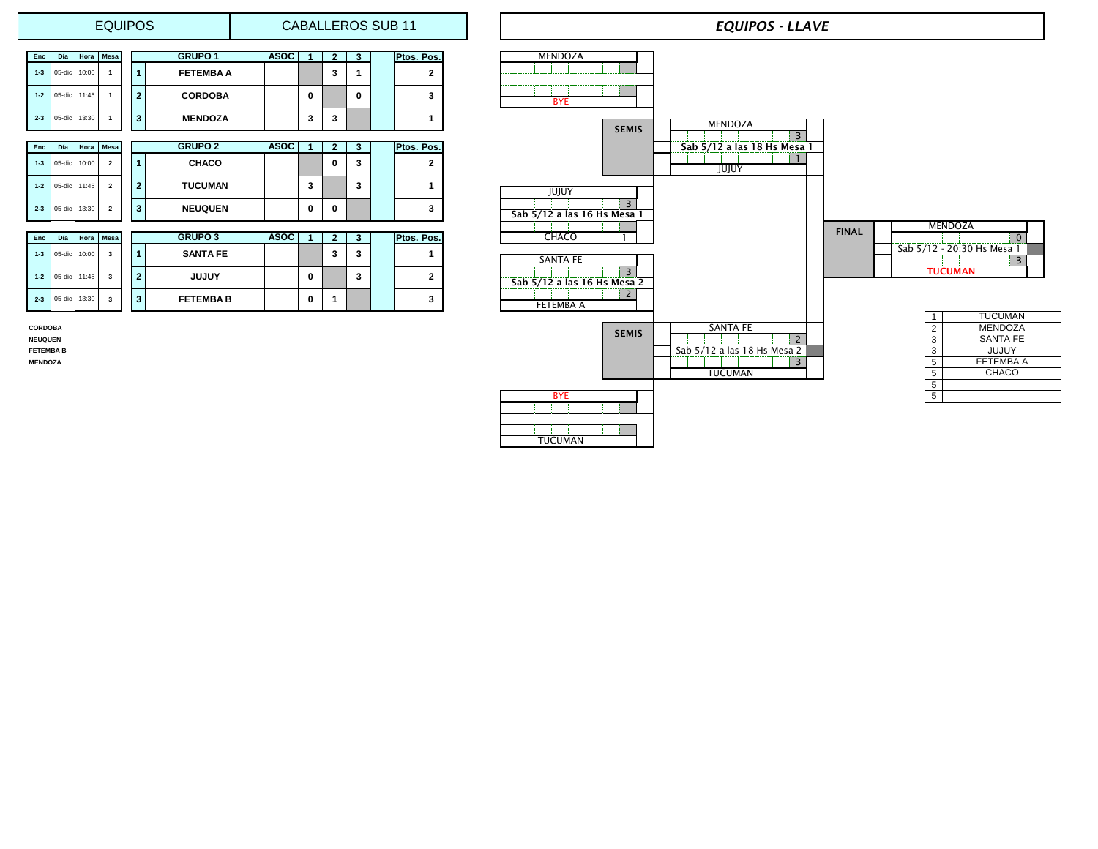## EQUIPOS | CABALLEROS SUB 11

| <b>Enc</b> | Día       | Hora  | <b>Mesa</b> |   | <b>GRUPO 1</b>   | <b>ASOC</b> |   |   | 3 | Ptos. Pos. |   |
|------------|-----------|-------|-------------|---|------------------|-------------|---|---|---|------------|---|
| $1 - 3$    | 05-dic    | 10:00 |             |   | <b>FETEMBA A</b> |             |   | 2 |   |            | c |
| $1 - 2$    | $05$ -dic | 11:45 |             | 2 | <b>CORDOBA</b>   |             | 0 |   | 0 |            | з |
| $2 - 3$    | 05-dic    | 13:30 |             | 3 | <b>MENDOZA</b>   |             | 3 | 3 |   |            |   |

| Enc     | Día       | Hora  | <b>Mesa</b>    |        | <b>GRUPO 2</b> | ASOC I |   | ◠       | Ptos. Pos. |   |                             |
|---------|-----------|-------|----------------|--------|----------------|--------|---|---------|------------|---|-----------------------------|
| $1 - 3$ | 05-dic    | 10:00 | $\overline{2}$ |        | <b>CHACO</b>   |        |   | -       |            | ີ |                             |
| $1 - 2$ | $05$ -dic | 11:45 | $\mathbf{r}$   | ີ      | <b>TUCUMAN</b> |        |   | ີ<br>J. |            |   | JUJUY                       |
| $2 - 3$ | 05-dic    | 13:30 | $\mathbf{2}$   | -<br>o | <b>NEUQUEN</b> |        | 0 |         |            | J | Sab 5/12 a las 16 Hs Mesa 1 |

| Enc   Día |                     |       | Hora Mesa |            | <b>GRUPO 3</b>  | <b>ASOC</b> |  |  | <b>Ptos. Pos.</b> | CHACO                       | <b>FINAL</b> |                            |
|-----------|---------------------|-------|-----------|------------|-----------------|-------------|--|--|-------------------|-----------------------------|--------------|----------------------------|
|           | $1-3$ 05-dic        | 10:00 |           |            | <b>SANTA FE</b> |             |  |  |                   |                             |              | Sab 5/12 - 20:30 Hs Mesa 1 |
|           |                     |       |           |            |                 |             |  |  |                   | SANTA FI                    |              |                            |
|           | 1-2 $05$ -dic 11:45 |       |           | $\sqrt{2}$ | <b>YUJUL</b>    |             |  |  |                   |                             |              | <b>TUCUMAN</b>             |
|           |                     |       |           |            |                 |             |  |  |                   | Sab 5/12 a las 16 Hs Mesa 2 |              |                            |
|           | $2-3$ 05-dic        | 13:30 |           |            | <b>FETEMBAB</b> |             |  |  |                   |                             |              |                            |
|           |                     |       |           |            |                 |             |  |  |                   | <b>FETEMBA A</b>            |              |                            |





| CORDOBA          | <b>SEMIS</b> | SANTA FE                         |  |
|------------------|--------------|----------------------------------|--|
| <b>NEUQUEN</b>   |              | <b>1</b>                         |  |
| <b>FETEMBA B</b> |              | o 5/12 a las 18 Hs Mesa 2<br>Sab |  |
| <b>MENDOZA</b>   |              | -                                |  |
|                  |              | <b>TUCUMAN</b>                   |  |
|                  |              |                                  |  |

|   | <b>TUCUMAN</b>  |
|---|-----------------|
| 2 | <b>MENDOZA</b>  |
| 3 | <b>SANTA FE</b> |
| 3 | <b>JUJUY</b>    |
| 5 | FFTFMRA A       |
| 5 | CHACO           |
| 5 |                 |
| 5 |                 |

|  | <b>BYE</b>     |  |  |  |
|--|----------------|--|--|--|
|  |                |  |  |  |
|  |                |  |  |  |
|  |                |  |  |  |
|  | <b>TUCUMAN</b> |  |  |  |

## *EQUIPOS - LLAVE*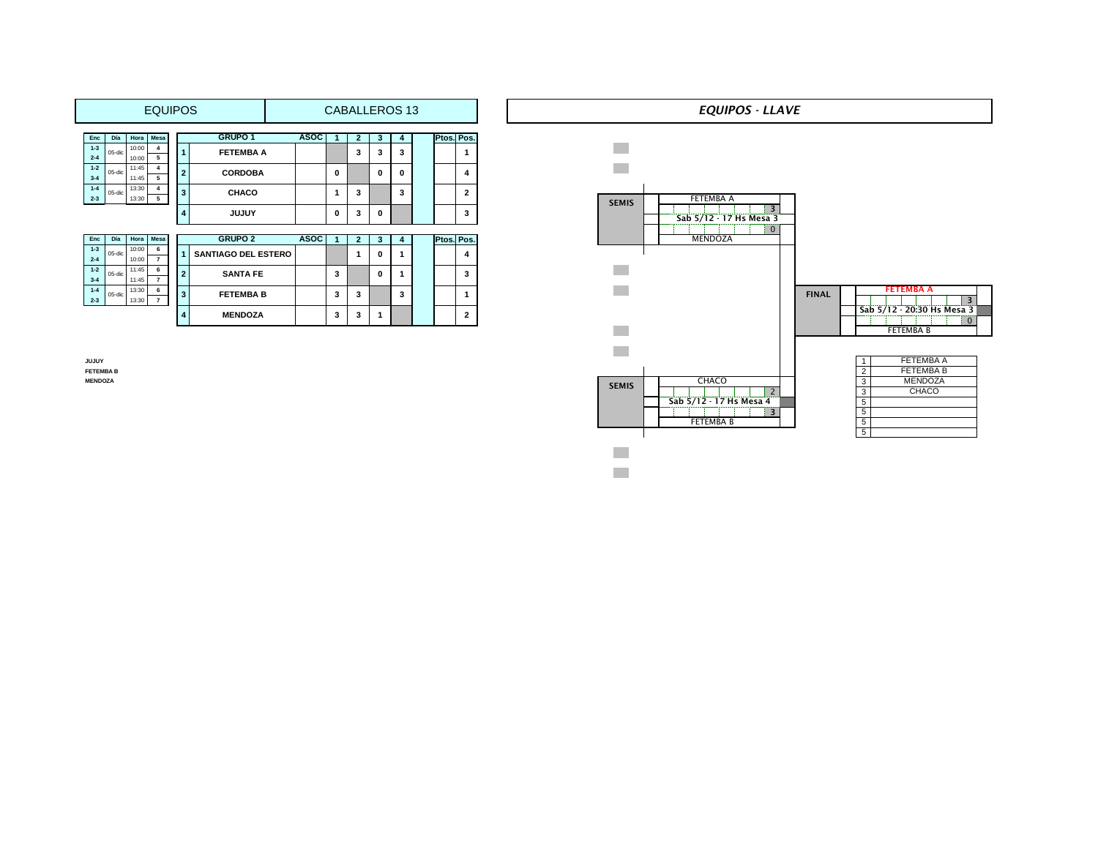|                    |        |                | <b>EQUIPOS</b> |   |                  |             |   |   | <b>CABALLEROS 13</b> |   |            |   |
|--------------------|--------|----------------|----------------|---|------------------|-------------|---|---|----------------------|---|------------|---|
| Enc                | Día    | Hora           | Mesa           |   | <b>GRUPO 1</b>   | <b>ASOC</b> |   | 2 | 3                    | 4 | Ptos. Pos. |   |
| $1 - 3$<br>$2 - 4$ | 05-dic | 10:00<br>10:00 | 4<br>5         | 1 | <b>FETEMBA A</b> |             |   | 3 | 3                    | 3 |            |   |
| $1 - 2$<br>$3 - 4$ | 05-dic | 11:45<br>11:45 | 4<br>5         | 2 | <b>CORDOBA</b>   |             | 0 |   | 0                    | 0 |            | 4 |
| $1 - 4$<br>$2 - 3$ | 05-dic | 13:30<br>13:30 | 4<br>5         | 3 | <b>CHACO</b>     |             | и | з |                      | 3 |            | 2 |
|                    |        |                |                | 4 | <b>JUJUY</b>     |             | 0 | 3 | 0                    |   |            | 3 |

| Enc     | Día    | Hora  | <b>Mesa</b> |  | <b>GRUPO 2</b>             | <b>ASOC</b> |     |    |   |    | Ptos. Pos. |   |
|---------|--------|-------|-------------|--|----------------------------|-------------|-----|----|---|----|------------|---|
| $1 - 3$ | 05-dic | 10:00 | -6          |  | <b>SANTIAGO DEL ESTERO</b> |             |     |    | 0 |    |            | 4 |
| $2 - 4$ |        | 10:00 |             |  |                            |             |     |    |   |    |            |   |
| $1 - 2$ | 05-dic | 11:45 | - 6         |  | <b>SANTA FE</b>            |             |     |    | 0 |    |            | 3 |
| $3 - 4$ |        | 11:45 |             |  |                            |             | - 1 |    |   |    |            |   |
| $1 - 4$ | 05-dic | 13:30 | - 6         |  | <b>FETEMBA B</b>           |             |     | -3 |   | -3 |            |   |
| $2 - 3$ |        | 13:30 |             |  |                            |             | -3  |    |   |    |            |   |
|         |        |       |             |  | <b>MENDOZA</b>             |             |     | -3 |   |    |            | 2 |
|         |        |       |             |  |                            |             |     |    |   |    |            |   |

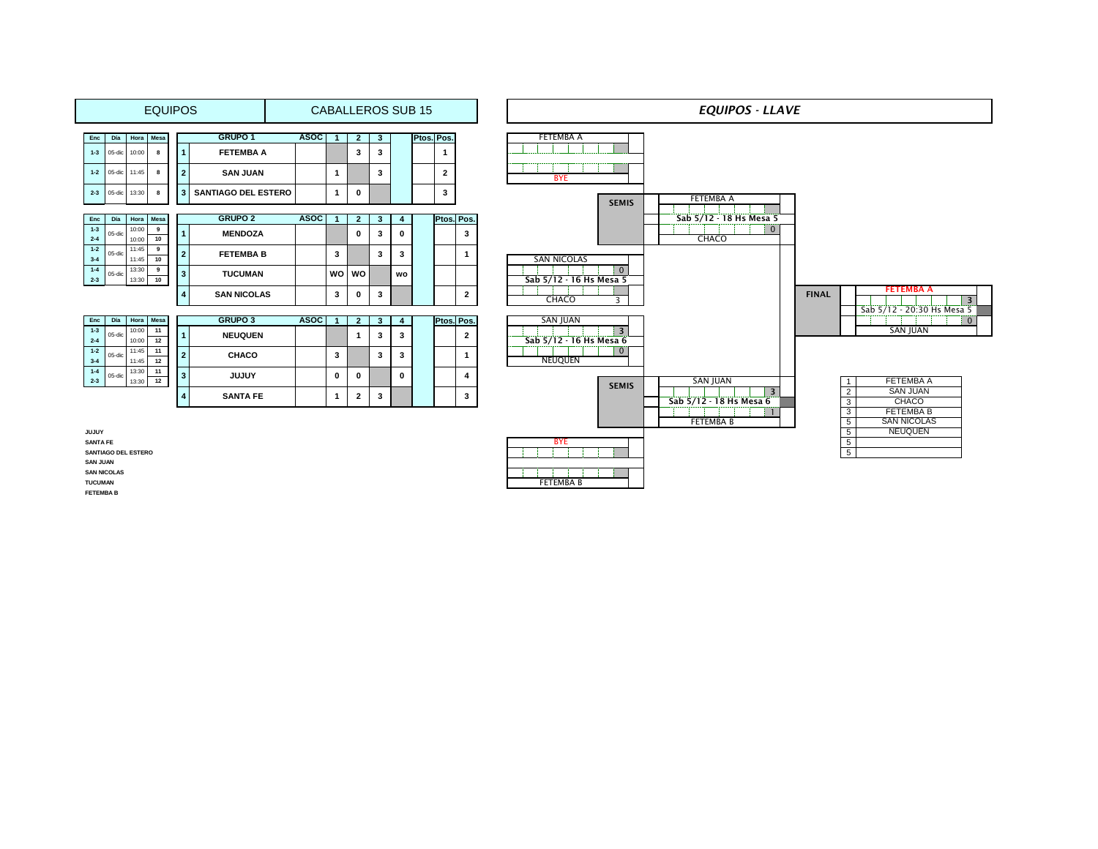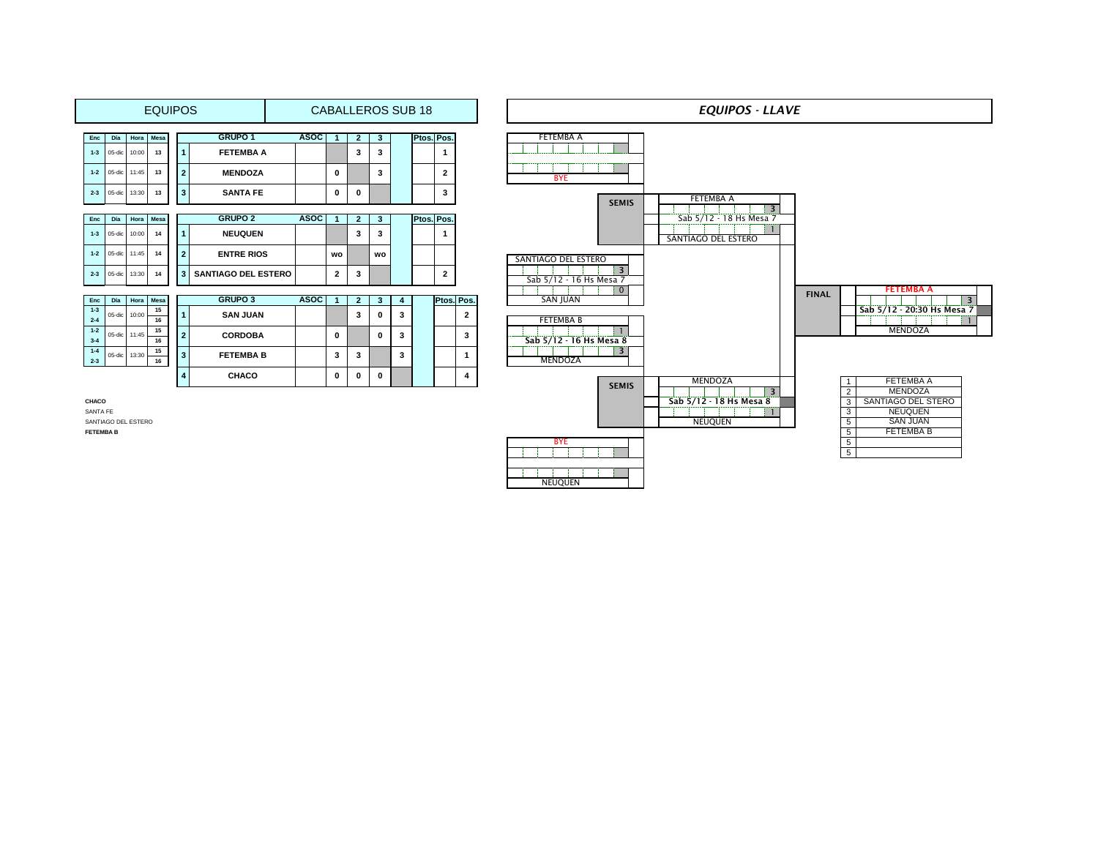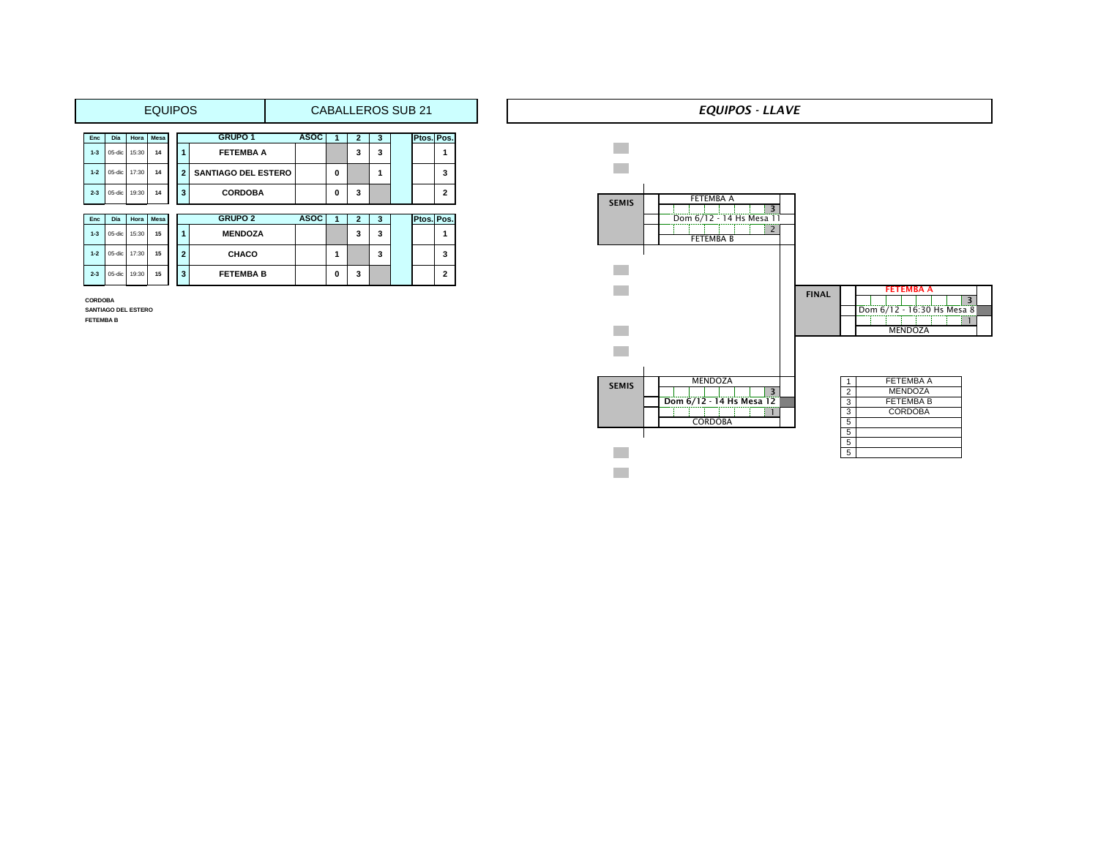|                                      |                                   |                                 | <b>EQUIPOS</b>         |                              |                                                                                    |             |             |                          |        | CABALLEROS SUB 21 |                                   |  |              | <b>EQUIPOS LLA</b>                                                           |
|--------------------------------------|-----------------------------------|---------------------------------|------------------------|------------------------------|------------------------------------------------------------------------------------|-------------|-------------|--------------------------|--------|-------------------|-----------------------------------|--|--------------|------------------------------------------------------------------------------|
| Enc<br>$1 - 3$<br>$1 - 2$<br>$2 - 3$ | Día<br>05-dic<br>05-dic<br>05-dic | Hora<br>15:30<br>17:30<br>19:30 | Mesa<br>14<br>14<br>14 | -2<br>3                      | <b>GRUPO 1</b><br><b>FETEMBA A</b><br><b>SANTIAGO DEL ESTERO</b><br><b>CORDOBA</b> | <b>ASOC</b> | 0<br>0      | $\overline{2}$<br>3<br>3 | 3<br>3 |                   | Ptos. Pos.<br>3<br>$\overline{2}$ |  | <b>SEMIS</b> | <b>FETEMBA A</b>                                                             |
| Enc<br>$1 - 3$                       | Día<br>05-dic                     | Hora Mesa<br>15:30              | 15                     |                              | <b>GRUPO 2</b><br><b>MENDOZA</b>                                                   | <b>ASOC</b> |             | $\mathbf{2}$<br>3        | 3<br>3 |                   | Ptos. Pos.                        |  |              | $\overline{\mathbf{3}}$<br>Dom 6/12 - 14 Hs Mesa 11<br>2<br><b>FETEMBA B</b> |
| $1 - 2$<br>$2 - 3$                   | 05-dic<br>05-dic                  | 17:30<br>19:30                  | 15<br>15               | $\overline{\mathbf{2}}$<br>3 | <b>CHACO</b><br><b>FETEMBA B</b>                                                   |             | $\mathbf 0$ | 3                        | 3      |                   | 3<br>$\mathbf{2}$                 |  |              |                                                                              |

**SANTIAGO DEL ESTERO**

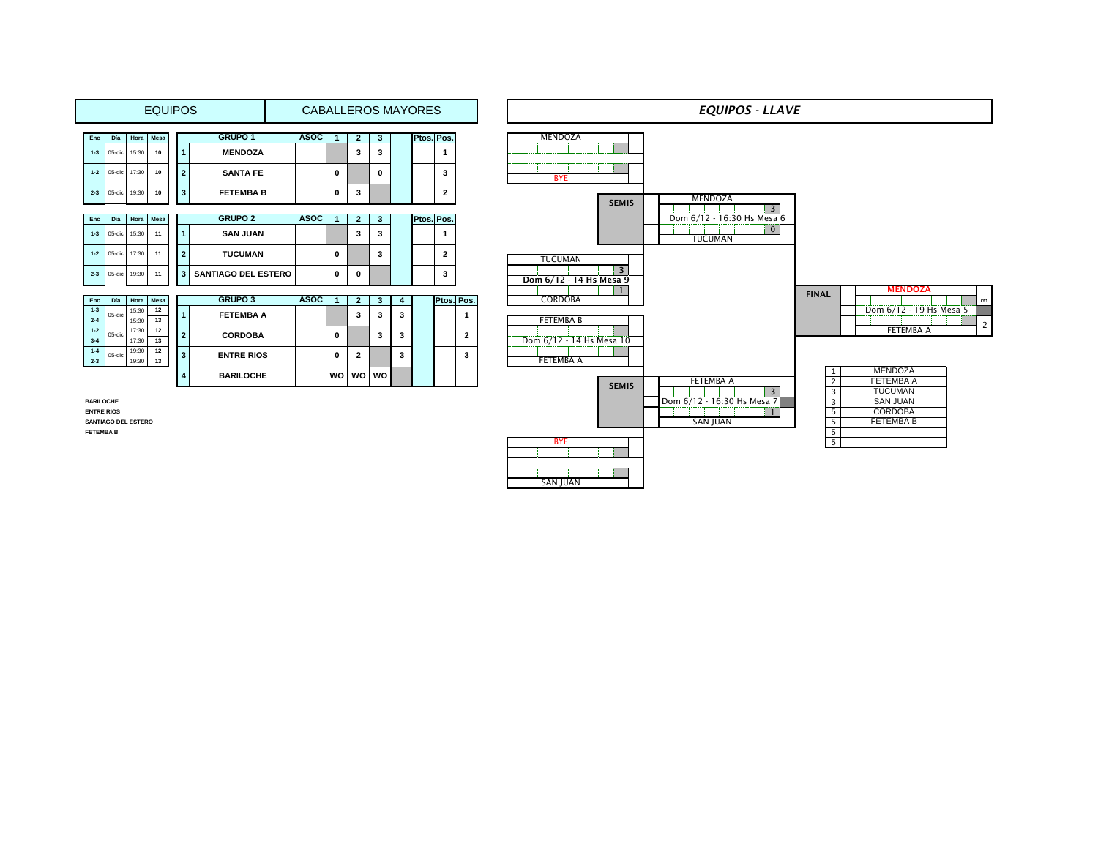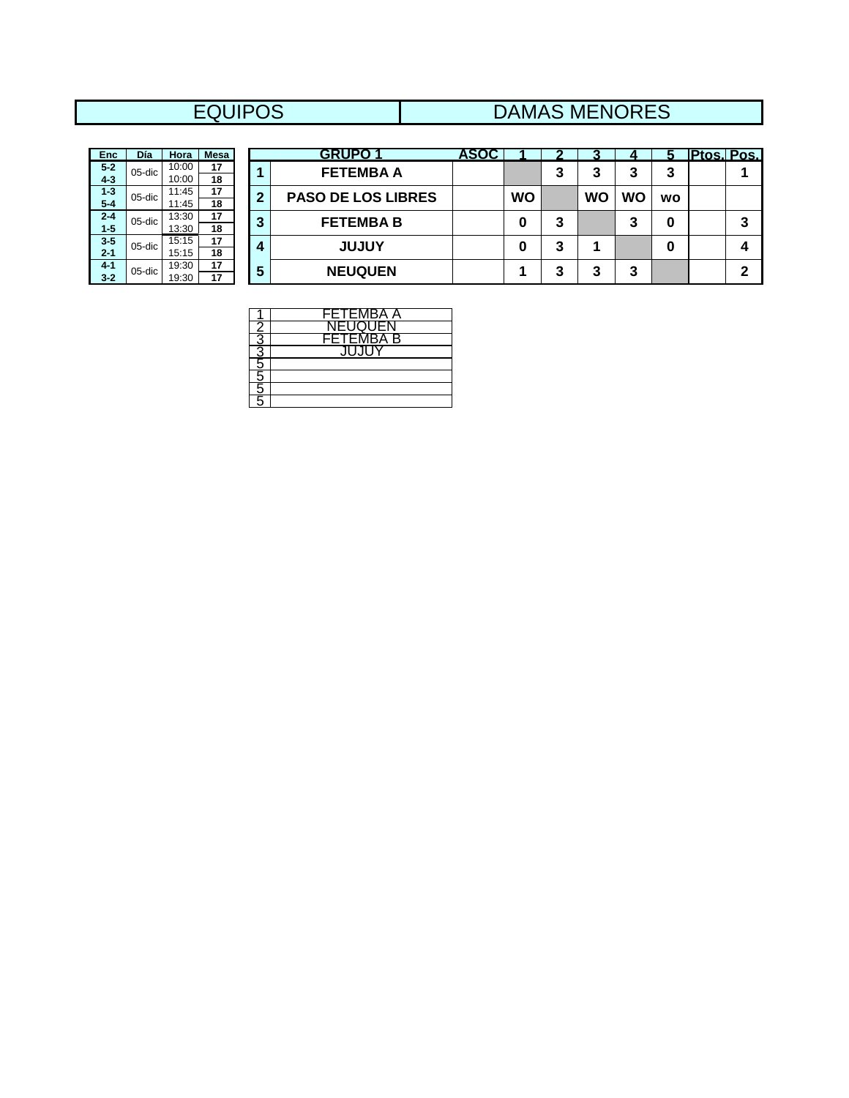# EQUIPOS DAMAS MENORES

| <b>Enc</b> | Día    | Hora  | <b>Mesa</b> |
|------------|--------|-------|-------------|
| $5 - 2$    | 05-dic | 10:00 | 17          |
| $4 - 3$    |        | 10:00 | 18          |
| $1 - 3$    | 05-dic | 11:45 | 17          |
| $5 - 4$    |        | 11:45 | 18          |
| $2 - 4$    | 05-dic | 13:30 | 17          |
| $1 - 5$    |        | 13:30 | 18          |
| $3-5$      | 05-dic | 15:15 | 17          |
| $2 - 1$    |        | 15:15 | 18          |
| $4 - 1$    | 05-dic | 19:30 | 17          |
| $3 - 2$    |        | 19:30 | 17          |

| <b>Enc</b> | Día       | Hora  | <b>Mesa</b> |   | <b>GRUPO 1</b>            | <b>ASOC</b> |    |        |           |           |           | <b>IPtos. Pos.</b> |   |
|------------|-----------|-------|-------------|---|---------------------------|-------------|----|--------|-----------|-----------|-----------|--------------------|---|
| $5 - 2$    | $05$ -dic | 10:00 | 17          |   | <b>FETEMBA A</b>          |             |    | າ<br>w | າ         | 3         | 3         |                    |   |
| $4 - 3$    |           | 10:00 | 18          |   |                           |             |    |        |           |           |           |                    |   |
| $1 - 3$    | 05-dic    | 11:45 | 17          | ◠ | <b>PASO DE LOS LIBRES</b> |             | WO |        | <b>WO</b> | <b>WO</b> | <b>WO</b> |                    |   |
| $5 - 4$    |           | 11:45 | 18          |   |                           |             |    |        |           |           |           |                    |   |
| $2 - 4$    | $05$ -dic | 13:30 | 17          | ≏ | <b>FETEMBA B</b>          |             | U  | ົ      |           | ≘         | 0         |                    | 3 |
| $1 - 5$    |           | 13:30 | 18          |   |                           |             |    | v      |           | J         |           |                    |   |
| $3-5$      | $05$ -dic | 15:15 | 17          |   | <b>JUJUY</b>              |             |    | ≏      |           |           | 0         |                    |   |
| $2 - 1$    |           | 15:15 | 18          |   |                           |             |    | v      |           |           |           |                    |   |
| $4 - 1$    | 05-dic    | 19:30 | 17          | 5 | <b>NEUQUEN</b>            |             |    | 2      | ≏         | 3         |           |                    | C |
| $3 - 2$    |           | 19:30 | 17          |   |                           |             |    | v      |           |           |           |                    |   |

| FETEMBA A |
|-----------|
| NEUQUEN   |
| FETEMBA B |
| JUJUY.    |
|           |
|           |
|           |
|           |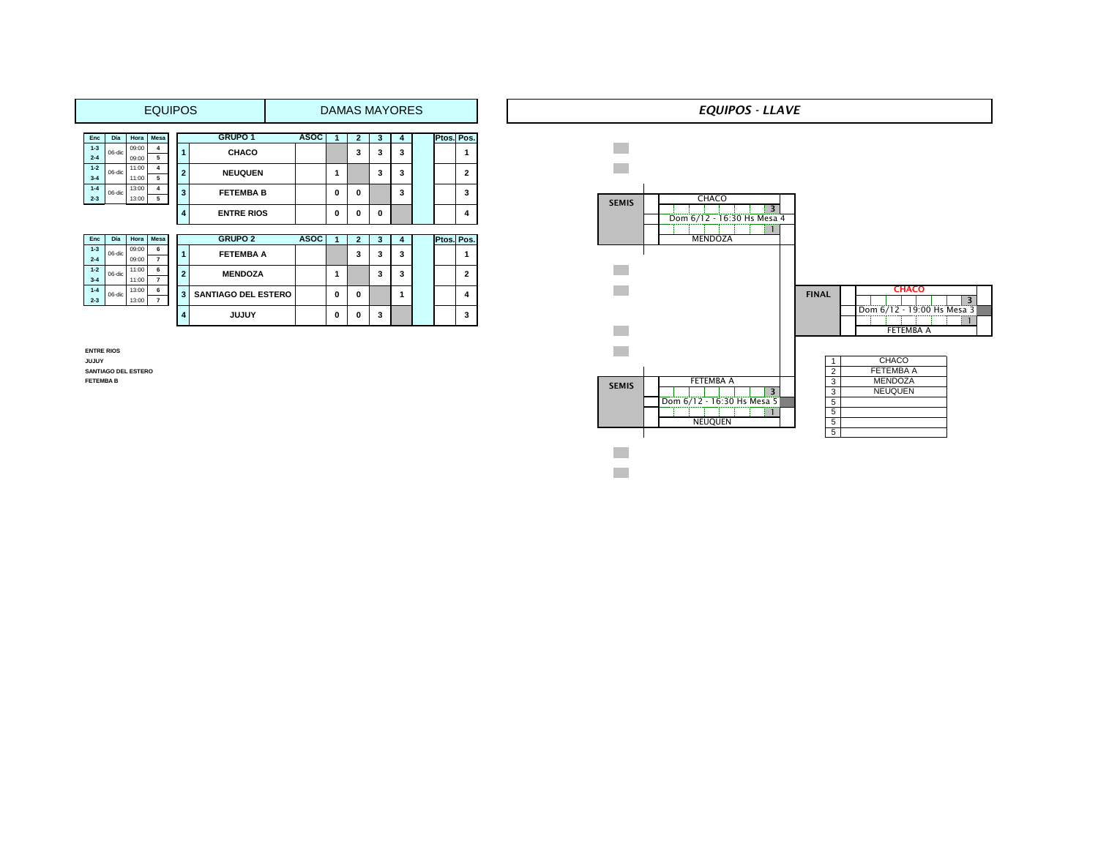|                    |        |                               | <b>EQUIPOS</b>      |                |                            |             | <b>DAMAS MAYORES</b> |                |   |   |            |                |
|--------------------|--------|-------------------------------|---------------------|----------------|----------------------------|-------------|----------------------|----------------|---|---|------------|----------------|
| Enc                | Día    | Hora                          | Mesa                |                | <b>GRUPO 1</b>             | <b>ASOC</b> | 1                    | $\overline{2}$ | 3 | 4 | Ptos. Pos. |                |
| $1 - 3$<br>$2 - 4$ | 06-dic | 09:00<br>09:00                | 4<br>5              | 1              | <b>CHACO</b>               |             |                      | 3              | 3 | 3 |            | 1              |
| $1 - 2$<br>$3 - 4$ | 06-dic | 11:00<br>11:00                | 4<br>5              | $\overline{2}$ | <b>NEUQUEN</b>             |             | 1                    |                | 3 | 3 |            | $\overline{2}$ |
| $1 - 4$<br>$2 - 3$ | 06-dic | 13:00<br>13:00                | 4<br>5              | 3              | <b>FETEMBA B</b>           |             | $\mathbf 0$          | 0              |   | 3 |            | 3              |
|                    |        |                               |                     | 4              | <b>ENTRE RIOS</b>          |             | 0                    | 0              | 0 |   |            | 4              |
| Enc                | Día    | Hora                          | Mesa                |                | <b>GRUPO 2</b>             | <b>ASOC</b> | 1                    | $\overline{2}$ | 3 | 4 | Ptos. Pos. |                |
| $1 - 3$<br>$2 - 4$ | 06-dic | 09:00<br>09:00                | 6<br>$\overline{7}$ | 1              | <b>FETEMBA A</b>           |             |                      | 3              | 3 | 3 |            | 1              |
| $1 - 2$<br>$3 - 4$ | 06-dic | 11:00<br>11:00                | 6<br>$\overline{7}$ | $\overline{2}$ | <b>MENDOZA</b>             |             | 1                    |                | 3 | 3 |            | $\overline{2}$ |
| $1 - 4$<br>$ -$    | 06-dic | 13:00<br>$\sim$ $\sim$ $\sim$ | 6                   | 3              | <b>SANTIAGO DEL ESTERO</b> |             | $\mathbf 0$          | 0              |   | 1 |            | 4              |

**4 JUJUY 0 0**

**3**

**3**

**ENTRE RIOS**

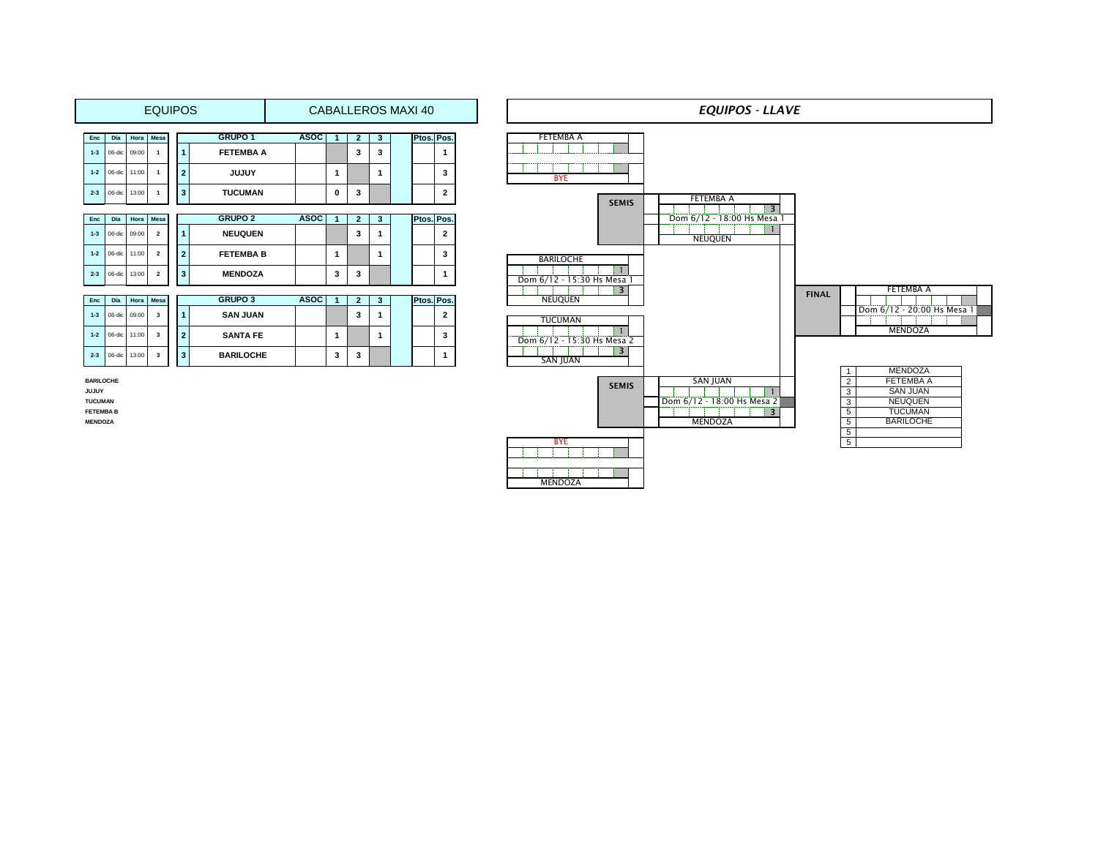|              |                  |           |                | <b>EQUIPOS</b> |                    |             |              |                |    | CABALLEROS MAXI 40 |                | <b>EQUIPOS - LLAVE</b>                     |   |                                    |                 |
|--------------|------------------|-----------|----------------|----------------|--------------------|-------------|--------------|----------------|----|--------------------|----------------|--------------------------------------------|---|------------------------------------|-----------------|
| Enc          | Día              | Hora      | Mesa           |                | GRUPO <sub>1</sub> | <b>ASOC</b> | -1           | $\overline{2}$ | -3 | Ptos. Pos.         |                | <b>FETEMBA A</b>                           |   |                                    |                 |
|              | 1-3 06-dic 09:00 |           |                |                | <b>FETEMBA A</b>   |             |              | 3              | 3  |                    | -1             |                                            |   |                                    |                 |
|              | $1-2$ 06-dic     | 11:00     |                | $\overline{2}$ | <b>JUJUY</b>       |             | $\mathbf{1}$ |                |    |                    | 3              | <b>BYE</b>                                 |   |                                    |                 |
|              | $2-3$ 06-dic     | 13:00     |                | 3              | <b>TUCUMAN</b>     |             | $\mathbf 0$  | -3             |    |                    | $\overline{2}$ | <b>FETEMBA A</b>                           |   |                                    |                 |
| Enc          | Día              | Hora Mesa |                |                | <b>GRUPO 2</b>     | <b>ASOC</b> | $\mathbf{1}$ | $\overline{2}$ | 3  | Ptos. Pos.         |                | <b>SEMIS</b><br>Dom 6/12 - 18:00 Hs Mesa 1 | 3 |                                    |                 |
|              | 1-3 06-dic 09:00 |           | $\overline{2}$ |                | <b>NEUQUEN</b>     |             |              | 3              |    |                    | $\overline{2}$ | NEUQUEN                                    |   |                                    |                 |
|              | 1-2 06-dic 11:00 |           | $\overline{2}$ | $\overline{2}$ | <b>FETEMBA B</b>   |             | $\mathbf{1}$ |                |    |                    | 3              | <b>BARILOCHE</b>                           |   |                                    |                 |
|              | $2-3$ 06-dic     | 13:00     | $\overline{2}$ | 3              | <b>MENDOZA</b>     |             | 3            | 3              |    |                    |                | Dom 6/12 - 15:30 Hs Mesa 1                 |   |                                    |                 |
|              |                  |           |                |                |                    |             |              |                |    |                    |                | $\overline{\mathbf{3}}$                    |   | <b>FETEMBA A</b>                   |                 |
| Enc          | Día              | Hora      | Mesa           |                | <b>GRUPO 3</b>     | <b>ASOC</b> | -1           | $\overline{2}$ | -3 | Ptos. Pos.         |                | <b>NEUQUEN</b>                             |   | <b>FINAL</b>                       |                 |
|              | 1-3 06-dic 09:00 |           | 3              |                | <b>SAN JUAN</b>    |             |              | 3              |    |                    | $\overline{2}$ | <b>TUCUMAN</b>                             |   | Dom 6/12 - 20:00 Hs Mesa 1         |                 |
|              | 1-2 06-dic 11:00 |           | -3             | $\overline{2}$ | <b>SANTA FE</b>    |             | $\mathbf{1}$ |                |    |                    | 3              | Dom 6/12 - 15:30 Hs Mesa 2                 |   |                                    | MENDOZA         |
|              | $2-3$ 06-dic     | 13:00     | 3              | 3 <sup>2</sup> | <b>BARILOCHE</b>   |             | 3            | 3              |    |                    | -1             | $\overline{\mathbf{3}}$<br><b>SAN JUAN</b> |   |                                    |                 |
|              |                  |           |                |                |                    |             |              |                |    |                    |                |                                            |   | MENDOZA                            |                 |
|              | <b>BARILOCHE</b> |           |                |                |                    |             |              |                |    |                    |                | <b>SAN JUAN</b><br><b>SEMIS</b>            |   | <b>FETEMBA A</b><br>$\overline{2}$ |                 |
| <b>JUJUY</b> |                  |           |                |                |                    |             |              |                |    |                    |                |                                            |   | 3<br><b>NEUQUEN</b>                | <b>SAN JUAN</b> |
| TUCUMAN      |                  |           |                |                |                    |             |              |                |    |                    |                | Dom 6/12 - 18:00 Hs Mesa 2                 |   | 3                                  |                 |

**FETEMBA B 3** 5 **MENDOZA** 5 MENDOZA BYE  $\mathbf{1}$  ,  $\mathbf{1}$  ,  $\mathbf{1}$ MENDOZA

|   | <b>MENDOZA</b>   |
|---|------------------|
| 2 | <b>FETEMBA A</b> |
| 3 | <b>SAN JUAN</b>  |
| 3 | <b>NEUQUEN</b>   |
| 5 | <b>TUCUMAN</b>   |
| 5 | <b>BARILOCHE</b> |
| 5 |                  |
| 5 |                  |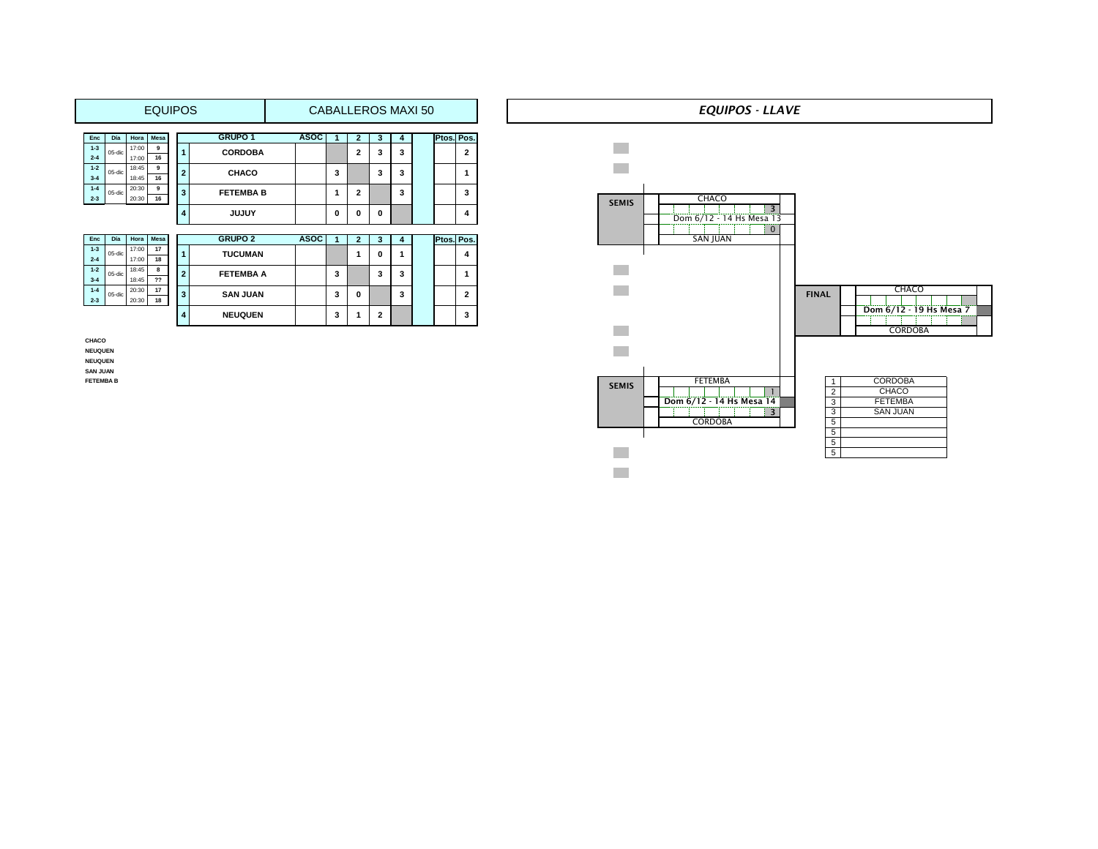|                    |                                                                                                                 |                | <b>EQUIPOS</b> |   |   |                    |             |     |                |        | <b>CABALLEROS MAXI 50</b> |               |                |
|--------------------|-----------------------------------------------------------------------------------------------------------------|----------------|----------------|---|---|--------------------|-------------|-----|----------------|--------|---------------------------|---------------|----------------|
| Enc                | Día                                                                                                             | Hora           | Mesa           |   |   | <b>GRUPO 1</b>     | <b>ASOC</b> |     | $\overline{2}$ | 3      | 4                         | Ptos. Pos.    |                |
| $1 - 3$<br>$2 - 4$ | 05-dic                                                                                                          | 17:00<br>17:00 | 9<br>16        | 1 |   | <b>CORDOBA</b>     |             |     | 2              | 3      | 3                         |               | $\overline{2}$ |
| $1 - 2$<br>$3 - 4$ | 05-dic                                                                                                          | 18:45<br>18:45 | 9<br>16        |   | 2 | <b>CHACO</b>       |             | 3   |                | 3      | 3                         |               | 1              |
| $1 - 4$<br>$2 - 3$ | 05-dic                                                                                                          | 20:30<br>20:30 | 9<br>16        |   | 3 | <b>FETEMBA B</b>   |             | 1   | $\overline{2}$ |        | 3                         |               | 3              |
|                    |                                                                                                                 |                |                | 4 |   | <b>JUJUY</b>       |             | 0   | 0              | 0      |                           |               | 4              |
|                    | the contract of the contract of the contract of the contract of the contract of the contract of the contract of |                |                |   |   | $\sim$ nuno $\sim$ | 8000        | . . | $\sim$         | $\sim$ | $\overline{ }$            | $P(x) = P(x)$ |                |

| ົ |
|---|
|   |
| 3 |
|   |

**CHACO NEUQUEN NEUQUEN SAN JUAN**

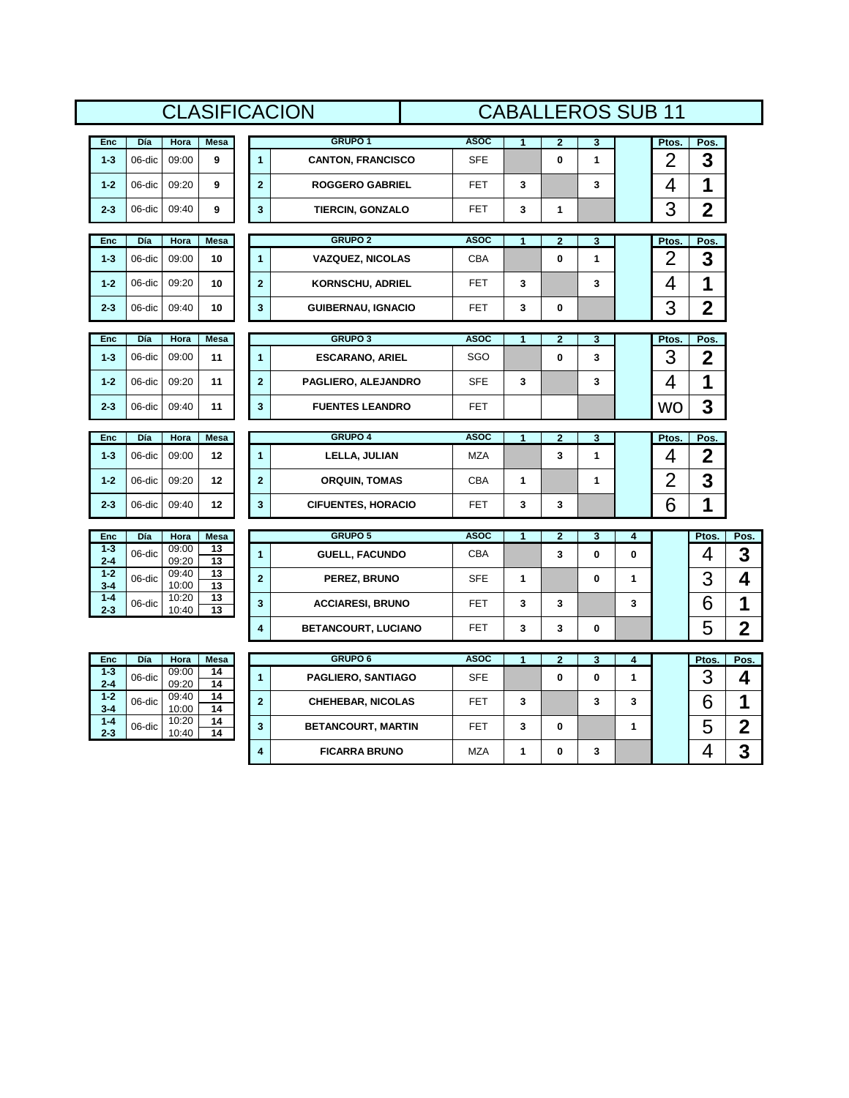|                               |               |                         |                                    |                         | <b>CLASIFICACION</b>       |             | <b>CABALLEROS SUB 11</b> |                         |              |        |                |                         |                              |
|-------------------------------|---------------|-------------------------|------------------------------------|-------------------------|----------------------------|-------------|--------------------------|-------------------------|--------------|--------|----------------|-------------------------|------------------------------|
| Enc                           | Día           | Hora                    | <b>Mesa</b>                        |                         | <b>GRUPO 1</b>             | <b>ASOC</b> | $\blacktriangleleft$     | $\overline{2}$          | 3            |        | Ptos.          | Pos.                    |                              |
| $1 - 3$                       | 06-dic        | 09:00                   | 9                                  | $\mathbf{1}$            | <b>CANTON, FRANCISCO</b>   | <b>SFE</b>  |                          | 0                       | $\mathbf{1}$ |        | $\overline{2}$ | 3                       |                              |
| $1 - 2$                       | 06-dic        | 09:20                   | 9                                  | $\overline{\mathbf{2}}$ | <b>ROGGERO GABRIEL</b>     | <b>FET</b>  | 3                        |                         | 3            |        | 4              | 1                       |                              |
| $2 - 3$                       | 06-dic        | 09:40                   | 9                                  | 3                       | <b>TIERCIN, GONZALO</b>    | <b>FET</b>  | 3                        | 1                       |              |        | 3              | $\overline{2}$          |                              |
| Enc                           | Día           | Hora                    | <b>Mesa</b>                        |                         | <b>GRUPO 2</b>             | <b>ASOC</b> | $\mathbf 1$              | $\overline{\mathbf{2}}$ | 3            |        | Ptos.          | Pos.                    |                              |
| $1 - 3$                       | 06-dic        | 09:00                   | 10                                 | $\mathbf{1}$            | <b>VAZQUEZ, NICOLAS</b>    | <b>CBA</b>  |                          | $\mathbf{0}$            | $\mathbf{1}$ |        | 2              | 3                       |                              |
| $1 - 2$                       | 06-dic        | 09:20                   | 10                                 | $\overline{\mathbf{2}}$ | <b>KORNSCHU, ADRIEL</b>    | <b>FET</b>  | 3                        |                         | 3            |        | 4              | 1                       |                              |
| $2 - 3$                       | 06-dic        | 09:40                   | 10                                 | 3                       | <b>GUIBERNAU, IGNACIO</b>  | <b>FET</b>  | 3                        | 0                       |              |        | 3              | $\overline{\mathbf{2}}$ |                              |
| Enc                           | Día           | Hora                    | <b>Mesa</b>                        |                         | <b>GRUPO 3</b>             | <b>ASOC</b> | $\mathbf{1}$             | $\overline{\mathbf{2}}$ | 3            |        | Ptos.          | Pos.                    |                              |
| $1 - 3$                       | 06-dic        | 09:00                   | 11                                 | $\mathbf{1}$            | <b>ESCARANO, ARIEL</b>     | SGO         |                          | 0                       | 3            |        | 3              | $\overline{2}$          |                              |
| $1 - 2$                       | 06-dic        | 09:20                   | 11                                 | $\overline{\mathbf{2}}$ | PAGLIERO, ALEJANDRO        | <b>SFE</b>  | 3                        |                         | 3            |        | 4              | 1                       |                              |
| $2 - 3$                       | 06-dic        | 09:40                   | 11                                 | 3                       | <b>FUENTES LEANDRO</b>     | <b>FET</b>  |                          |                         |              |        | <b>WO</b>      | 3                       |                              |
|                               |               |                         |                                    |                         |                            |             |                          |                         |              |        |                |                         |                              |
|                               |               |                         |                                    |                         |                            |             |                          |                         |              |        |                |                         |                              |
| Enc                           | Día           | Hora                    | <b>Mesa</b>                        |                         | <b>GRUPO 4</b>             | <b>ASOC</b> | 1                        | $\mathbf{2}$            | 3            |        | Ptos.          | Pos.                    |                              |
| $1 - 3$                       | 06-dic        | 09:00                   | 12                                 | $\mathbf{1}$            | LELLA, JULIAN              | <b>MZA</b>  |                          | 3                       | $\mathbf{1}$ |        | 4              | $\overline{2}$          |                              |
| $1 - 2$                       | 06-dic        | 09:20                   | 12                                 | $\overline{2}$          | <b>ORQUIN, TOMAS</b>       | <b>CBA</b>  | $\mathbf{1}$             |                         | 1            |        | $\overline{2}$ | 3                       |                              |
| $2 - 3$                       | 06-dic        | 09:40                   | 12                                 | 3                       | <b>CIFUENTES, HORACIO</b>  | <b>FET</b>  | 3                        | 3                       |              |        | 6              | 1                       |                              |
|                               |               |                         |                                    |                         | <b>GRUPO 5</b>             | <b>ASOC</b> |                          |                         |              |        |                |                         |                              |
| Enc<br>$1 - 3$                | Día<br>06-dic | Hora<br>09:00           | Mesa<br>13                         | $\mathbf{1}$            | <b>GUELL, FACUNDO</b>      | <b>CBA</b>  | $\mathbf{1}$             | $\mathbf{2}$<br>3       | 3<br>0       | 4<br>0 |                | Ptos.<br>4              | Pos.<br>3                    |
| $2 - 4$<br>$1 - 2$            | 06-dic        | 09:20<br>09:40          | $\overline{13}$<br>$\overline{13}$ | $\overline{\mathbf{2}}$ | PEREZ, BRUNO               | <b>SFE</b>  | $\mathbf{1}$             |                         | 0            | 1      |                |                         |                              |
| $3 - 4$<br>$1 - 4$            | 06-dic        | 10:00<br>10:20          | 13<br>13                           | 3                       | <b>ACCIARESI, BRUNO</b>    | <b>FET</b>  | 3                        | 3                       |              | 3      |                | 3                       | 4                            |
| $2 - 3$                       |               | 10:40                   | 13                                 | 4                       | <b>BETANCOURT, LUCIANO</b> | <b>FET</b>  | 3                        | 3                       | 0            |        |                | 6                       | 1                            |
|                               |               |                         |                                    |                         |                            |             |                          |                         |              |        |                | 5                       | $\overline{\mathbf{2}}$      |
| Enc                           | Día           | Hora<br>09:00           | <b>Mesa</b>                        |                         | <b>GRUPO 6</b>             | <b>ASOC</b> | $\mathbf{1}$             | $\mathbf{2}$            | 3            | 4      |                | Ptos.                   | Pos.                         |
| $1 - 3$<br>$2 - 4$            | 06-dic        | 09:20                   | 14<br>14                           | $\mathbf{1}$            | PAGLIERO, SANTIAGO         | <b>SFE</b>  |                          | 0                       | 0            | 1      |                | 3                       | 4                            |
| $1 - 2$<br>$3 - 4$<br>$1 - 4$ | 06-dic        | 09:40<br>10:00<br>10:20 | 14<br>14<br>14                     | $\overline{2}$          | <b>CHEHEBAR, NICOLAS</b>   | <b>FET</b>  | 3                        |                         | 3            | 3      |                | 6<br>5                  | 1<br>$\overline{\mathbf{2}}$ |

**<sup>4</sup> FICARRA BRUNO** MZA **<sup>1</sup> <sup>0</sup> <sup>3</sup>** 4 **3**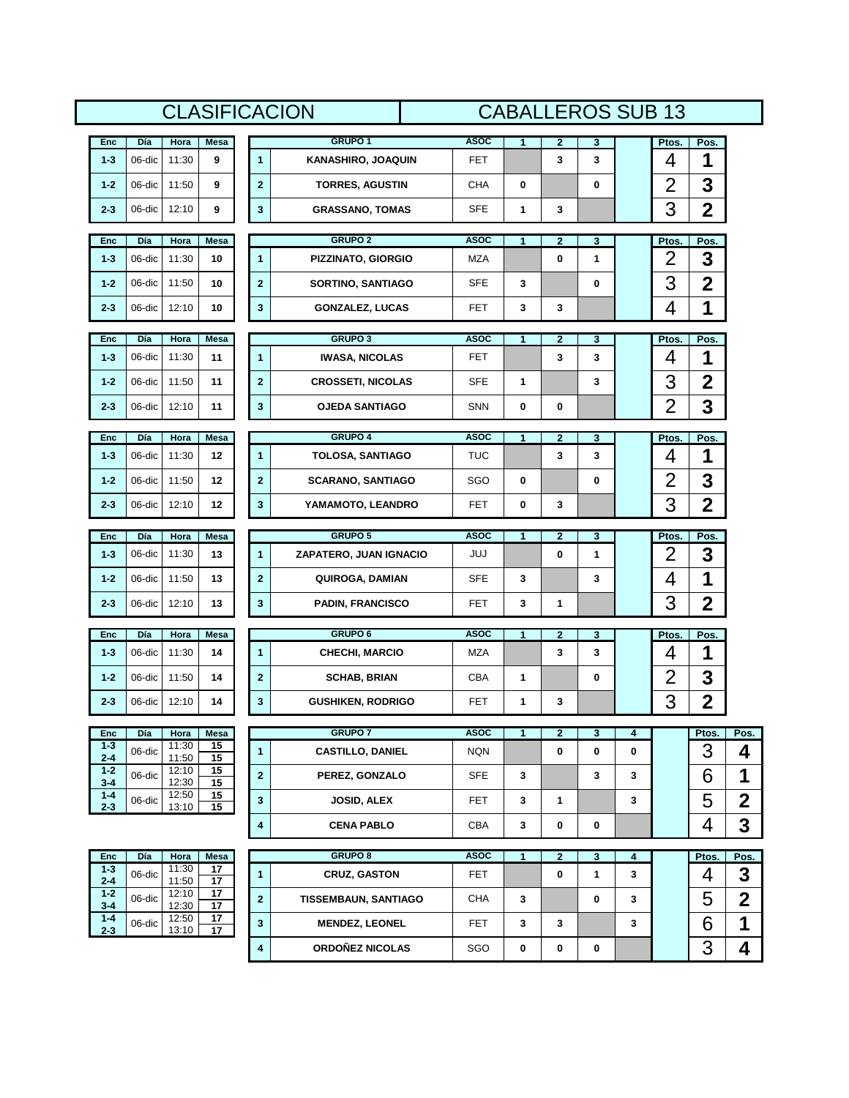| <b>GRUPO 1</b><br><b>ASOC</b><br>Enc<br>Día<br>Hora<br><b>Mesa</b><br>Ptos.<br>1<br>$\mathbf{2}$<br>3                                                                                                                        |             |                         |
|------------------------------------------------------------------------------------------------------------------------------------------------------------------------------------------------------------------------------|-------------|-------------------------|
|                                                                                                                                                                                                                              | Pos.        |                         |
| 4<br>$\mathbf{1}$<br>3<br>3<br>$1 - 3$<br>06-dic<br>11:30<br>9<br>KANASHIRO, JOAQUIN<br>FET                                                                                                                                  | 1           |                         |
| $\overline{2}$<br>06-dic<br>11:50<br>$\overline{\mathbf{2}}$<br><b>CHA</b><br>$1 - 2$<br>9<br><b>TORRES, AGUSTIN</b><br>0<br>0                                                                                               | 3           |                         |
| 3<br>3<br>$2 - 3$<br>06-dic<br>12:10<br>9<br>1<br>GRASSANO, TOMAS<br>SFE<br>3                                                                                                                                                | $\mathbf 2$ |                         |
| <b>GRUPO 2</b><br><b>ASOC</b><br>Día<br>Hora<br><b>Mesa</b><br>$\overline{2}$<br>3<br>Ptos.<br>Enc<br>1                                                                                                                      | Pos.        |                         |
| 2<br>11:30<br>$\mathbf{1}$<br>$1 - 3$<br>06-dic<br>10<br>MZA<br>0<br>$\mathbf{1}$<br>PIZZINATO, GIORGIO                                                                                                                      | 3           |                         |
| 3<br>$\overline{\mathbf{2}}$<br>06-dic<br>11:50<br>$1 - 2$<br>10<br><b>SORTINO, SANTIAGO</b><br><b>SFE</b><br>3<br>0                                                                                                         | $\mathbf 2$ |                         |
| 4<br>3<br>12:10<br>10<br>3<br>$2 - 3$<br>06-dic<br><b>GONZALEZ, LUCAS</b><br>FET<br>3                                                                                                                                        | 1           |                         |
| <b>GRUPO 3</b><br><b>ASOC</b><br>Ptos.<br>Enc<br>Día<br>Hora<br><b>Mesa</b><br>1<br>$\mathbf{2}$<br>3                                                                                                                        | Pos.        |                         |
| 4<br>$\mathbf{1}$<br>3<br>3<br>$1 - 3$<br>06-dic<br>11:30<br>11<br><b>IWASA, NICOLAS</b><br><b>FET</b>                                                                                                                       | 1           |                         |
| 3<br>06-dic<br>11:50<br>$\overline{2}$<br>$1 - 2$<br>11<br><b>CROSSETI, NICOLAS</b><br>SFE<br>1<br>3                                                                                                                         | $\mathbf 2$ |                         |
| $\overline{2}$<br>3<br>06-dic<br>12:10<br>11<br>0<br>0<br>$2 - 3$<br><b>OJEDA SANTIAGO</b><br><b>SNN</b>                                                                                                                     | 3           |                         |
|                                                                                                                                                                                                                              |             |                         |
| <b>GRUPO 4</b><br>Día<br><b>ASOC</b><br>Enc<br>Hora<br>Mesa<br>$\overline{1}$<br>$\overline{2}$<br>3<br>Ptos.                                                                                                                | Pos.        |                         |
| 4<br>06-dic<br>11:30<br>$\mathbf{1}$<br>TUC<br>3<br>3<br>12<br>$1 - 3$<br><b>TOLOSA, SANTIAGO</b>                                                                                                                            | 1           |                         |
| $\overline{2}$<br>$\overline{2}$<br>$1 - 2$<br>06-dic<br>11:50<br>12<br><b>SCARANO, SANTIAGO</b><br>0<br>0<br>SGO                                                                                                            | 3           |                         |
| 3<br>3<br>$2 - 3$<br>06-dic<br>12:10<br>12<br>YAMAMOTO, LEANDRO<br>0<br>3<br>FET                                                                                                                                             | $\mathbf 2$ |                         |
| <b>GRUPO 5</b><br><b>ASOC</b><br>Ptos.<br>Día<br>Hora<br><b>Mesa</b><br>1<br>$\overline{2}$<br>3<br>Enc                                                                                                                      | Pos.        |                         |
| 2<br>$\mathbf{1}$<br>11:30<br>13<br>0<br>$\mathbf{1}$<br>$1 - 3$<br>06-dic<br>ZAPATERO, JUAN IGNACIO<br>JUJ                                                                                                                  | 3           |                         |
| 4<br>$\overline{\mathbf{2}}$<br>06-dic<br>11:50<br>QUIROGA, DAMIAN<br>3<br>$1 - 2$<br>13<br><b>SFE</b><br>3                                                                                                                  | 1           |                         |
|                                                                                                                                                                                                                              |             |                         |
| 3<br>3<br>12:10<br>PADIN, FRANCISCO<br>3<br>$2 - 3$<br>06-dic<br>13<br>FET<br>1                                                                                                                                              | $\mathbf 2$ |                         |
| <b>GRUPO 6</b><br><b>ASOC</b><br>Día<br>1                                                                                                                                                                                    |             |                         |
| Enc<br>Hora<br><b>Mesa</b><br>$\overline{2}$<br>3<br>Ptos.<br>4<br>06-dic<br>11:30<br>$\mathbf{1}$<br><b>MZA</b><br>3<br>3<br>$1 - 3$<br>14<br><b>CHECHI, MARCIO</b>                                                         | Pos.<br>1   |                         |
| 2<br>11:50<br>$\overline{\mathbf{2}}$<br>$1 - 2$<br>06-dic<br>14<br><b>SCHAB, BRIAN</b><br>CBA<br>1<br>0                                                                                                                     | 3           |                         |
| 3<br>3<br>12:10<br>14<br><b>GUSHIKEN, RODRIGO</b><br>1<br>3<br>$2 - 3$<br>06-dic<br>FET                                                                                                                                      | $\mathbf 2$ |                         |
|                                                                                                                                                                                                                              |             |                         |
| <b>GRUPO 7</b><br><b>ASOC</b><br>Enc<br>Día<br>Hora<br>Mesa<br>$\mathbf{1}$<br>$\mathbf{2}$<br>$\mathbf{3}$<br>4<br>$1 - 3$<br>11:30<br>15<br>06-dic<br>$\mathbf{1}$<br><b>CASTILLO, DANIEL</b><br><b>NQN</b><br>0<br>0<br>0 | Ptos.<br>3  | Pos.<br>4               |
| $2 - 4$<br>15<br>11:50<br>$1 - 2$<br>15<br>12:10<br>$\overline{\mathbf{2}}$<br>06-dic<br>PEREZ, GONZALO<br><b>SFE</b><br>3<br>3<br>3                                                                                         | 6           | 1                       |
| 12:30<br>15<br>$3 - 4$<br>$1 - 4$<br>15<br>12:50<br>3<br>06-dic<br><b>FET</b><br><b>JOSID, ALEX</b><br>3<br>3<br>1                                                                                                           | 5           | $\mathbf 2$             |
| $2 - 3$<br>15<br>13:10<br>4<br><b>CENA PABLO</b><br>CBA<br>3<br>0<br>0                                                                                                                                                       | 4           | 3                       |
|                                                                                                                                                                                                                              |             |                         |
| <b>GRUPO 8</b><br><b>ASOC</b><br>Enc<br>Día<br>Hora<br>Mesa<br>$\mathbf{1}$<br>$\overline{2}$<br>3<br>4<br>11:30<br>$1 - 3$<br>17                                                                                            | Ptos.       | Pos.                    |
| 1<br>06-dic<br><b>CRUZ, GASTON</b><br>0<br>1<br>3<br>FET<br>11:50<br>$2 - 4$<br>17<br>12:10<br>$1 - 2$<br>17                                                                                                                 | 4           | 3                       |
| $\overline{\mathbf{2}}$<br>06-dic<br><b>TISSEMBAUN, SANTIAGO</b><br>0<br>CHA<br>3<br>3<br>$3 - 4$<br>12:30<br>17<br>$1 - 4$<br>12:50<br>17                                                                                   | 5           | $\overline{\mathbf{2}}$ |
|                                                                                                                                                                                                                              |             |                         |
|                                                                                                                                                                                                                              |             |                         |
|                                                                                                                                                                                                                              |             |                         |
|                                                                                                                                                                                                                              |             |                         |
|                                                                                                                                                                                                                              |             |                         |
|                                                                                                                                                                                                                              |             |                         |
|                                                                                                                                                                                                                              |             |                         |
|                                                                                                                                                                                                                              |             |                         |
|                                                                                                                                                                                                                              |             |                         |
|                                                                                                                                                                                                                              |             |                         |
| 3<br>06-dic<br><b>MENDEZ, LEONEL</b><br>FET<br>3<br>3<br>3<br>13:10<br>$2 - 3$<br>17                                                                                                                                         | 6           | 1                       |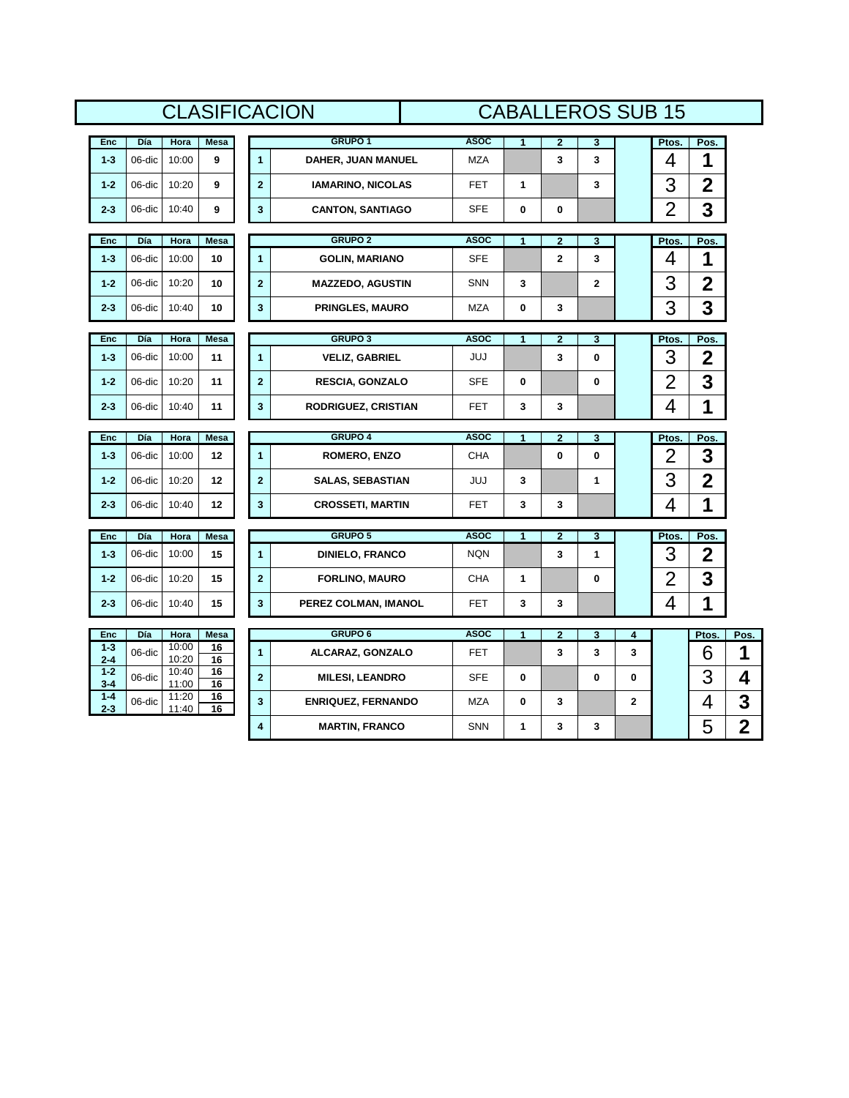|                             |               |                         |                |                         | <b>CLASIFICACION</b>                                |                           | <b>CABALLEROS SUB 15</b> |                     |                |             |                                  |                         |                |
|-----------------------------|---------------|-------------------------|----------------|-------------------------|-----------------------------------------------------|---------------------------|--------------------------|---------------------|----------------|-------------|----------------------------------|-------------------------|----------------|
| Enc                         | Día           | Hora                    | Mesa           |                         | GRUPO <sub>1</sub>                                  | <b>ASOC</b>               | $\mathbf{1}$             | $\overline{2}$      | $\mathbf{3}$   |             | Ptos.                            | Pos.                    |                |
| $1 - 3$                     | 06-dic        | 10:00                   | 9              | $\mathbf{1}$            | DAHER, JUAN MANUEL                                  | <b>MZA</b>                |                          | 3                   | 3              |             | 4                                | 1                       |                |
| $1 - 2$                     | 06-dic        | 10:20                   | 9              | $\overline{\mathbf{2}}$ | <b>IAMARINO, NICOLAS</b>                            | FET                       | 1                        |                     | 3              |             | 3                                | $\overline{\mathbf{2}}$ |                |
| $2 - 3$                     | 06-dic        | 10:40                   | 9              | $\mathbf{3}$            | <b>CANTON, SANTIAGO</b>                             | <b>SFE</b>                | 0                        | 0                   |                |             | $\overline{2}$                   | 3                       |                |
| Enc                         | Día           | Hora                    | <b>Mesa</b>    |                         | <b>GRUPO 2</b>                                      | <b>ASOC</b>               | $\mathbf{1}$             | $\mathbf{2}$        | 3              |             | Ptos.                            | Pos.                    |                |
| $1 - 3$                     | 06-dic        | 10:00                   | 10             | $\mathbf{1}$            | <b>GOLIN, MARIANO</b>                               | <b>SFE</b>                |                          | $\mathbf{2}$        | 3              |             | 4                                | 1                       |                |
| $1 - 2$                     | 06-dic        | 10:20                   | 10             | $\overline{\mathbf{2}}$ | <b>MAZZEDO, AGUSTIN</b>                             | <b>SNN</b>                | 3                        |                     | $\overline{2}$ |             | 3                                | $\overline{2}$          |                |
| $2 - 3$                     | 06-dic        | 10:40                   | 10             | $\mathbf{3}$            | <b>PRINGLES, MAURO</b>                              | <b>MZA</b>                | 0                        | 3                   |                |             | 3                                | 3                       |                |
| <b>Enc</b>                  | Día           | Hora                    | <b>Mesa</b>    |                         | <b>GRUPO 3</b>                                      | <b>ASOC</b>               | $\mathbf{1}$             | $\mathbf{2}$        | 3              |             | Ptos.                            | Pos.                    |                |
| $1 - 3$                     | 06-dic        | 10:00                   | 11             | $\mathbf{1}$            | <b>VELIZ, GABRIEL</b>                               | JUJ                       |                          | 3                   | 0              |             | 3                                | $\mathbf 2$             |                |
| $1 - 2$                     | 06-dic        | 10:20                   | 11             | $\mathbf{2}$            | RESCIA, GONZALO                                     | <b>SFE</b>                | 0                        |                     | 0              |             | $\overline{2}$                   | 3                       |                |
| $2 - 3$                     | 06-dic        | 10:40                   | 11             | $\mathbf{3}$            | <b>RODRIGUEZ, CRISTIAN</b>                          | FET                       | 3                        | 3                   |                |             | $\overline{4}$                   | 1                       |                |
|                             |               |                         |                |                         |                                                     |                           |                          |                     |                |             |                                  |                         |                |
| Enc                         | Día           | Hora                    | Mesa           |                         | <b>GRUPO 4</b>                                      | <b>ASOC</b>               | 1                        | 2                   | 3              |             | Ptos.                            | Pos.                    |                |
| $1-3$                       | 06-dic        | 10:00                   | 12             | $\mathbf{1}$            | ROMERO, ENZO                                        | <b>CHA</b>                |                          | $\mathbf 0$         | $\mathbf{0}$   |             | $\overline{2}$                   | 3                       |                |
| $1 - 2$                     | 06-dic        | 10:20                   | 12             | $\overline{2}$          | <b>SALAS, SEBASTIAN</b>                             | JUJ                       | 3                        |                     | 1              |             | 3                                | $\overline{\mathbf{2}}$ |                |
| $2 - 3$                     | 06-dic        | 10:40                   | 12             | $\mathbf{3}$            | <b>CROSSETI, MARTIN</b>                             | FET                       | 3                        | 3                   |                |             | 4                                | 1                       |                |
|                             |               |                         |                |                         |                                                     |                           |                          |                     |                |             |                                  |                         |                |
| Enc<br>$1 - 3$              | Día<br>06-dic | Hora<br>10:00           | Mesa<br>15     | $\mathbf{1}$            | <b>GRUPO 5</b><br><b>DINIELO, FRANCO</b>            | <b>ASOC</b><br><b>NQN</b> | $\mathbf{1}$             | $\mathbf{2}$<br>3   | 3<br>1         |             | Ptos.<br>3                       | Pos.                    |                |
| $1 - 2$                     | 06-dic        | 10:20                   | 15             | $\mathbf{2}$            | <b>FORLINO, MAURO</b>                               | <b>CHA</b>                | 1                        |                     | 0              |             |                                  | $\mathbf 2$             |                |
| $2 - 3$                     | 06-dic        | 10:40                   | 15             | $\mathbf{3}$            | PEREZ COLMAN, IMANOL                                | FET                       | 3                        | 3                   |                |             | $\overline{2}$<br>$\overline{4}$ | 3<br>1                  |                |
|                             |               |                         |                |                         |                                                     |                           |                          |                     |                |             |                                  |                         |                |
| Enc<br>$1 - 3$              | Día<br>06-dic | Hora<br>10:00           | Mesa<br>16     | $\mathbf{1}$            | <b>GRUPO 6</b><br>ALCARAZ, GONZALO                  | <b>ASOC</b><br>FET        | $\mathbf{1}$             | $\overline{2}$<br>3 | 3<br>3         | 4<br>3      |                                  | Ptos.                   |                |
| $2 - 4$<br>$1 - 2$          | 06-dic        | 10:20<br>10:40          | 16<br>16       | $\mathbf{2}$            |                                                     | <b>SFE</b>                | 0                        |                     | $\mathbf 0$    | 0           |                                  | 6                       | 1              |
| $3 - 4$<br>$1-4$<br>$2 - 3$ | 06-dic        | 11:00<br>11:20<br>11:40 | 16<br>16<br>16 | $\mathbf{3}$            | <b>MILESI, LEANDRO</b><br><b>ENRIQUEZ, FERNANDO</b> | <b>MZA</b>                | 0                        | 3                   |                | $\mathbf 2$ |                                  | 3<br>4                  | Pos.<br>4<br>3 |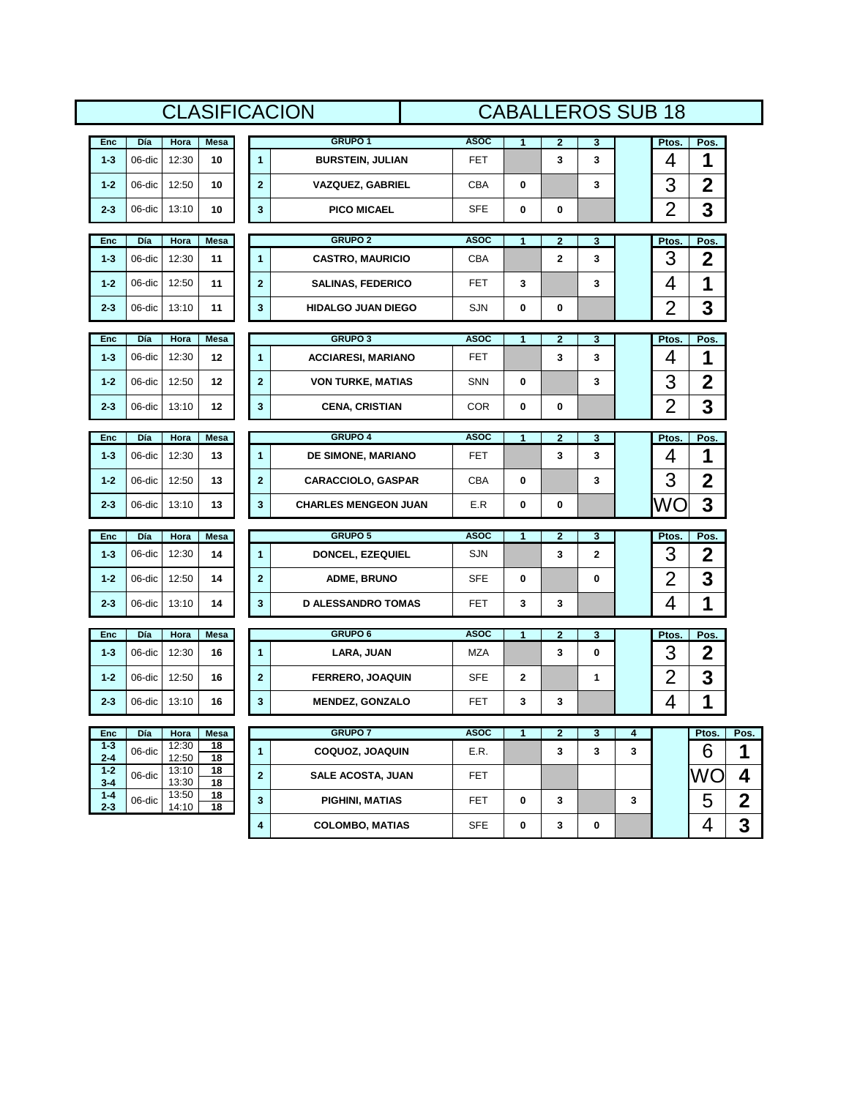|                    |        |                |             |                | <b>CLASIFICACION</b>        |             | <b>CABALLEROS SUB 18</b> |                         |              |   |                |              |             |
|--------------------|--------|----------------|-------------|----------------|-----------------------------|-------------|--------------------------|-------------------------|--------------|---|----------------|--------------|-------------|
| Enc                | Día    | Hora           | <b>Mesa</b> |                | <b>GRUPO 1</b>              | <b>ASOC</b> | $\mathbf{1}$             | $\mathbf{2}$            | 3            |   | Ptos.          | Pos.         |             |
| $1 - 3$            | 06-dic | 12:30          | 10          | $\mathbf{1}$   | <b>BURSTEIN, JULIAN</b>     | FET         |                          | 3                       | 3            |   | 4              | 1            |             |
| $1 - 2$            | 06-dic | 12:50          | 10          | $\overline{2}$ | <b>VAZQUEZ, GABRIEL</b>     | <b>CBA</b>  | $\mathbf 0$              |                         | 3            |   | 3              | $\mathbf{2}$ |             |
| $2 - 3$            | 06-dic | 13:10          | 10          | $\mathbf{3}$   | <b>PICO MICAEL</b>          | <b>SFE</b>  | 0                        | 0                       |              |   | $\overline{2}$ | 3            |             |
| Enc                | Día    | Hora           | <b>Mesa</b> |                | <b>GRUPO 2</b>              | <b>ASOC</b> | $\blacktriangleleft$     | $\overline{2}$          | 3            |   | Ptos.          | Pos.         |             |
| $1 - 3$            | 06-dic | 12:30          | 11          | $\mathbf{1}$   | <b>CASTRO, MAURICIO</b>     | <b>CBA</b>  |                          | $\mathbf{2}$            | 3            |   | 3              | $\mathbf 2$  |             |
| $1 - 2$            | 06-dic | 12:50          | 11          | $\mathbf{2}$   | <b>SALINAS, FEDERICO</b>    | FET         | 3                        |                         | 3            |   | 4              | 1            |             |
| $2 - 3$            | 06-dic | 13:10          | 11          | $\mathbf{3}$   | <b>HIDALGO JUAN DIEGO</b>   | <b>SJN</b>  | 0                        | 0                       |              |   | $\overline{2}$ | 3            |             |
|                    |        |                |             |                |                             |             |                          |                         |              |   |                |              |             |
| Enc                | Día    | Hora           | <b>Mesa</b> |                | <b>GRUPO 3</b>              | <b>ASOC</b> | 1                        | $\overline{2}$          | $\mathbf{3}$ |   | Ptos.          | Pos.         |             |
| $1 - 3$            | 06-dic | 12:30          | 12          | $\mathbf{1}$   | <b>ACCIARESI, MARIANO</b>   | <b>FET</b>  |                          | 3                       | 3            |   | 4              | 1            |             |
| $1 - 2$            | 06-dic | 12:50          | 12          | $\mathbf{2}$   | <b>VON TURKE, MATIAS</b>    | <b>SNN</b>  | 0                        |                         | 3            |   | 3              | $\mathbf 2$  |             |
| $2 - 3$            | 06-dic | 13:10          | 12          | $\mathbf{3}$   | <b>CENA, CRISTIAN</b>       | <b>COR</b>  | 0                        | 0                       |              |   | $\overline{2}$ | 3            |             |
| <b>Enc</b>         | Día    | Hora           | <b>Mesa</b> |                | <b>GRUPO 4</b>              | <b>ASOC</b> | $\mathbf{1}$             | $\overline{2}$          | 3            |   | Ptos.          | Pos.         |             |
| $1 - 3$            | 06-dic | 12:30          | 13          | $\mathbf{1}$   | DE SIMONE, MARIANO          | FET         |                          | 3                       | 3            |   | 4              | 1            |             |
| $1 - 2$            | 06-dic | 12:50          | 13          | $\bf{2}$       | <b>CARACCIOLO, GASPAR</b>   | <b>CBA</b>  | 0                        |                         | 3            |   | 3              | $\mathbf 2$  |             |
| $2 - 3$            | 06-dic | 13:10          | 13          | $\mathbf{3}$   | <b>CHARLES MENGEON JUAN</b> | E.R         | 0                        | 0                       |              |   | WO             | 3            |             |
| Enc                | Día    | Hora           | <b>Mesa</b> |                | <b>GRUPO 5</b>              | <b>ASOC</b> | 1                        | $\mathbf{2}$            | 3            |   | Ptos.          | Pos.         |             |
| $1 - 3$            | 06-dic | 12:30          | 14          | $\mathbf{1}$   | DONCEL, EZEQUIEL            | <b>SJN</b>  |                          | 3                       | 2            |   | 3              | $\mathbf 2$  |             |
| $1 - 2$            | 06-dic | 12:50          | 14          | $\bf{2}$       | ADME, BRUNO                 | <b>SFE</b>  | 0                        |                         | 0            |   | 2              | 3            |             |
| $2 - 3$            | 06-dic | 13:10          | 14          | $\mathbf{3}$   | <b>D ALESSANDRO TOMAS</b>   | FET         | 3                        | 3                       |              |   | $\overline{4}$ | 1            |             |
| Enc                | Día    | Hora           | <b>Mesa</b> |                | <b>GRUPO 6</b>              | <b>ASOC</b> | 1                        | $\overline{\mathbf{2}}$ | 3            |   | Ptos.          | Pos.         |             |
| $1 - 3$            | 06-dic | 12:30          | 16          | $\mathbf{1}$   | LARA, JUAN                  | MZA         |                          | 3                       | $\mathbf 0$  |   | 3              | $\mathbf 2$  |             |
| $1 - 2$            | 06-dic | 12:50          | 16          | $\bf{2}$       | <b>FERRERO, JOAQUIN</b>     | <b>SFE</b>  | 2                        |                         | 1            |   | $\overline{2}$ | 3            |             |
| $2 - 3$            | 06-dic | 13:10          | 16          | $\mathbf{3}$   | <b>MENDEZ, GONZALO</b>      | FET         | 3                        | 3                       |              |   | 4              | 1            |             |
|                    |        |                |             |                |                             |             |                          |                         |              |   |                |              |             |
| Enc<br>$1 - 3$     | Día    | Hora<br>12:30  | Mesa<br>18  |                | <b>GRUPO 7</b>              | <b>ASOC</b> | $\blacktriangleleft$     | $\mathbf{2}$            | $\mathbf{3}$ | 4 |                | Ptos.        | Pos.        |
| $2 - 4$<br>$1 - 2$ | 06-dic | 12:50<br>13:10 | 18<br>18    | $\mathbf{1}$   | COQUOZ, JOAQUIN             | E.R.        |                          | 3                       | $\mathbf{3}$ | 3 |                | 6            | 1           |
| $3 - 4$<br>$1 - 4$ | 06-dic | 13:30<br>13:50 | 18<br>18    | $\overline{2}$ | <b>SALE ACOSTA, JUAN</b>    | FET         |                          |                         |              |   |                | WO           | 4           |
| $2 - 3$            | 06-dic | 14:10          | 18          | 3              | PIGHINI, MATIAS             | FET         | $\bf{0}$                 | 3                       |              | 3 |                | 5            | $\mathbf 2$ |
|                    |        |                |             | 4              | <b>COLOMBO, MATIAS</b>      | <b>SFE</b>  | 0                        | 3                       | $\pmb{0}$    |   |                | 4            | 3           |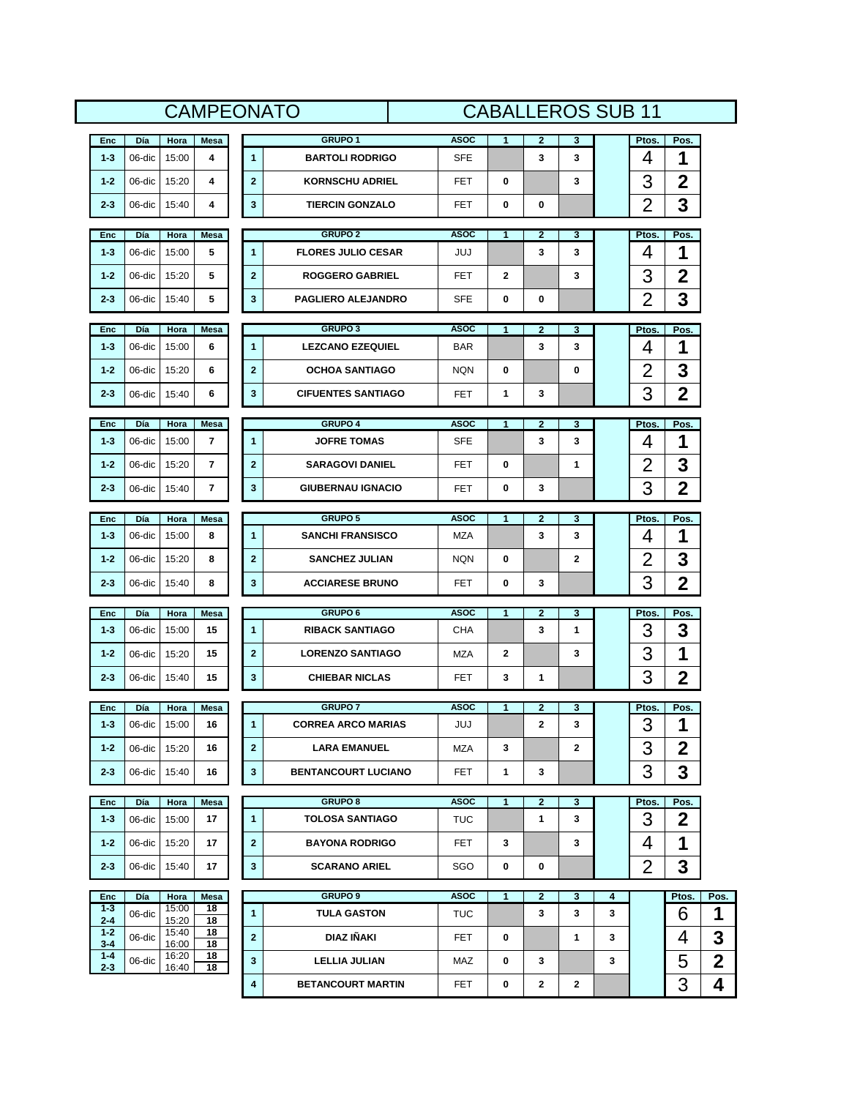|                       |               |                |             |                         | <b>CAMPEONATO</b>          |                    |              | <b>CABALLEROS SUB 11</b> |              |        |                |                |                         |
|-----------------------|---------------|----------------|-------------|-------------------------|----------------------------|--------------------|--------------|--------------------------|--------------|--------|----------------|----------------|-------------------------|
| Enc                   | Día           | Hora           | <b>Mesa</b> |                         | <b>GRUPO1</b>              | <b>ASOC</b>        | 1            | $\mathbf{2}$             | 3            |        | Ptos.          | Pos.           |                         |
| $1 - 3$               | 06-dic        | 15:00          | 4           | $\mathbf{1}$            | <b>BARTOLI RODRIGO</b>     | <b>SFE</b>         |              | 3                        | 3            |        | 4              | 1              |                         |
| $1 - 2$               | 06-dic        | 15:20          | 4           | $\overline{2}$          | <b>KORNSCHU ADRIEL</b>     | <b>FET</b>         | 0            |                          | 3            |        | 3              | $\mathbf{2}$   |                         |
| $2 - 3$               | 06-dic        | 15:40          | 4           | 3                       | <b>TIERCIN GONZALO</b>     | FET                | 0            | 0                        |              |        | $\overline{2}$ | 3              |                         |
|                       | Día           | Hora           | <b>Mesa</b> |                         | <b>GRUPO 2</b>             | <b>ASOC</b>        | 1            | $\mathbf{2}$             | 3            |        | Ptos.          | Pos.           |                         |
| Enc<br>$1 - 3$        | 06-dic        | 15:00          | 5           | $\mathbf{1}$            | <b>FLORES JULIO CESAR</b>  | JUJ                |              | 3                        | 3            |        | 4              | 1              |                         |
| $1 - 2$               | 06-dic        | 15:20          | 5           | $\mathbf{2}$            | <b>ROGGERO GABRIEL</b>     | <b>FET</b>         | 2            |                          | 3            |        | 3              | $\mathbf{2}$   |                         |
| $2 - 3$               | 06-dic        | 15:40          | 5           | 3                       | <b>PAGLIERO ALEJANDRO</b>  | SFE                | 0            | 0                        |              |        | $\overline{2}$ | 3              |                         |
|                       |               |                |             |                         |                            |                    |              |                          |              |        |                |                |                         |
| Enc                   | Día           | Hora           | Mesa        |                         | <b>GRUPO 3</b>             | <b>ASOC</b>        | $\mathbf{1}$ | $\mathbf{2}$             | 3            |        | Ptos.          | Pos.           |                         |
| $1 - 3$               | 06-dic        | 15:00          | 6           | $\mathbf{1}$            | <b>LEZCANO EZEQUIEL</b>    | <b>BAR</b>         |              | 3                        | 3            |        | 4              | 1              |                         |
| $1 - 2$               | 06-dic        | 15:20          | 6           | $\mathbf{2}$            | <b>OCHOA SANTIAGO</b>      | <b>NQN</b>         | 0            |                          | 0            |        | $\overline{2}$ | 3              |                         |
| $2 - 3$               | 06-dic        | 15:40          | 6           | 3                       | <b>CIFUENTES SANTIAGO</b>  | <b>FET</b>         | 1            | 3                        |              |        | 3              | $\mathbf{2}$   |                         |
| <b>Enc</b>            | Día           | Hora           | Mesa        |                         | <b>GRUPO 4</b>             | <b>ASOC</b>        | $\mathbf{1}$ | $\mathbf{2}$             | 3            |        | Ptos.          | Pos.           |                         |
| $1 - 3$               | 06-dic        | 15:00          | 7           | $\mathbf{1}$            | <b>JOFRE TOMAS</b>         | <b>SFE</b>         |              | 3                        | 3            |        | 4              | 1              |                         |
| $1 - 2$               | 06-dic        | 15:20          | 7           | $\overline{2}$          | <b>SARAGOVI DANIEL</b>     | <b>FET</b>         | 0            |                          | 1            |        | 2              | 3              |                         |
| $2 - 3$               | 06-dic        | 15:40          | 7           | 3                       | <b>GIUBERNAU IGNACIO</b>   | FET                | 0            | 3                        |              |        | 3              | $\overline{2}$ |                         |
| Enc                   | Día           | Hora           | Mesa        |                         | <b>GRUPO 5</b>             | <b>ASOC</b>        | $\mathbf{1}$ | $\mathbf{2}$             | 3            |        | Ptos.          | Pos.           |                         |
| $1 - 3$               | 06-dic        | 15:00          | 8           | $\mathbf{1}$            | <b>SANCHI FRANSISCO</b>    | MZA                |              | 3                        | 3            |        | 4              | 1              |                         |
| $1 - 2$               | 06-dic        | 15:20          | 8           | $\overline{2}$          | <b>SANCHEZ JULIAN</b>      | <b>NQN</b>         | 0            |                          | $\mathbf{2}$ |        | 2              | 3              |                         |
| $2 - 3$               | 06-dic        | 15:40          | 8           | 3                       | <b>ACCIARESE BRUNO</b>     | FET                | 0            | 3                        |              |        | 3              | 2              |                         |
|                       |               |                |             |                         | <b>GRUPO 6</b>             | <b>ASOC</b>        |              |                          |              |        |                |                |                         |
| Enc<br>$1 - 3$        | Día<br>06-dic | Hora<br>15:00  | Mesa<br>15  | $\mathbf{1}$            | <b>RIBACK SANTIAGO</b>     | CHA                | 1            | $\mathbf{2}$<br>3        | 3<br>1       |        | Ptos.<br>3     | Pos.<br>3      |                         |
| $1 - 2$               | 06-dic        | 15:20          | 15          | $\mathbf{2}$            | <b>LORENZO SANTIAGO</b>    | MZA                | 2            |                          | 3            |        | 3              | 1              |                         |
| $2 - 3$               | 06-dic        | 15:40          | 15          | $\mathbf{3}$            | <b>CHIEBAR NICLAS</b>      | <b>FET</b>         | 3            | 1                        |              |        | 3              | $\overline{2}$ |                         |
|                       |               |                |             |                         |                            |                    |              |                          |              |        |                |                |                         |
| <b>Enc</b>            | Día           | Hora           | Mesa        |                         | <b>GRUPO 7</b>             | <b>ASOC</b>        | 1            | $\mathbf 2$              | 3            |        | Ptos.          | Pos.           |                         |
| $1 - 3$               | $06$ -dic     | 15:00          | 16          | 1                       | <b>CORREA ARCO MARIAS</b>  | JUJ                |              | $\mathbf{2}$             | 3            |        | 3              | 1              |                         |
| $1 - 2$               | 06-dic        | 15:20          | 16          | $\mathbf{2}$            | <b>LARA EMANUEL</b>        | <b>MZA</b>         | 3            |                          | 2            |        | 3              | $\mathbf 2$    |                         |
| $2 - 3$               | 06-dic        | 15:40          | 16          | $\overline{\mathbf{3}}$ | <b>BENTANCOURT LUCIANO</b> | FET                | 1            | 3                        |              |        | 3              | 3              |                         |
| Enc                   | Día           | Hora           | Mesa        |                         | <b>GRUPO 8</b>             | <b>ASOC</b>        | $\mathbf{1}$ | $\mathbf{2}$             | 3            |        | Ptos.          | Pos.           |                         |
| $1 - 3$               | 06-dic        | 15:00          | 17          | $\mathbf{1}$            | <b>TOLOSA SANTIAGO</b>     | TUC                |              | 1                        | 3            |        | 3              | 2              |                         |
| $1 - 2$               | 06-dic        | 15:20          | 17          | $\mathbf{2}$            | <b>BAYONA RODRIGO</b>      | FET                | 3            |                          | 3            |        | 4              | 1              |                         |
| $2 - 3$               | 06-dic        | 15:40          | 17          | $\mathbf{3}$            | <b>SCARANO ARIEL</b>       | SGO                | 0            | 0                        |              |        | $\overline{2}$ | 3              |                         |
|                       |               |                |             |                         | <b>GRUPO 9</b>             |                    |              |                          |              |        |                |                |                         |
| <b>Enc</b><br>$1 - 3$ | Día<br>06-dic | Hora<br>15:00  | Mesa<br>18  | $\mathbf{1}$            | <b>TULA GASTON</b>         | <b>ASOC</b><br>TUC | $\mathbf{1}$ | 2<br>3                   | 3<br>3       | 4<br>3 |                | Ptos.<br>6     | Pos.<br>1               |
| $2 - 4$<br>$1 - 2$    | 06-dic        | 15:20<br>15:40 | 18<br>18    | $\overline{2}$          | DIAZ IÑAKI                 | <b>FET</b>         | 0            |                          | 1            | 3      |                | 4              | 3                       |
| $3 - 4$<br>$1 - 4$    | 06-dic        | 16:00<br>16:20 | 18<br>18    | 3                       | LELLIA JULIAN              | MAZ                | 0            | 3                        |              | 3      |                | 5              | $\overline{\mathbf{2}}$ |
| $2 - 3$               |               | 16:40          | 18          | 4                       | <b>BETANCOURT MARTIN</b>   | <b>FET</b>         | 0            | 2                        | 2            |        |                | 3              | 4                       |
|                       |               |                |             |                         |                            |                    |              |                          |              |        |                |                |                         |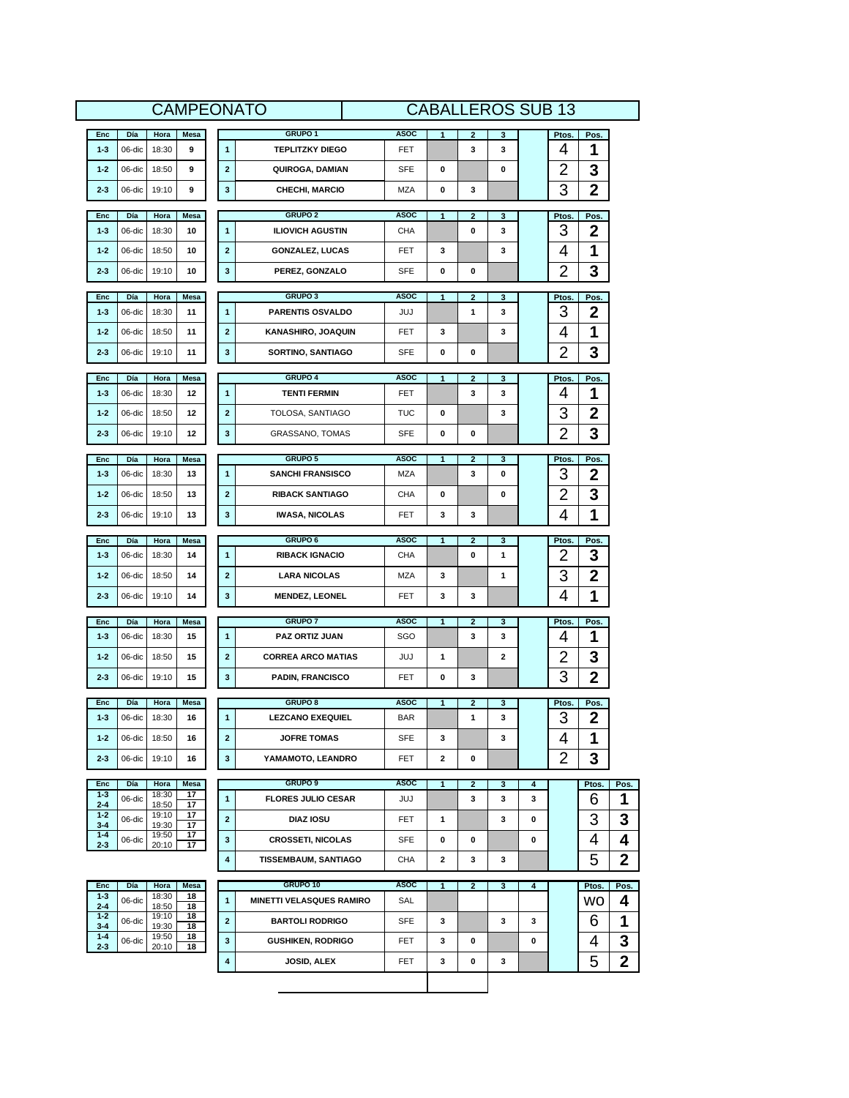|                    |                  |                | <b>CAMPEONATO</b> |                              |                                               |                           | <b>CABALLEROS SUB 13</b> |                     |        |   |                |                     |             |
|--------------------|------------------|----------------|-------------------|------------------------------|-----------------------------------------------|---------------------------|--------------------------|---------------------|--------|---|----------------|---------------------|-------------|
| Enc                | Día              | Hora           | Mesa              |                              | GRUPO <sub>1</sub>                            | <b>ASOC</b>               | 1                        | $\mathbf{2}$        | 3      |   | Ptos.          | Pos.                |             |
| $1 - 3$            | 06-dic           | 18:30          | 9                 | $\mathbf{1}$                 | <b>TEPLITZKY DIEGO</b>                        | FET                       |                          | 3                   | 3      |   | 4              | 1                   |             |
| $1 - 2$            | 06-dic           | 18:50          | 9                 | $\mathbf{2}$                 | QUIROGA, DAMIAN                               | <b>SFE</b>                | 0                        |                     | 0      |   | 2              | 3                   |             |
| $2 - 3$            | 06-dic           | 19:10          | 9                 | 3                            | <b>CHECHI, MARCIO</b>                         | MZA                       | 0                        | 3                   |        |   | 3              | $\overline{2}$      |             |
| Enc                | Día              | Hora           | Mesa              |                              | <b>GRUPO 2</b>                                | <b>ASOC</b>               | 1                        | $\overline{2}$      | 3      |   | Ptos.          | Pos.                |             |
| $1 - 3$            | 06-dic           | 18:30          | 10                | $\mathbf{1}$                 | <b>ILIOVICH AGUSTIN</b>                       | CHA                       |                          | 0                   | 3      |   | 3              | $\mathbf 2$         |             |
| $1 - 2$            | 06-dic           | 18:50          | 10                | $\overline{2}$               | <b>GONZALEZ, LUCAS</b>                        | FET                       | 3                        |                     | 3      |   | 4              | 1                   |             |
| $2 - 3$            | 06-dic           | 19:10          | 10                | 3                            | PEREZ, GONZALO                                | SFE                       | 0                        | 0                   |        |   | 2              | 3                   |             |
| Enc                | Día              | Hora           | Mesa              |                              | <b>GRUPO 3</b>                                | <b>ASOC</b>               | 1                        | $\mathbf{2}$        | 3      |   | Ptos.          | Pos.                |             |
| $1 - 3$            | 06-dic           | 18:30          | 11                | $\mathbf{1}$                 | <b>PARENTIS OSVALDO</b>                       | JUJ                       |                          | 1                   | 3      |   | 3              | $\mathbf 2$         |             |
| $1 - 2$            | 06-dic           | 18:50          | 11                | $\mathbf{2}$                 | KANASHIRO, JOAQUIN                            | FET                       | 3                        |                     | 3      |   | 4              | 1                   |             |
| $2 - 3$            | 06-dic           | 19:10          | 11                | 3                            | SORTINO, SANTIAGO                             | <b>SFE</b>                | 0                        | 0                   |        |   | $\overline{2}$ | 3                   |             |
| Enc                | Día              | Hora           | Mesa              |                              | GRUPO 4                                       | <b>ASOC</b>               | 1                        | $\overline{2}$      | 3      |   | Ptos.          | Pos.                |             |
| $1 - 3$            | 06-dic           | 18:30          | 12                | $\mathbf{1}$                 | <b>TENTI FERMIN</b>                           | FET                       |                          | 3                   | 3      |   | 4              | 1                   |             |
| $1 - 2$            | 06-dic           | 18:50          | 12                | $\mathbf{2}$                 | TOLOSA, SANTIAGO                              | <b>TUC</b>                | 0                        |                     | 3      |   | 3              | $\mathbf 2$         |             |
| $2 - 3$            | 06-dic           | 19:10          | 12                | 3                            | <b>GRASSANO, TOMAS</b>                        | <b>SFE</b>                | 0                        | 0                   |        |   | 2              | 3                   |             |
|                    |                  |                |                   |                              |                                               |                           |                          |                     |        |   |                |                     |             |
| Enc<br>$1 - 3$     | Día<br>06-dic    | Hora<br>18:30  | Mesa<br>13        | $\mathbf{1}$                 | <b>GRUPO 5</b><br><b>SANCHI FRANSISCO</b>     | <b>ASOC</b><br><b>MZA</b> | 1                        | $\mathbf{z}$<br>3   | з<br>0 |   | Ptos.<br>3     | Pos.<br>$\mathbf 2$ |             |
| $1 - 2$            | 06-dic           | 18:50          | 13                | $\mathbf{2}$                 | <b>RIBACK SANTIAGO</b>                        | CHA                       | 0                        |                     | 0      |   | 2              | 3                   |             |
| $2 - 3$            | 06-dic           | 19:10          | 13                | 3                            | <b>IWASA, NICOLAS</b>                         | <b>FET</b>                | 3                        | 3                   |        |   | 4              | 1                   |             |
|                    |                  |                |                   |                              |                                               |                           |                          |                     |        |   |                |                     |             |
| Enc<br>$1 - 3$     | Día<br>06-dic    | Hora<br>18:30  | Mesa<br>14        | $\mathbf{1}$                 | <b>GRUPO 6</b><br><b>RIBACK IGNACIO</b>       | <b>ASOC</b><br>CHA        | 1                        | $\overline{2}$<br>0 | 3<br>1 |   | Ptos.<br>2     | Pos.<br>3           |             |
| $1 - 2$            | 06-dic           | 18:50          | 14                | $\overline{\mathbf{2}}$      | <b>LARA NICOLAS</b>                           | <b>MZA</b>                | 3                        |                     | 1      |   | 3              | $\overline{2}$      |             |
| $2 - 3$            | 06-dic           | 19:10          | 14                | 3                            | <b>MENDEZ, LEONEL</b>                         | FET                       | 3                        | з                   |        |   | 4              | 1                   |             |
|                    |                  |                |                   |                              | <b>GRUPO 7</b>                                | <b>ASOC</b>               |                          |                     |        |   |                |                     |             |
| Enc<br>$1 - 3$     | Día<br>06-dic    | Hora<br>18:30  | <b>Mesa</b><br>15 | $\mathbf{1}$                 | PAZ ORTIZ JUAN                                | SGO                       | $\mathbf{1}$             | $\mathbf{2}$<br>3   | 3<br>3 |   | Ptos.<br>4     | Pos.<br>1           |             |
| $1 - 2$            | 06-dic           | 18:50          | 15                | $\mathbf 2$                  | <b>CORREA ARCO MATIAS</b>                     | JUJ                       | 1                        |                     | 2      |   | 2              | 3                   |             |
| $2 - 3$            | 06-dic           | 19:10          | 15                | 3                            | <b>PADIN, FRANCISCO</b>                       | FET                       | 0                        | з                   |        |   | 3              | $\mathbf{2}$        |             |
|                    |                  |                |                   |                              |                                               |                           |                          |                     |        |   |                |                     |             |
| Enc                | Día              | Hora           | Mesa              |                              | <b>GRUPO 8</b>                                | <b>ASOC</b>               | 1                        | $\overline{2}$      | 3      |   | Ptos.<br>⌒     | Pos.<br>◠           |             |
| $1 - 3$<br>$1 - 2$ | 06-dic<br>06-dic | 18:30<br>18:50 | 16<br>16          | $\mathbf{1}$<br>$\mathbf{2}$ | <b>LEZCANO EXEQUIEL</b><br><b>JOFRE TOMAS</b> | BAR<br>SFE                | 3                        | 1                   | з<br>3 |   | J<br>4         | ∠<br>1              |             |
| $2 - 3$            | 06-dic           | 19:10          | 16                | $\mathbf{3}$                 | YAMAMOTO, LEANDRO                             | FET                       | 2                        | 0                   |        |   | 2              | 3                   |             |
|                    |                  |                |                   |                              |                                               |                           |                          |                     |        |   |                |                     |             |
| Enc                | Día              | Hora           | <b>Mesa</b><br>17 |                              | GRUPO <sub>9</sub>                            | <b>ASOC</b>               | $\mathbf{1}$             | $\mathbf{2}$        | 3      | 4 |                | Ptos.               | Pos.        |
| $1 - 3$<br>$2 - 4$ | 06-dic           | 18:30<br>18:50 | 17                | $\mathbf{1}$                 | <b>FLORES JULIO CESAR</b>                     | JUJ                       |                          | 3                   | 3      | 3 |                | 6                   | 1           |
| $1 - 2$<br>$3 - 4$ | 06-dic           | 19:10<br>19:30 | 17<br>17          | $\boldsymbol{2}$             | <b>DIAZ IOSU</b>                              | FET                       | 1                        |                     | 3      | 0 |                | 3                   | 3           |
| $1 - 4$<br>$2 - 3$ | 06-dic           | 19:50<br>20:10 | 17<br>17          | 3                            | <b>CROSSETI, NICOLAS</b>                      | SFE                       | 0                        | $\pmb{0}$           |        | 0 |                | 4                   | 4           |
|                    |                  |                |                   | 4                            | <b>TISSEMBAUM, SANTIAGO</b>                   | CHA                       | 2                        | 3                   | 3      |   |                | 5                   | $\mathbf 2$ |
| Enc                | Día              | Hora           | Mesa              |                              | GRUPO 10                                      | <b>ASOC</b>               | 1                        | $\overline{2}$      | 3      | 4 |                | Ptos.               | Pos.        |
| $1 - 3$<br>$2 - 4$ | 06-dic           | 18:30<br>18:50 | 18<br>18          | $\mathbf{1}$                 | <b>MINETTI VELASQUES RAMIRO</b>               | SAL                       |                          |                     |        |   |                | wo                  | 4           |
| $1 - 2$<br>$3 - 4$ | 06-dic           | 19:10<br>19:30 | 18<br>18          | $\mathbf{2}$                 | <b>BARTOLI RODRIGO</b>                        | SFE                       | 3                        |                     | 3      | 3 |                | 6                   | 1           |
| $1 - 4$<br>$2 - 3$ | 06-dic           | 19:50<br>20:10 | 18<br>18          | 3                            | <b>GUSHIKEN, RODRIGO</b>                      | <b>FET</b>                | 3                        | 0                   |        | 0 |                | 4                   | 3           |
|                    |                  |                |                   | 4                            | <b>JOSID, ALEX</b>                            | FET                       | 3                        | 0                   | 3      |   |                | 5                   | $\mathbf 2$ |
|                    |                  |                |                   |                              |                                               |                           |                          |                     |        |   |                |                     |             |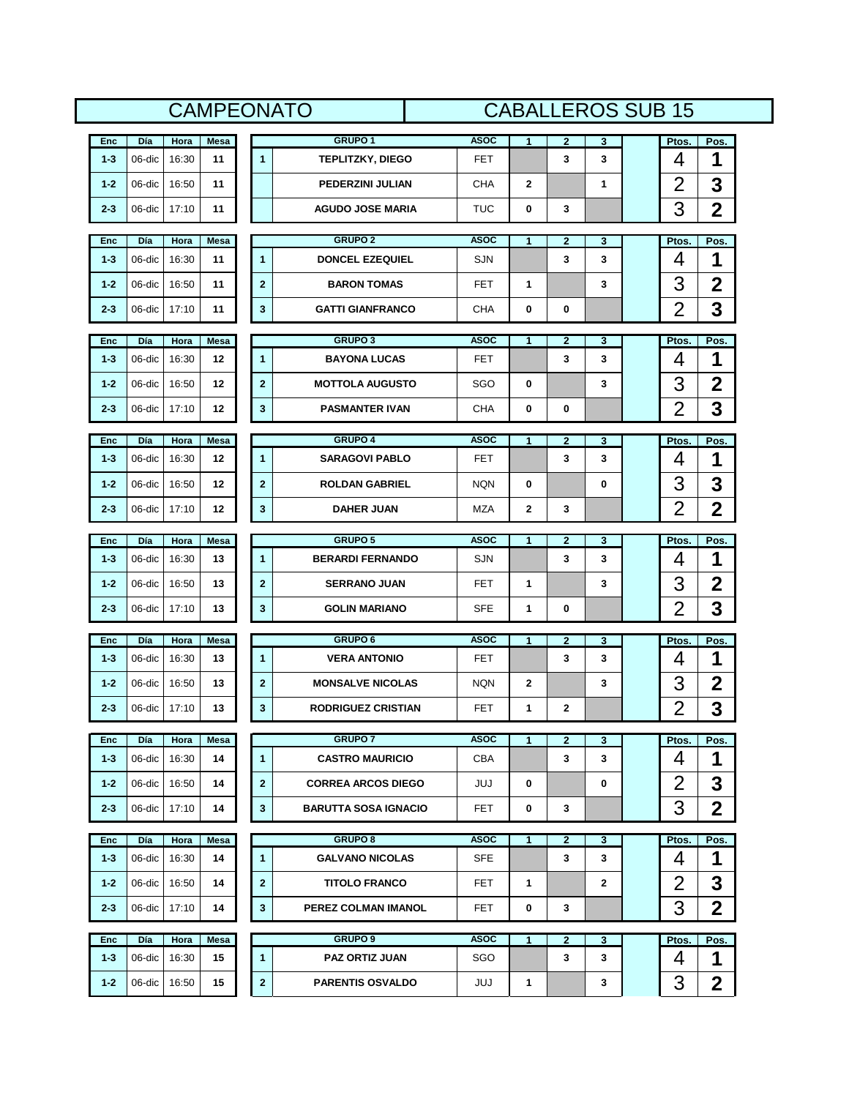|                |        |               |                 |                | <b>CAMPEONATO</b>           |             | <b>CABALLEROS SUB 15</b> |                |              |                |                         |  |
|----------------|--------|---------------|-----------------|----------------|-----------------------------|-------------|--------------------------|----------------|--------------|----------------|-------------------------|--|
| Enc            | Día    | Hora          | Mesa            |                | <b>GRUPO 1</b>              | <b>ASOC</b> | $\mathbf{1}$             | $\overline{2}$ | 3            | Ptos.          | Pos.                    |  |
| $1 - 3$        | 06-dic | 16:30         | 11              | $\mathbf{1}$   | <b>TEPLITZKY, DIEGO</b>     | <b>FET</b>  |                          | 3              | 3            | 4              | 1                       |  |
| $1 - 2$        | 06-dic | 16:50         | 11              |                | PEDERZINI JULIAN            | CHA         | $\overline{2}$           |                | 1            | 2              | 3                       |  |
| $2 - 3$        | 06-dic | 17:10         | 11              |                | <b>AGUDO JOSE MARIA</b>     | <b>TUC</b>  | 0                        | 3              |              | 3              | $\overline{2}$          |  |
| Enc            | Día    | Hora          | Mesa            |                | <b>GRUPO 2</b>              | <b>ASOC</b> | 1                        | $\overline{2}$ | 3            | Ptos.          | Pos.                    |  |
| $1 - 3$        | 06-dic | 16:30         | 11              | $\mathbf{1}$   | <b>DONCEL EZEQUIEL</b>      | <b>SJN</b>  |                          | 3              | 3            | 4              | 1                       |  |
| $1 - 2$        | 06-dic | 16:50         | 11              | $\mathbf{2}$   | <b>BARON TOMAS</b>          | <b>FET</b>  | $\mathbf{1}$             |                | 3            | 3              | $\overline{2}$          |  |
| $2 - 3$        | 06-dic | 17:10         | 11              | 3              | <b>GATTI GIANFRANCO</b>     | CHA         | 0                        | 0              |              | $\overline{2}$ | 3                       |  |
| Enc            | Día    | Hora          | Mesa            |                | <b>GRUPO 3</b>              | <b>ASOC</b> | $\mathbf{1}$             | $\overline{2}$ | 3            | Ptos.          | Pos.                    |  |
| $1 - 3$        | 06-dic | 16:30         | $12 \,$         | $\mathbf{1}$   | <b>BAYONA LUCAS</b>         | FET         |                          | 3              | 3            | 4              | 1                       |  |
| $1 - 2$        | 06-dic | 16:50         | 12              | $\mathbf{2}$   | <b>MOTTOLA AUGUSTO</b>      | SGO         | 0                        |                | 3            | 3              | $\mathbf 2$             |  |
| $2 - 3$        | 06-dic | 17:10         | 12              | 3              | <b>PASMANTER IVAN</b>       | CHA         | 0                        | 0              |              | $\overline{2}$ | 3                       |  |
|                | Día    |               |                 |                | <b>GRUPO 4</b>              | <b>ASOC</b> |                          | $\overline{2}$ |              | Ptos.          | Pos.                    |  |
| Enc<br>$1 - 3$ | 06-dic | Hora<br>16:30 | Mesa<br>$12 \,$ | $\mathbf{1}$   | <b>SARAGOVI PABLO</b>       | <b>FET</b>  | $\mathbf{1}$             | 3              | 3<br>3       | 4              | 1                       |  |
| $1 - 2$        | 06-dic | 16:50         | 12              | $\mathbf{2}$   | <b>ROLDAN GABRIEL</b>       | NQN         | 0                        |                | 0            | 3              | 3                       |  |
| $2 - 3$        | 06-dic | 17:10         | 12              | 3              | <b>DAHER JUAN</b>           | MZA         | $\mathbf{2}$             | 3              |              | $\overline{2}$ | $\overline{\mathbf{2}}$ |  |
|                |        |               |                 |                |                             |             |                          |                |              |                |                         |  |
| Enc            | Día    | Hora          | Mesa            |                | <b>GRUPO 5</b>              | <b>ASOC</b> | 1                        | $\overline{2}$ | 3            | Ptos.          | Pos.                    |  |
| $1 - 3$        | 06-dic | 16:30         | 13              | $\mathbf{1}$   | <b>BERARDI FERNANDO</b>     | <b>SJN</b>  |                          | 3              | 3            | 4              | 1                       |  |
| $1 - 2$        | 06-dic | 16:50         | 13              | $\mathbf{2}$   | <b>SERRANO JUAN</b>         | <b>FET</b>  | $\mathbf{1}$             |                | 3            | 3              | $\mathbf 2$             |  |
| $2 - 3$        | 06-dic | 17:10         | 13              | $\mathbf{3}$   | <b>GOLIN MARIANO</b>        | <b>SFE</b>  | 1                        | 0              |              | $\overline{2}$ | 3                       |  |
| Enc            | Día    | Hora          | Mesa            |                | <b>GRUPO 6</b>              | <b>ASOC</b> | $\blacktriangleleft$     | $\overline{2}$ | 3            | Ptos.          | Pos.                    |  |
| $1 - 3$        | 06-dic | 16:30         | 13              | $\mathbf{1}$   | <b>VERA ANTONIO</b>         | <b>FET</b>  |                          | 3              | 3            | 4              | 1                       |  |
| $1 - 2$        | 06-dic | 16:50         | 13              | $\mathbf{2}$   | <b>MONSALVE NICOLAS</b>     | NQN         | $\overline{2}$           |                | 3            | 3              | $\mathbf 2$             |  |
| $2 - 3$        |        | 06-dic 17:10  | 13              | 3              | <b>RODRIGUEZ CRISTIAN</b>   | FET         | 1                        | 2              |              | $\mathcal{P}$  | 3                       |  |
| Enc            | Día    | Hora          | Mesa            |                | <b>GRUPO 7</b>              | <b>ASOC</b> | 1                        | $\overline{2}$ | 3            | Ptos.          | Pos.                    |  |
| $1 - 3$        | 06-dic | 16:30         | 14              | $\mathbf{1}$   | <b>CASTRO MAURICIO</b>      | CBA         |                          | 3              | 3            | 4              | 1                       |  |
| $1 - 2$        | 06-dic | 16:50         | 14              | $\mathbf{2}$   | <b>CORREA ARCOS DIEGO</b>   | JUJ         | 0                        |                | 0            | 2              | 3                       |  |
| $2 - 3$        | 06-dic | 17:10         | 14              | 3              | <b>BARUTTA SOSA IGNACIO</b> | <b>FET</b>  | 0                        | 3              |              | 3              | $\mathbf 2$             |  |
| Enc            | Día    | Hora          | Mesa            |                | <b>GRUPO 8</b>              | <b>ASOC</b> | 1                        | $\overline{2}$ | 3            | Ptos.          | Pos.                    |  |
| $1 - 3$        | 06-dic | 16:30         | 14              | $\mathbf{1}$   | <b>GALVANO NICOLAS</b>      | <b>SFE</b>  |                          | 3              | 3            | 4              | 1                       |  |
| $1 - 2$        | 06-dic | 16:50         | 14              | $\mathbf{2}$   | <b>TITOLO FRANCO</b>        | <b>FET</b>  | 1                        |                | $\mathbf{2}$ | 2              | 3                       |  |
| $2 - 3$        | 06-dic | 17:10         | 14              | 3              | PEREZ COLMAN IMANOL         | <b>FET</b>  | 0                        | 3              |              | 3              | $\overline{\mathbf{2}}$ |  |
|                |        |               |                 |                |                             |             |                          |                |              |                |                         |  |
| Enc            | Día    | Hora          | Mesa            |                | <b>GRUPO 9</b>              | <b>ASOC</b> | 1                        | $\overline{2}$ | 3            | Ptos.          | Pos.                    |  |
| $1 - 3$        | 06-dic | 16:30         | 15              | $\mathbf{1}$   | <b>PAZ ORTIZ JUAN</b>       | SGO         |                          | 3              | 3            | 4              | 1                       |  |
| $1 - 2$        | 06-dic | 16:50         | 15              | $\overline{2}$ | <b>PARENTIS OSVALDO</b>     | JUJ         | 1                        |                | 3            | 3              | $\mathbf 2$             |  |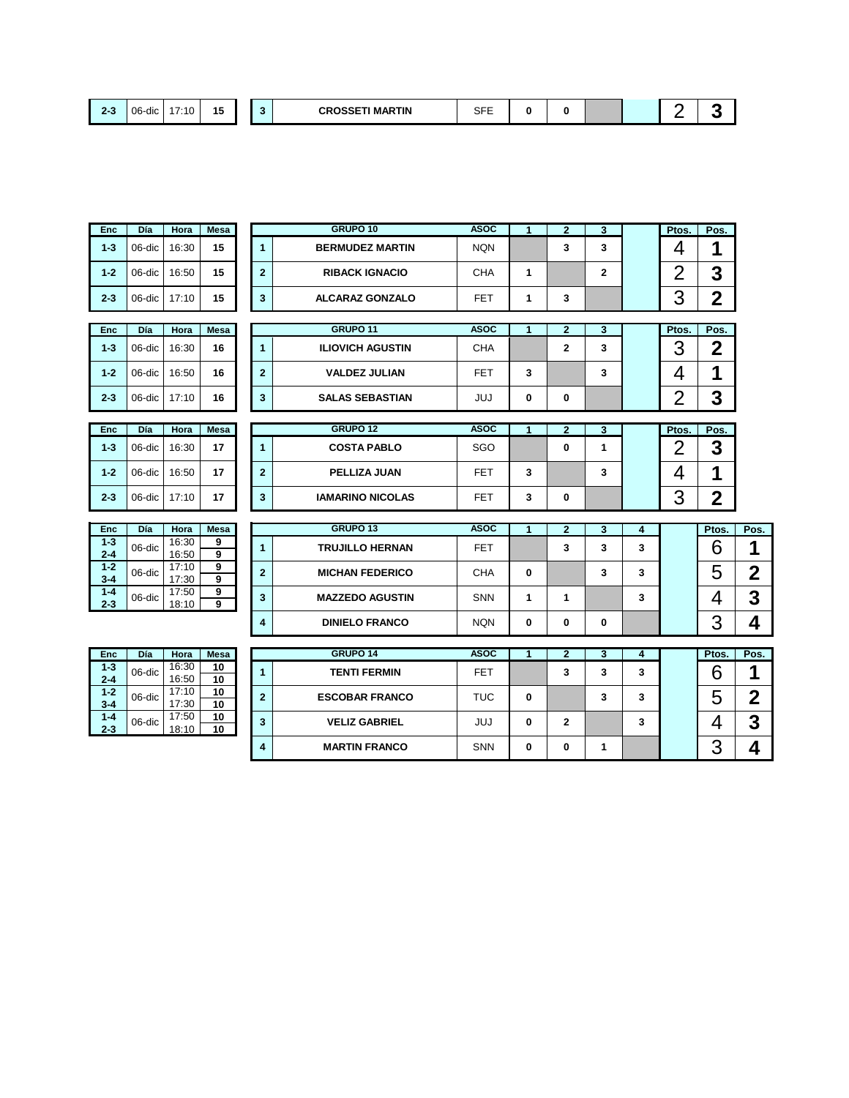| $2 - 3$ | $\cdots$<br>06-dic | $\overline{\phantom{a}}$<br>7.1C<br>$\sqrt{1 + 1}$ | 1 F<br>. . | . .<br> | <b>CROSSETI MARTIN</b> | CFT<br>ᆉᄇ |  |  |  |
|---------|--------------------|----------------------------------------------------|------------|---------|------------------------|-----------|--|--|--|

| Enc                | Día    | Hora           | <b>Mesa</b>              |                | GRUPO 10                | <b>ASOC</b> | 1 | $\mathbf{2}$   | 3                       |   | Ptos.          | Pos.           |             |
|--------------------|--------|----------------|--------------------------|----------------|-------------------------|-------------|---|----------------|-------------------------|---|----------------|----------------|-------------|
| $1 - 3$            | 06-dic | 16:30          | 15                       | 1              | <b>BERMUDEZ MARTIN</b>  | <b>NQN</b>  |   | 3              | 3                       |   | 4              | 1              |             |
| $1 - 2$            | 06-dic | 16:50          | 15                       | $\overline{2}$ | <b>RIBACK IGNACIO</b>   | <b>CHA</b>  | 1 |                | $\mathbf{2}$            |   | $\overline{2}$ | 3              |             |
| $2 - 3$            | 06-dic | 17:10          | 15                       | 3              | <b>ALCARAZ GONZALO</b>  | <b>FET</b>  | 1 | 3              |                         |   | 3              | $\overline{2}$ |             |
|                    |        |                |                          |                |                         |             |   |                |                         |   |                |                |             |
| Enc                | Día    | Hora           | <b>Mesa</b>              |                | GRUPO 11                | <b>ASOC</b> | 1 | $\overline{2}$ | $\overline{\mathbf{3}}$ |   | Ptos.          | Pos.           |             |
| $1 - 3$            | 06-dic | 16:30          | 16                       | 1              | <b>ILIOVICH AGUSTIN</b> | <b>CHA</b>  |   | $\mathbf{2}$   | 3                       |   | 3              | $\mathbf 2$    |             |
| $1 - 2$            | 06-dic | 16:50          | 16                       | $\overline{2}$ | <b>VALDEZ JULIAN</b>    | <b>FET</b>  | 3 |                | 3                       |   | 4              | 1              |             |
| $2 - 3$            | 06-dic | 17:10          | 16                       | 3              | <b>SALAS SEBASTIAN</b>  | <b>JUJ</b>  | 0 | 0              |                         |   | $\overline{2}$ | 3              |             |
|                    |        |                |                          |                |                         |             |   |                |                         |   |                |                |             |
| Enc                | Día    | Hora           | <b>Mesa</b>              |                | GRUPO <sub>12</sub>     | <b>ASOC</b> | 1 | $\overline{2}$ | 3                       |   | Ptos.          | Pos.           |             |
| $1 - 3$            | 06-dic | 16:30          | 17                       | 1              | <b>COSTA PABLO</b>      | SGO         |   | 0              | 1                       |   | $\overline{2}$ | 3              |             |
| $1 - 2$            | 06-dic | 16:50          | 17                       | $\overline{2}$ | PELLIZA JUAN            | <b>FET</b>  | 3 |                | 3                       |   | 4              | 1              |             |
| $2 - 3$            | 06-dic | 17:10          | 17                       | 3              | <b>IAMARINO NICOLAS</b> | <b>FET</b>  | 3 | 0              |                         |   | 3              | $\mathbf 2$    |             |
|                    |        |                |                          |                |                         |             |   |                |                         |   |                |                |             |
| Enc                | Día    | Hora           | <b>Mesa</b>              |                | GRUPO <sub>13</sub>     | <b>ASOC</b> | 1 | $\overline{2}$ | 3                       | 4 |                | Ptos.          | Pos.        |
| $1 - 3$<br>$2 - 4$ | 06-dic | 16:30<br>16:50 | 9<br>9                   | $\mathbf{1}$   | <b>TRUJILLO HERNAN</b>  | <b>FET</b>  |   | 3              | 3                       | 3 |                | 6              | 1           |
| $1 - 2$<br>$3 - 4$ | 06-dic | 17:10<br>17:30 | 9<br>9                   | $\overline{2}$ | <b>MICHAN FEDERICO</b>  | <b>CHA</b>  | 0 |                | 3                       | 3 |                | 5              | $\mathbf 2$ |
| $1 - 4$<br>$2 - 3$ | 06-dic | 17:50<br>18:10 | 9<br>9                   | 3              | <b>MAZZEDO AGUSTIN</b>  | <b>SNN</b>  | 1 | 1              |                         | 3 |                | 4              | 3           |
|                    |        |                |                          | 4              | <b>DINIELO FRANCO</b>   | <b>NQN</b>  | 0 | 0              | 0                       |   |                | 3              | 4           |
|                    |        |                |                          |                |                         |             |   |                |                         |   |                |                |             |
| Enc                | Día    | Hora           | <b>Mesa</b>              |                | GRUPO 14                | <b>ASOC</b> | 1 | $\overline{2}$ | 3                       | 4 |                | Ptos.          | Pos.        |
| $1 - 3$            | 06-dic | 16:30          | 10                       | 1              | <b>TENTI FERMIN</b>     | <b>FET</b>  |   | 3              | 3                       | 3 |                | 6              | 1           |
| $\sim$ $\sim$      |        | 10.50          | $\overline{\phantom{a}}$ |                |                         |             |   |                |                         |   |                |                |             |

| $2 - 3$ | 06-dic l   | $\cdots$<br>18:10 | $\cdot$<br>9 | 3            | <b>MAZZEDO AGUSTIN</b> | <b>SNN</b>  |   |                |   | 3 | ⊿      | 73<br>J |
|---------|------------|-------------------|--------------|--------------|------------------------|-------------|---|----------------|---|---|--------|---------|
|         |            |                   |              | 4            | <b>DINIELO FRANCO</b>  | <b>NQN</b>  | 0 | 0              | 0 |   | ◠<br>J |         |
| Enc     | <b>Día</b> | Hora              | <b>Mesa</b>  |              | <b>GRUPO 14</b>        | <b>ASOC</b> |   | $\overline{2}$ | 3 |   | Ptos.  |         |
|         |            |                   |              |              |                        |             |   |                |   | 4 |        | Pos.    |
| $1 - 3$ | 06-dic     | 16:30             | 10           |              | <b>TENTI FERMIN</b>    | <b>FET</b>  |   | 3              | 3 | 3 |        |         |
| $2 - 4$ |            | 16:50             | 10           |              |                        |             |   |                |   |   | 6      |         |
| $1 - 2$ | $06$ -dic  | 17:10             | 10           | $\mathbf{2}$ | <b>ESCOBAR FRANCO</b>  | <b>TUC</b>  | 0 |                | 3 | 3 | 5      | σ       |
| $3 - 4$ |            | 17:30             | 10           |              |                        |             |   |                |   |   |        |         |
| $1 - 4$ | $06$ -dic  | 17:50             | 10           | 3            | <b>VELIZ GABRIEL</b>   | JUJ         | 0 | 2              |   | 3 |        | າ       |
| $2 - 3$ |            | 18:10             | 10           |              |                        |             |   |                |   |   |        | J       |
|         |            |                   |              | 4            | <b>MARTIN FRANCO</b>   | <b>SNN</b>  | 0 | 0              | 4 |   | ◠      |         |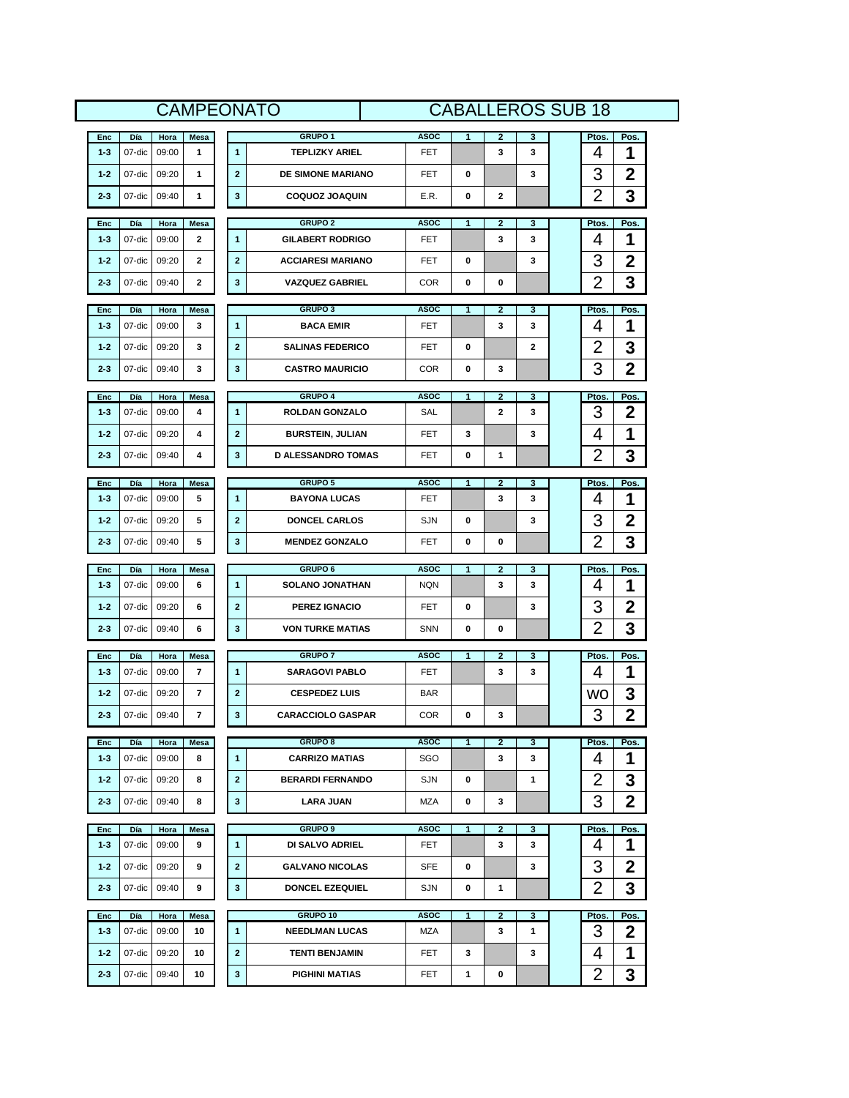|                |               |               |           |                         | <b>CAMPEONATO</b>                       |                     |              |                   |              | <b>CABALLEROS SUB 18</b> |                  |
|----------------|---------------|---------------|-----------|-------------------------|-----------------------------------------|---------------------|--------------|-------------------|--------------|--------------------------|------------------|
| Enc            | Día           | Hora          | Mesa      |                         | GRUPO <sub>1</sub>                      | <b>ASOC</b>         | 1            | $\mathbf{2}$      | 3            | Ptos.                    | Pos.             |
| $1 - 3$        | 07-dic        | 09:00         | 1         | $\mathbf{1}$            | <b>TEPLIZKY ARIEL</b>                   | FET                 |              | 3                 | 3            | 4                        | 1                |
| $1 - 2$        | 07-dic        | 09:20         | 1         | $\mathbf{2}$            | <b>DE SIMONE MARIANO</b>                | FET                 | 0            |                   | 3            | 3                        | 2                |
| $2 - 3$        | 07-dic        | 09:40         | 1         | $\mathbf{3}$            | <b>COQUOZ JOAQUIN</b>                   | E.R.                | 0            | 2                 |              | $\overline{2}$           | 3                |
|                |               |               |           |                         |                                         |                     |              |                   |              |                          |                  |
| Enc            | Día           | Hora          | Mesa      |                         | <b>GRUPO 2</b>                          | <b>ASOC</b>         | 1            | $\mathbf{2}$      | 3            | Ptos.                    | Pos.             |
| $1 - 3$        | 07-dic        | 09:00         | 2         | $\mathbf{1}$            | <b>GILABERT RODRIGO</b>                 | FET                 |              | 3                 | 3            | 1<br>4                   |                  |
| $1 - 2$        | 07-dic        | 09:20         | 2         | $\mathbf{2}$            | <b>ACCIARESI MARIANO</b>                | FET                 | 0            |                   | 3            | 3                        | $\mathbf 2$      |
| $2 - 3$        | 07-dic        | 09:40         | 2         | 3                       | <b>VAZQUEZ GABRIEL</b>                  | <b>COR</b>          | 0            | 0                 |              | 2                        | 3                |
| Enc            | Día           | Hora          | Mesa      |                         | GRUPO 3                                 | ASOC                | $\mathbf{1}$ | $\mathbf{2}$      | 3            | Ptos.                    | Pos.             |
| $1 - 3$        | 07-dic        | 09:00         | 3         | $\mathbf{1}$            | <b>BACA EMIR</b>                        | FET                 |              | 3                 | 3            | 1<br>4                   |                  |
| $1 - 2$        | 07-dic        | 09:20         | 3         | $\overline{2}$          | <b>SALINAS FEDERICO</b>                 | FET                 | 0            |                   | $\mathbf{2}$ | 2                        | 3                |
| $2 - 3$        | 07-dic        | 09:40         | 3         | $\mathbf{3}$            | <b>CASTRO MAURICIO</b>                  | <b>COR</b>          | 0            | 3                 |              | 3                        | $\boldsymbol{2}$ |
| Enc            | Día           | Hora          | Mesa      |                         | GRUPO 4                                 | <b>ASOC</b>         | 1            | $\overline{2}$    | 3            | Ptos.                    | Pos.             |
| $1 - 3$        | 07-dic        | 09:00         | 4         | $\mathbf{1}$            | ROLDAN GONZALO                          | SAL                 |              | $\mathbf{2}$      | 3            | 3                        | $\mathbf 2$      |
| $1 - 2$        | 07-dic        | 09:20         | 4         | $\overline{\mathbf{2}}$ | <b>BURSTEIN, JULIAN</b>                 | FET                 | 3            |                   | 3            | 4                        | 1                |
| $2 - 3$        | 07-dic        | 09:40         | 4         | 3                       | <b>D ALESSANDRO TOMAS</b>               | FET                 | 0            | 1                 |              | 2                        | 3                |
|                |               |               |           |                         |                                         |                     |              |                   |              |                          |                  |
| Enc            | Día           | Hora          | Mesa      |                         | GRUPO 5                                 | <b>ASOC</b>         | 1            | $\boldsymbol{2}$  | 3            | Ptos.<br>Pos.            |                  |
| $1 - 3$        | 07-dic        | 09:00         | 5         | $\overline{1}$          | <b>BAYONA LUCAS</b>                     | FET                 |              | 3                 | 3            | 4                        | 1                |
| $1 - 2$        | 07-dic        | 09:20         | 5         | $\mathbf{2}$            | <b>DONCEL CARLOS</b>                    | SJN                 | 0            |                   | 3            | 3                        | $\mathbf 2$      |
| $2 - 3$        | 07-dic        | 09:40         | 5         | 3                       | <b>MENDEZ GONZALO</b>                   | FET                 | 0            | 0                 |              | $\overline{2}$           | 3                |
| <b>Enc</b>     | Día           | Hora          | Mesa      |                         | <b>GRUPO 6</b>                          | <b>ASOC</b>         | 1            | $\mathbf{2}$      | 3            | Ptos.<br>Pos.            |                  |
| $1 - 3$        | 07-dic        | 09:00         | 6         | $\mathbf{1}$            | <b>SOLANO JONATHAN</b>                  | <b>NQN</b>          |              | 3                 | 3            | 1<br>4                   |                  |
| $1 - 2$        | 07-dic        | 09:20         | 6         | $\mathbf{2}$            | <b>PEREZ IGNACIO</b>                    | FET                 | 0            |                   | 3            | 3                        | $\mathbf 2$      |
| $2 - 3$        | 07-dic        | 09:40         | 6         | $\mathbf{3}$            | <b>VON TURKE MATIAS</b>                 | <b>SNN</b>          | 0            | 0                 |              | $\overline{2}$           | 3                |
|                |               |               |           |                         |                                         |                     |              |                   |              |                          |                  |
| Enc<br>$1 - 3$ | Día<br>07-dic | Hora<br>09:00 | Mesa<br>7 | $\mathbf{1}$            | <b>GRUPO 7</b><br><b>SARAGOVI PABLO</b> | <b>ASOC</b><br>FET. | 1            | $\mathbf{2}$<br>3 | 3<br>3       | Ptos.                    | Pos.             |
| $1 - 2$        | 07-dic        | 09:20         | 7         | $\mathbf{2}$            | <b>CESPEDEZ LUIS</b>                    | BAR                 |              |                   |              | 1<br>4                   | 3                |
| $2 - 3$        | 07-dic 09:40  |               | 7         | 3                       | <b>CARACCIOLO GASPAR</b>                | COR                 | $\mathbf 0$  | 3                 |              | wo<br>3                  | າ                |
|                |               |               |           |                         |                                         |                     |              |                   |              |                          | ▴                |
| Enc            | Día           | Hora          | Mesa      |                         | <b>GRUPO 8</b>                          | <b>ASOC</b>         | 1            | $\mathbf{2}$      | 3            | Ptos.                    | Pos.             |
| $1 - 3$        | 07-dic        | 09:00         | 8         | $\mathbf{1}$            | <b>CARRIZO MATIAS</b>                   | SGO                 |              | 3                 | 3            | 4                        | 1                |
| $1 - 2$        | 07-dic        | 09:20         | 8         | $\mathbf{2}$            | <b>BERARDI FERNANDO</b>                 | SJN                 | 0            |                   | 1            | 2                        | 3                |
| $2 - 3$        | 07-dic        | 09:40         | 8         | 3                       | LARA JUAN                               | <b>MZA</b>          | 0            | 3                 |              | 3                        | $\boldsymbol{2}$ |
|                |               |               |           |                         |                                         |                     |              |                   |              |                          |                  |
| Enc            | Día           | Hora          | Mesa      |                         | GRUPO <sub>9</sub>                      | <b>ASOC</b>         | 1            | $\mathbf{2}$      | 3            | Ptos.                    | Pos.             |
| $1 - 3$        | 07-dic        | 09:00         | 9         | $\mathbf{1}$            | DI SALVO ADRIEL                         | FET                 |              | 3                 | 3            | 4                        | 1                |
| $1 - 2$        | 07-dic        | 09:20         | 9         | $\mathbf{2}$            | <b>GALVANO NICOLAS</b>                  | <b>SFE</b>          | 0            |                   | 3            | 3                        | $\mathbf 2$      |
| $2 - 3$        | 07-dic        | 09:40         | 9         | 3                       | <b>DONCEL EZEQUIEL</b>                  | SJN                 | 0            | 1                 |              | 2                        | 3                |
| Enc            | Día           | Hora          | Mesa      |                         | GRUPO 10                                | <b>ASOC</b>         | $\mathbf{1}$ | $\mathbf{2}$      | 3            | Ptos.<br>Pos.            |                  |
| $1 - 3$        | 07-dic        | 09:00         | 10        | $\mathbf{1}$            | <b>NEEDLMAN LUCAS</b>                   | MZA                 |              | 3                 | 1            | 3                        | $\mathbf 2$      |
| $1 - 2$        | 07-dic        | 09:20         | 10        | $\mathbf{2}$            | <b>TENTI BENJAMIN</b>                   | FET.                | 3            |                   | 3            | 4                        | 1                |
| $2 - 3$        | 07-dic        | 09:40         | 10        | 3                       | <b>PIGHINI MATIAS</b>                   | FET                 | 1            | 0                 |              | $\overline{2}$           | 3                |
|                |               |               |           |                         |                                         |                     |              |                   |              |                          |                  |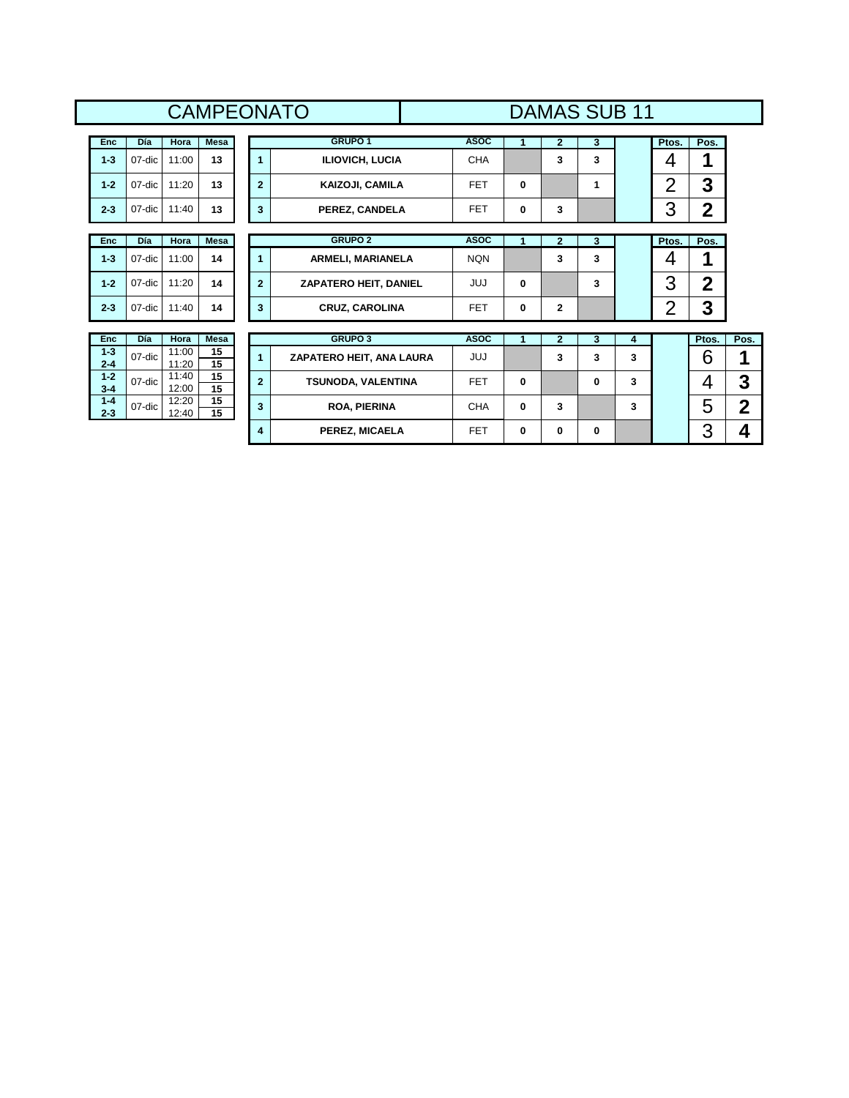|                    |        |                |             |                         | <b>CAMPEONATO</b>            |             |   | <b>DAMAS SUB 11</b> |          |   |                |                |                |
|--------------------|--------|----------------|-------------|-------------------------|------------------------------|-------------|---|---------------------|----------|---|----------------|----------------|----------------|
| Enc                | Día    | Hora           | <b>Mesa</b> |                         | GRUPO <sub>1</sub>           | <b>ASOC</b> | 1 | $\overline{2}$      | 3        |   | Ptos.          | Pos.           |                |
| $1 - 3$            | 07-dic | 11:00          | 13          | $\blacktriangleleft$    | ILIOVICH, LUCIA              | <b>CHA</b>  |   | 3                   | 3        |   | 4              | 1              |                |
| $1 - 2$            | 07-dic | 11:20          | 13          | $\overline{2}$          | <b>KAIZOJI, CAMILA</b>       | <b>FET</b>  | 0 |                     | 1        |   | $\overline{2}$ | 3              |                |
| $2 - 3$            | 07-dic | 11:40          | 13          | 3                       | PEREZ, CANDELA               | <b>FET</b>  | 0 | 3                   |          |   | 3              | $\mathbf 2$    |                |
| Enc                | Día    | <b>Hora</b>    | <b>Mesa</b> |                         | <b>GRUPO 2</b>               | <b>ASOC</b> | 1 | $\overline{2}$      | 3        |   | Ptos.          | Pos.           |                |
| $1 - 3$            | 07-dic | 11:00          | 14          | 1                       | ARMELI, MARIANELA            | <b>NQN</b>  |   | 3                   | 3        |   | 4              | 1              |                |
| $1 - 2$            | 07-dic | 11:20          | 14          | $\overline{2}$          | <b>ZAPATERO HEIT, DANIEL</b> | <b>JUJ</b>  | 0 |                     | 3        |   | 3              | $\overline{2}$ |                |
| $2 - 3$            | 07-dic | 11:40          | 14          | 3                       | <b>CRUZ, CAROLINA</b>        | <b>FET</b>  | 0 | $\mathbf{2}$        |          |   | $\overline{2}$ | 3              |                |
| Enc                | Día    | Hora           | <b>Mesa</b> |                         | <b>GRUPO 3</b>               | <b>ASOC</b> | 1 | $\overline{2}$      | 3        | 4 |                | Ptos.          | Pos.           |
| $1 - 3$<br>$2 - 4$ | 07-dic | 11:00<br>11:20 | 15<br>15    | $\blacktriangleleft$    | ZAPATERO HEIT, ANA LAURA     | JUJ         |   | 3                   | 3        | 3 |                | 6              | 1              |
| $1 - 2$<br>$3 - 4$ | 07-dic | 11:40<br>12:00 | 15<br>15    | $\overline{2}$          | <b>TSUNODA, VALENTINA</b>    | <b>FET</b>  | 0 |                     | $\bf{0}$ | 3 |                | 4              | 3              |
| $1 - 4$<br>$2 - 3$ | 07-dic | 12:20<br>12:40 | 15<br>15    | $\overline{\mathbf{3}}$ | <b>ROA, PIERINA</b>          | <b>CHA</b>  | 0 | 3                   |          | 3 |                | 5              | $\overline{2}$ |
|                    |        |                |             | 4                       | PEREZ, MICAELA               | <b>FET</b>  | 0 | 0                   | 0        |   |                | 3              | 4              |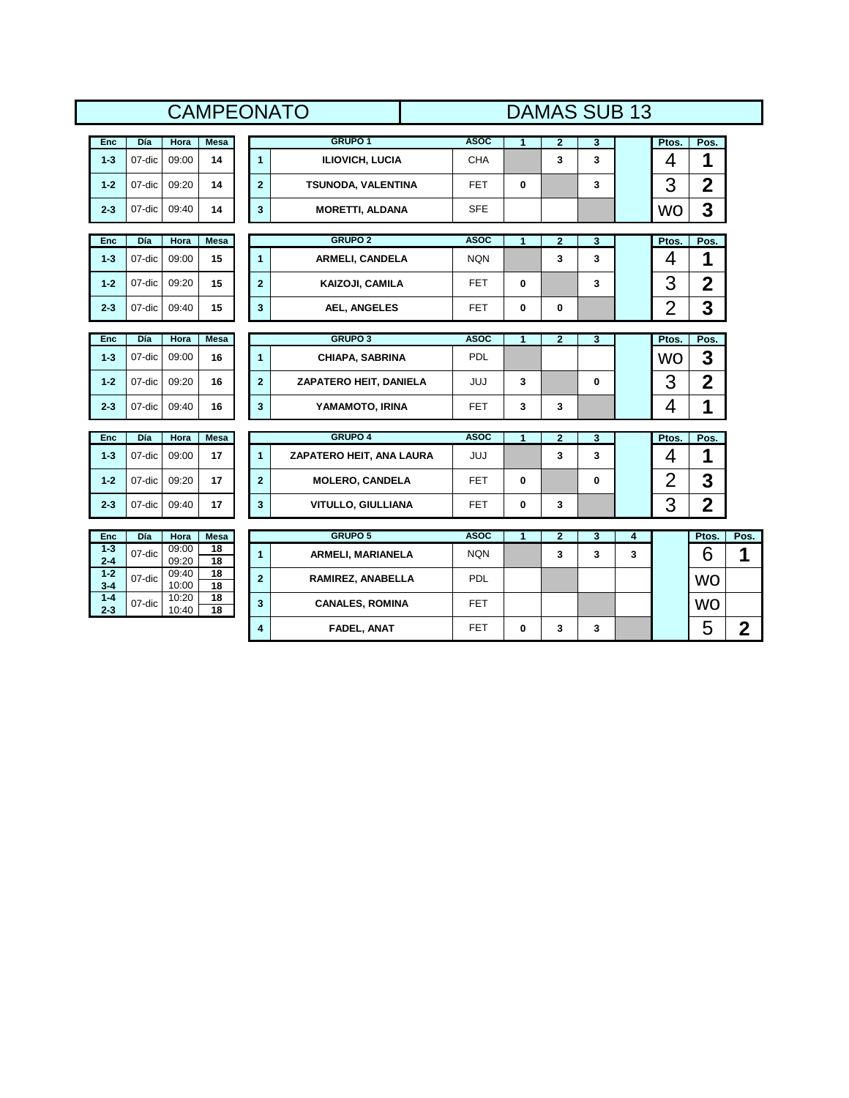|                    |        |                | <b>CAMPEONATO</b>     |                         |                          |             |              | <b>DAMAS SUB 13</b>     |              |        |                |                |             |
|--------------------|--------|----------------|-----------------------|-------------------------|--------------------------|-------------|--------------|-------------------------|--------------|--------|----------------|----------------|-------------|
| Enc                | Día    | Hora           | <b>Mesa</b>           |                         | GRUPO <sub>1</sub>       | <b>ASOC</b> | $\mathbf{1}$ | $\overline{2}$          | 3            |        | Ptos.          | Pos.           |             |
| $1 - 3$            | 07-dic | 09:00          | 14                    | $\blacktriangleleft$    | <b>ILIOVICH, LUCIA</b>   | <b>CHA</b>  |              | 3                       | 3            |        | 4              | 1              |             |
| $1 - 2$            | 07-dic | 09:20          | 14                    | $\overline{2}$          | TSUNODA, VALENTINA       | <b>FET</b>  | 0            |                         | 3            |        | 3              | $\mathbf 2$    |             |
| $2 - 3$            | 07-dic | 09:40          | 14                    | $\mathbf{3}$            | <b>MORETTI, ALDANA</b>   | <b>SFE</b>  |              |                         |              |        | <b>WO</b>      | 3              |             |
| Enc                | Día    | <b>Hora</b>    | <b>Mesa</b>           |                         | <b>GRUPO 2</b>           | <b>ASOC</b> | 1            | $\overline{2}$          | 3            |        | Ptos.          | Pos.           |             |
| $1 - 3$            | 07-dic | 09:00          | 15                    | $\overline{1}$          | <b>ARMELI, CANDELA</b>   | <b>NQN</b>  |              | 3                       | 3            |        | 4              | 1              |             |
| $1 - 2$            | 07-dic | 09:20          | 15                    | $\overline{2}$          | KAIZOJI, CAMILA          | <b>FET</b>  | 0            |                         | 3            |        | 3              | $\mathbf 2$    |             |
| $2 - 3$            | 07-dic | 09:40          | 15                    | $\mathbf{3}$            | <b>AEL, ANGELES</b>      | FET         | 0            | 0                       |              |        | $\overline{2}$ | 3              |             |
| Enc                | Día    | <b>Hora</b>    | <b>Mesa</b>           |                         | <b>GRUPO 3</b>           | <b>ASOC</b> | $\mathbf{1}$ | $\overline{\mathbf{2}}$ | $\mathbf{3}$ |        | Ptos.          | Pos.           |             |
| $1 - 3$            | 07-dic | 09:00          | 16                    | $\overline{1}$          | <b>CHIAPA, SABRINA</b>   | <b>PDL</b>  |              |                         |              |        | <b>WO</b>      | 3              |             |
| $1 - 2$            | 07-dic | 09:20          | 16                    | $\overline{2}$          | ZAPATERO HEIT, DANIELA   | <b>JUJ</b>  | 3            |                         | $\mathbf{0}$ |        | 3              | $\overline{2}$ |             |
| $2 - 3$            | 07-dic | 09:40          | 16                    | $\mathbf{3}$            | YAMAMOTO, IRINA          | <b>FET</b>  | 3            | 3                       |              |        | 4              | 1              |             |
| Enc                | Día    | Hora           | <b>Mesa</b>           |                         | <b>GRUPO 4</b>           | <b>ASOC</b> | 1            | $\overline{2}$          | 3            |        | Ptos.          | Pos.           |             |
| $1 - 3$            | 07-dic | 09:00          | 17                    | $\mathbf{1}$            | ZAPATERO HEIT, ANA LAURA | <b>JUJ</b>  |              | 3                       | 3            |        | 4              | 1              |             |
| $1 - 2$            | 07-dic | 09:20          | 17                    | $\overline{\mathbf{2}}$ | <b>MOLERO, CANDELA</b>   | FET.        | 0            |                         | $\mathbf 0$  |        | $\overline{2}$ | 3              |             |
| $2 - 3$            | 07-dic | 09:40          | 17                    | $\overline{\mathbf{3}}$ | VITULLO, GIULLIANA       | <b>FET</b>  | 0            | 3                       |              |        | 3              | $\overline{2}$ |             |
| Enc                | Día    | Hora           | <b>Mesa</b>           |                         | <b>GRUPO 5</b>           | <b>ASOC</b> | $\mathbf{1}$ | $\overline{\mathbf{2}}$ |              |        |                | Ptos.          | Pos.        |
| $1 - 3$            | 07-dic | 09:00          | 18                    | $\mathbf{1}$            | ARMELI, MARIANELA        | <b>NQN</b>  |              | 3                       | 3<br>3       | 4<br>3 |                | 6              | 1           |
| $2 - 4$<br>$1-2$   | 07-dic | 09:20<br>09:40 | 18<br>$\overline{18}$ | $\overline{2}$          | RAMIREZ, ANABELLA        | <b>PDL</b>  |              |                         |              |        |                |                |             |
| $3 - 4$<br>$1 - 4$ |        | 10:00<br>10:20 | $\overline{18}$<br>18 |                         |                          |             |              |                         |              |        |                | <b>WO</b>      |             |
| $2 - 3$            | 07-dic | 10:40          | 18                    | $\mathbf{3}$            | <b>CANALES, ROMINA</b>   | <b>FET</b>  |              |                         |              |        |                | <b>WO</b>      |             |
|                    |        |                |                       | 4                       | <b>FADEL, ANAT</b>       | <b>FET</b>  | 0            | 3                       | 3            |        |                | 5              | $\mathbf 2$ |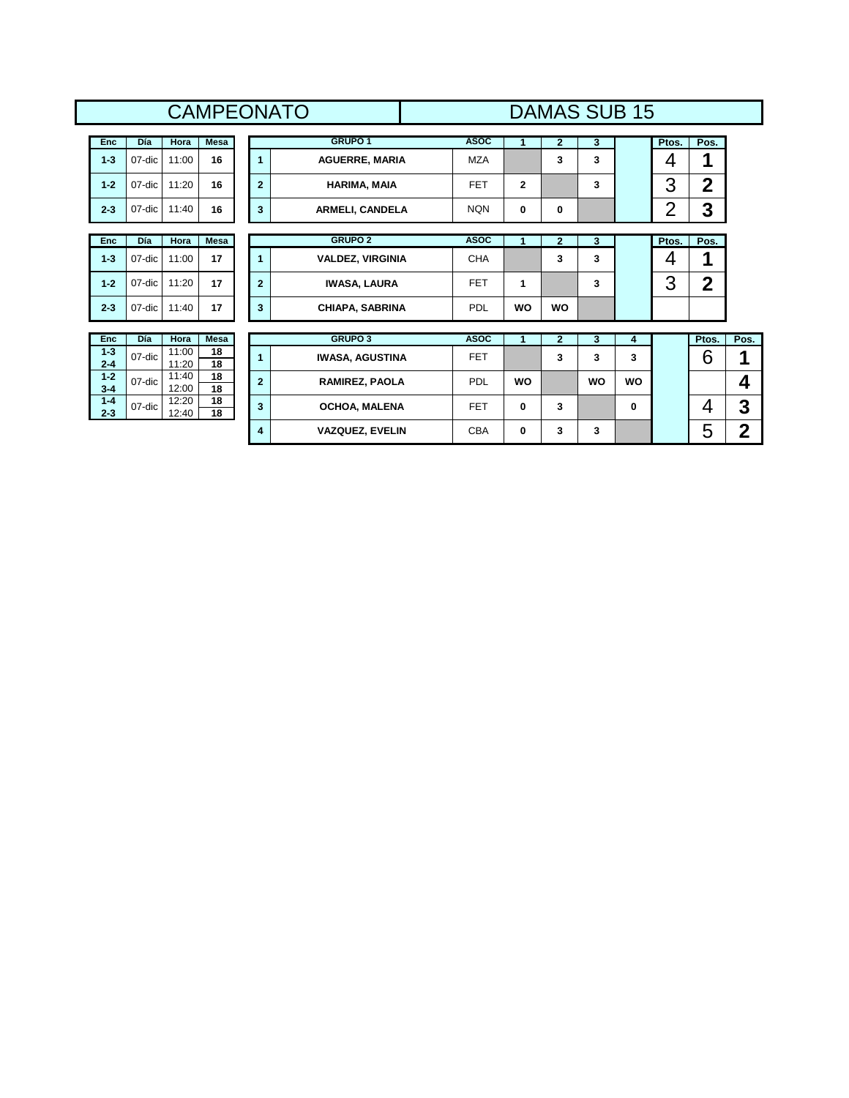|                    |        |                |             |                | <b>CAMPEONATO</b>       |             |              |                | <b>DAMAS SUB 15</b> |           |                |              |                |
|--------------------|--------|----------------|-------------|----------------|-------------------------|-------------|--------------|----------------|---------------------|-----------|----------------|--------------|----------------|
| <b>Enc</b>         | Día    | Hora           | <b>Mesa</b> |                | GRUPO 1                 | <b>ASOC</b> | 1            | $\overline{2}$ | 3                   |           | Ptos.          | Pos.         |                |
| $1 - 3$            | 07-dic | 11:00          | 16          | 1              | <b>AGUERRE, MARIA</b>   | <b>MZA</b>  |              | 3              | 3                   |           | 4              | 1            |                |
| $1 - 2$            | 07-dic | 11:20          | 16          | $\overline{2}$ | HARIMA, MAIA            | <b>FET</b>  | $\mathbf{2}$ |                | 3                   |           | 3              | $\mathbf 2$  |                |
| $2 - 3$            | 07-dic | 11:40          | 16          | 3              | ARMELI, CANDELA         | <b>NQN</b>  | 0            | 0              |                     |           | $\overline{2}$ | 3            |                |
| <b>Enc</b>         | Día    | Hora           | <b>Mesa</b> |                | <b>GRUPO 2</b>          | <b>ASOC</b> | 1            | $\overline{2}$ | 3                   |           | Ptos.          | Pos.         |                |
| $1 - 3$            | 07-dic | 11:00          | 17          | 1              | <b>VALDEZ, VIRGINIA</b> | <b>CHA</b>  |              | 3              | 3                   |           | 4              | 1            |                |
| $1 - 2$            | 07-dic | 11:20          | 17          | $\overline{2}$ | <b>IWASA, LAURA</b>     | <b>FET</b>  | 1            |                | 3                   |           | 3              | $\mathbf{2}$ |                |
| $2 - 3$            | 07-dic | 11:40          | 17          | 3              | <b>CHIAPA, SABRINA</b>  | <b>PDL</b>  | <b>WO</b>    | <b>WO</b>      |                     |           |                |              |                |
| Enc                | Día    | Hora           | <b>Mesa</b> |                | <b>GRUPO 3</b>          | <b>ASOC</b> | 1            | $\overline{2}$ | 3                   | 4         |                | Ptos.        | Pos.           |
| $1 - 3$<br>$2 - 4$ | 07-dic | 11:00<br>11:20 | 18<br>18    | 1              | <b>IWASA, AGUSTINA</b>  | <b>FET</b>  |              | 3              | 3                   | 3         |                | 6            | 1              |
| $1 - 2$<br>$3 - 4$ | 07-dic | 11:40<br>12:00 | 18<br>18    | $\overline{2}$ | <b>RAMIREZ, PAOLA</b>   | PDL         | <b>WO</b>    |                | <b>WO</b>           | <b>WO</b> |                |              | 4              |
| $1 - 4$<br>$2 - 3$ | 07-dic | 12:20<br>12:40 | 18<br>18    | 3              | <b>OCHOA, MALENA</b>    | <b>FET</b>  | $\bf{0}$     | 3              |                     | $\bf{0}$  |                | 4            | 3              |
|                    |        |                |             | 4              | <b>VAZQUEZ, EVELIN</b>  | CBA         | 0            | 3              | 3                   |           |                | 5            | $\overline{2}$ |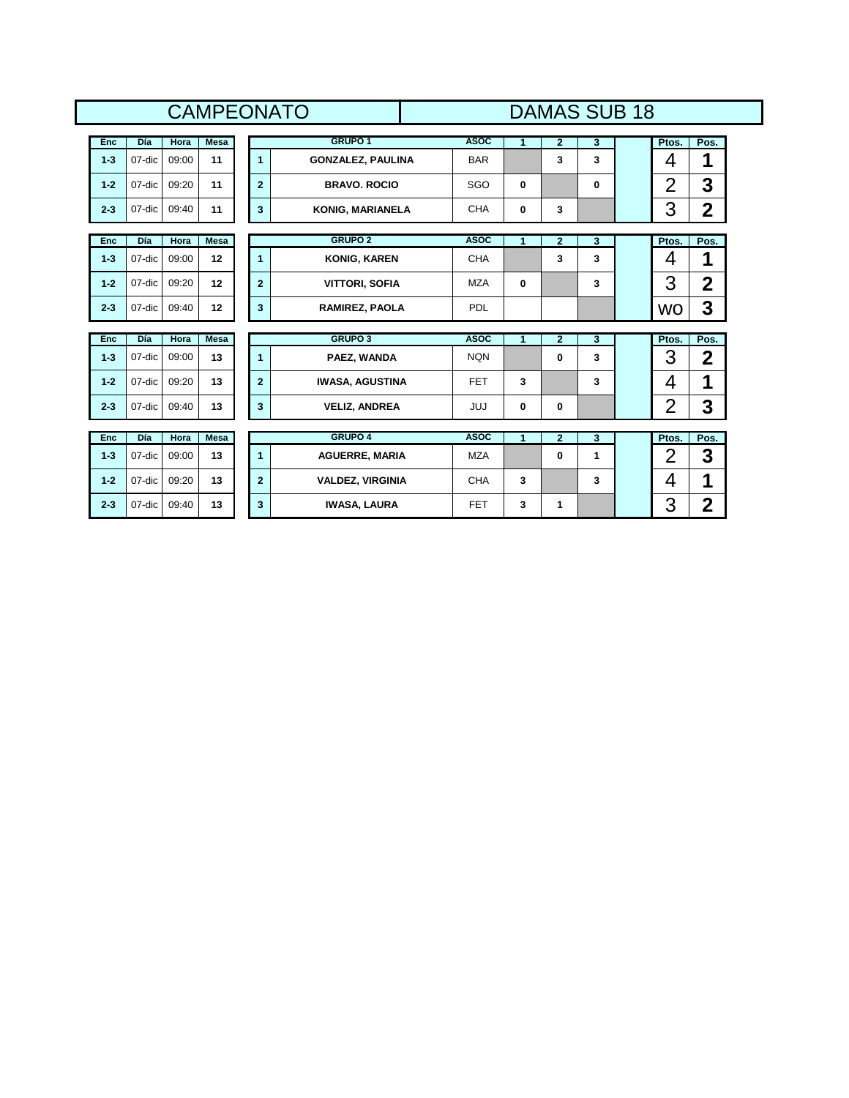|         |        |             |             |                | <b>CAMPEONATO</b>        |             |             | <b>DAMAS SUB 18</b>     |   |                |             |
|---------|--------|-------------|-------------|----------------|--------------------------|-------------|-------------|-------------------------|---|----------------|-------------|
| Enc     | Día    | Hora        | <b>Mesa</b> |                | GRUPO 1                  | <b>ASOC</b> | 1           | $\mathbf{2}$            | 3 | Ptos.          | Pos.        |
| $1 - 3$ | 07-dic | 09:00       | 11          | $\mathbf{1}$   | <b>GONZALEZ, PAULINA</b> | <b>BAR</b>  |             | 3                       | 3 | 4              | 1           |
| $1 - 2$ | 07-dic | 09:20       | 11          | $\overline{2}$ | <b>BRAVO, ROCIO</b>      | SGO         | $\bf{0}$    |                         | 0 | $\overline{2}$ | 3           |
| $2 - 3$ | 07-dic | 09:40       | 11          | $\mathbf{3}$   | <b>KONIG, MARIANELA</b>  | <b>CHA</b>  | $\bf{0}$    | 3                       |   | 3              | $\mathbf 2$ |
| Enc     | Día    | <b>Hora</b> | <b>Mesa</b> |                | <b>GRUPO 2</b>           | <b>ASOC</b> | 1           | $\overline{2}$          | 3 | Ptos.          | Pos.        |
| $1 - 3$ | 07-dic | 09:00       | 12          | $\mathbf{1}$   | <b>KONIG, KAREN</b>      | <b>CHA</b>  |             | 3                       | 3 | 4              | 1           |
| $1 - 2$ | 07-dic | 09:20       | 12          | $\overline{2}$ | <b>VITTORI, SOFIA</b>    | <b>MZA</b>  | $\mathbf 0$ |                         | 3 | 3              | $\mathbf 2$ |
| $2 - 3$ | 07-dic | 09:40       | 12          | 3              | <b>RAMIREZ, PAOLA</b>    | <b>PDL</b>  |             |                         |   | <b>WO</b>      | 3           |
| Enc     | Día    | Hora        | <b>Mesa</b> |                | <b>GRUPO 3</b>           | <b>ASOC</b> | 1           | $\overline{\mathbf{2}}$ | 3 | Ptos.          | Pos.        |
| $1 - 3$ | 07-dic | 09:00       | 13          | $\mathbf{1}$   | PAEZ, WANDA              | <b>NQN</b>  |             | 0                       | 3 | 3              | $\mathbf 2$ |
| $1 - 2$ | 07-dic | 09:20       | 13          | $\overline{2}$ | <b>IWASA, AGUSTINA</b>   | <b>FET</b>  | 3           |                         | 3 | 4              | 1           |
| $2 - 3$ | 07-dic | 09:40       | 13          | 3              | <b>VELIZ, ANDREA</b>     | <b>JUJ</b>  | $\bf{0}$    | $\mathbf{0}$            |   | $\overline{2}$ | 3           |
|         |        |             |             |                | <b>GRUPO 4</b>           | <b>ASOC</b> |             |                         |   | Ptos.          | Pos.        |
|         |        |             |             |                |                          |             | 1           | $\overline{2}$          | 3 |                |             |
| Enc     | Día    | Hora        | <b>Mesa</b> |                |                          |             |             |                         |   |                |             |
| $1 - 3$ | 07-dic | 09:00       | 13          | $\mathbf{1}$   | <b>AGUERRE, MARIA</b>    | <b>MZA</b>  |             | $\mathbf{0}$            | 1 | $\overline{2}$ | 3           |
| $1 - 2$ | 07-dic | 09:20       | 13          | $\overline{2}$ | <b>VALDEZ, VIRGINIA</b>  | <b>CHA</b>  | 3           |                         | 3 | 4              | 1           |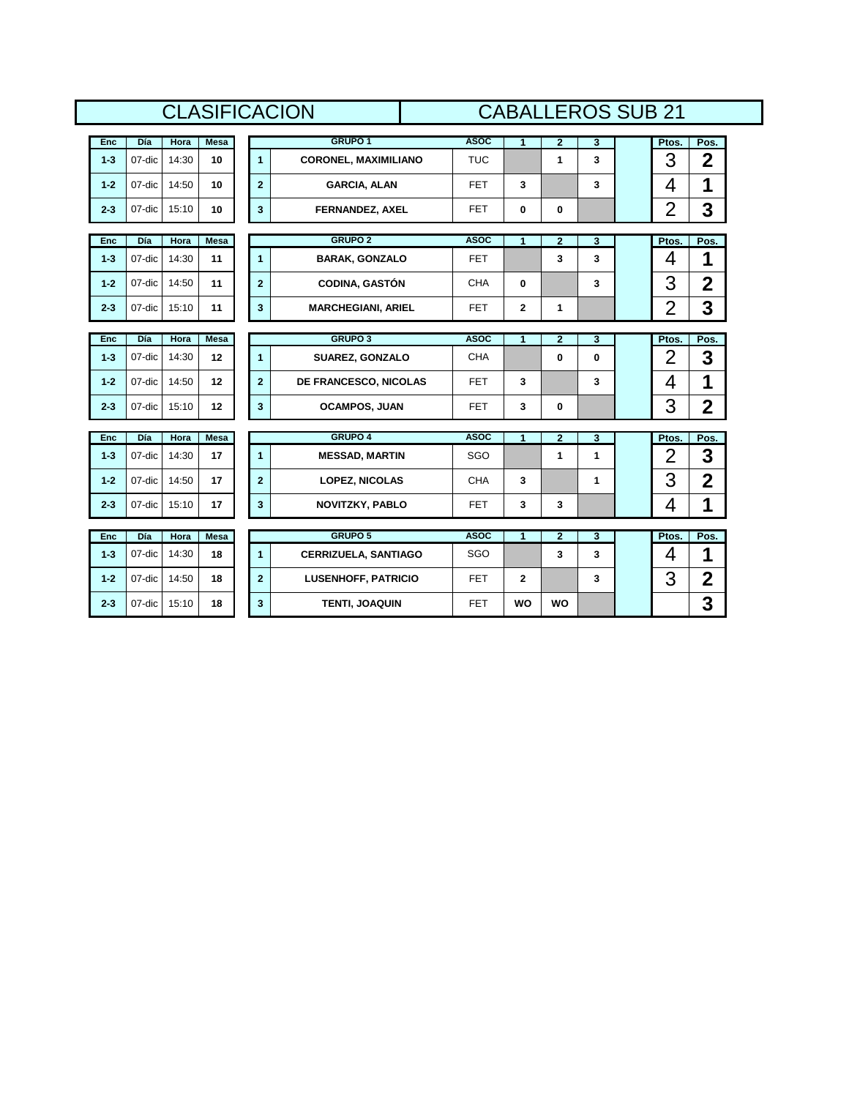|         |        |       |             |                | <b>CLASIFICACION</b>        |             | <b>CABALLEROS SUB 21</b> |                |   |                |                |
|---------|--------|-------|-------------|----------------|-----------------------------|-------------|--------------------------|----------------|---|----------------|----------------|
| Enc     | Día    | Hora  | <b>Mesa</b> |                | <b>GRUPO 1</b>              | <b>ASOC</b> | 1                        | $\overline{2}$ | 3 | Ptos.          | Pos.           |
| $1 - 3$ | 07-dic | 14:30 | 10          | $\mathbf{1}$   | <b>CORONEL, MAXIMILIANO</b> | <b>TUC</b>  |                          | 1              | 3 | 3              | $\mathbf 2$    |
| $1 - 2$ | 07-dic | 14:50 | 10          | $\overline{2}$ | <b>GARCIA, ALAN</b>         | <b>FET</b>  | 3                        |                | 3 | 4              | 1              |
| $2 - 3$ | 07-dic | 15:10 | 10          | 3              | <b>FERNANDEZ, AXEL</b>      | <b>FET</b>  | $\mathbf 0$              | 0              |   | $\overline{2}$ | 3              |
| Enc     | Día    | Hora  | <b>Mesa</b> |                | <b>GRUPO 2</b>              | <b>ASOC</b> | $\overline{1}$           | $\overline{2}$ | 3 | Ptos.          | Pos.           |
| $1 - 3$ | 07-dic | 14:30 | 11          | $\mathbf{1}$   | <b>BARAK, GONZALO</b>       | <b>FET</b>  |                          | 3              | 3 | 4              | 1              |
| $1 - 2$ | 07-dic | 14:50 | 11          | $\overline{2}$ | <b>CODINA, GASTÓN</b>       | <b>CHA</b>  | $\mathbf 0$              |                | 3 | 3              | $\overline{2}$ |
| $2 - 3$ | 07-dic | 15:10 | 11          | $\mathbf{3}$   | <b>MARCHEGIANI, ARIEL</b>   | <b>FET</b>  | $\mathbf{2}$             | 1              |   | $\overline{2}$ | 3              |
|         |        |       |             |                |                             |             |                          |                |   |                |                |
| Enc     | Día    | Hora  | <b>Mesa</b> |                | <b>GRUPO 3</b>              | <b>ASOC</b> | 1                        | $\overline{2}$ | 3 | Ptos.          | Pos.           |
| $1 - 3$ | 07-dic | 14:30 | 12          | $\mathbf{1}$   | <b>SUAREZ, GONZALO</b>      | <b>CHA</b>  |                          | 0              | 0 | $\overline{2}$ | 3              |
| $1 - 2$ | 07-dic | 14:50 | 12          | $\overline{2}$ | DE FRANCESCO, NICOLAS       | <b>FET</b>  | 3                        |                | 3 | 4              | 1              |
| $2 - 3$ | 07-dic | 15:10 | 12          | 3              | <b>OCAMPOS, JUAN</b>        | <b>FET</b>  | 3                        | 0              |   | 3              | $\mathbf 2$    |
| Enc     | Día    | Hora  | <b>Mesa</b> |                | <b>GRUPO 4</b>              | <b>ASOC</b> | 1                        | $\overline{2}$ | 3 | Ptos.          | Pos.           |
| $1 - 3$ | 07-dic | 14:30 | 17          | $\mathbf{1}$   | <b>MESSAD, MARTIN</b>       | SGO         |                          | 1              | 1 | $\overline{2}$ | 3              |
| $1 - 2$ | 07-dic | 14:50 | 17          | $\overline{2}$ | <b>LOPEZ, NICOLAS</b>       | <b>CHA</b>  | 3                        |                | 1 | 3              | $\overline{2}$ |
| $2 - 3$ | 07-dic | 15:10 | 17          | 3              | <b>NOVITZKY, PABLO</b>      | <b>FET</b>  | 3                        | 3              |   | 4              | 1              |
| Enc     | Día    | Hora  | <b>Mesa</b> |                | <b>GRUPO 5</b>              | <b>ASOC</b> | $\overline{1}$           | $\mathbf{2}$   | 3 | Ptos.          | Pos.           |
| $1 - 3$ | 07-dic | 14:30 | 18          | $\mathbf{1}$   | <b>CERRIZUELA, SANTIAGO</b> | SGO         |                          | 3              | 3 | 4              | 1              |
| $1 - 2$ | 07-dic | 14:50 | 18          | $\overline{2}$ | <b>LUSENHOFF, PATRICIO</b>  | <b>FET</b>  | $\mathbf{2}$             |                | 3 | 3              | $\mathbf 2$    |
| $2 - 3$ | 07-dic | 15:10 | 18          | 3              | <b>TENTI, JOAQUIN</b>       | <b>FET</b>  | <b>WO</b>                | <b>WO</b>      |   |                | 3              |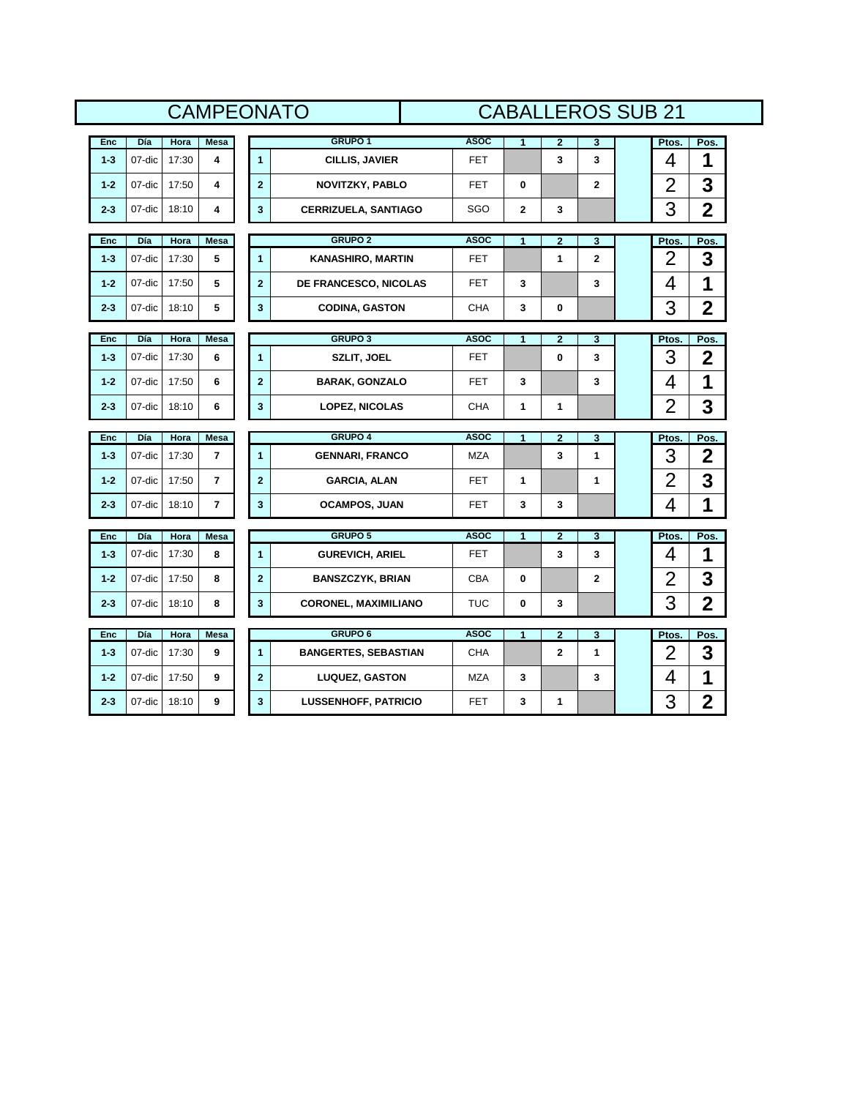|         |        |       |                |                         | <b>CAMPEONATO</b>            |             |                | <b>CABALLEROS SUB 21</b> |              |                |                         |
|---------|--------|-------|----------------|-------------------------|------------------------------|-------------|----------------|--------------------------|--------------|----------------|-------------------------|
| Enc     | Día    | Hora  | Mesa           |                         | GRUPO <sub>1</sub>           | <b>ASOC</b> | $\mathbf{1}$   | $\mathbf{2}$             | 3            | Ptos.          | Pos.                    |
| $1 - 3$ | 07-dic | 17:30 | 4              | $\overline{1}$          | <b>CILLIS, JAVIER</b>        | <b>FET</b>  |                | 3                        | 3            | 4              | 1                       |
| $1 - 2$ | 07-dic | 17:50 | 4              | $\overline{\mathbf{2}}$ | <b>NOVITZKY, PABLO</b>       | <b>FET</b>  | $\mathbf 0$    |                          | $\mathbf{2}$ | $\overline{2}$ | 3                       |
| $2 - 3$ | 07-dic | 18:10 | 4              | $\mathbf{3}$            | <b>CERRIZUELA, SANTIAGO</b>  | SGO         | 2              | 3                        |              | 3              | $\overline{2}$          |
|         |        |       |                |                         |                              |             |                |                          |              |                |                         |
| Enc     | Día    | Hora  | <b>Mesa</b>    |                         | <b>GRUPO 2</b>               | <b>ASOC</b> | $\overline{1}$ | $\overline{2}$           | 3            | Ptos.          | Pos.                    |
| $1 - 3$ | 07-dic | 17:30 | 5              | $\overline{1}$          | <b>KANASHIRO, MARTIN</b>     | <b>FET</b>  |                | 1                        | $\mathbf 2$  | $\overline{2}$ | 3                       |
| $1 - 2$ | 07-dic | 17:50 | 5              | $\overline{2}$          | <b>DE FRANCESCO, NICOLAS</b> | <b>FET</b>  | 3              |                          | 3            | 4              | 1                       |
| $2 - 3$ | 07-dic | 18:10 | 5              | $\mathbf{3}$            | <b>CODINA, GASTON</b>        | <b>CHA</b>  | 3              | $\mathbf 0$              |              | 3              | $\overline{\mathbf{2}}$ |
| Enc     | Día    | Hora  | <b>Mesa</b>    |                         | <b>GRUPO 3</b>               | <b>ASOC</b> | $\mathbf{1}$   | $\overline{2}$           | 3            | Ptos.          | Pos.                    |
| $1 - 3$ | 07-dic | 17:30 | 6              | $\overline{1}$          | SZLIT, JOEL                  | <b>FET</b>  |                | $\mathbf 0$              | 3            | 3              | $\overline{2}$          |
|         |        |       |                |                         |                              |             |                |                          |              |                |                         |
| $1 - 2$ | 07-dic | 17:50 | 6              | $\mathbf{2}$            | <b>BARAK, GONZALO</b>        | <b>FET</b>  | 3              |                          | 3            | 4              | 1                       |
| $2 - 3$ | 07-dic | 18:10 | 6              | 3                       | <b>LOPEZ, NICOLAS</b>        | <b>CHA</b>  | $\mathbf{1}$   | $\mathbf{1}$             |              | $\overline{2}$ | 3                       |
| Enc     | Día    | Hora  | Mesa           |                         | <b>GRUPO 4</b>               | <b>ASOC</b> | 1              | $\overline{2}$           | 3            | Ptos.          | Pos.                    |
| $1 - 3$ | 07-dic | 17:30 | 7              | $\mathbf{1}$            | <b>GENNARI, FRANCO</b>       | <b>MZA</b>  |                | 3                        | 1            | 3              | $\boldsymbol{2}$        |
| $1 - 2$ | 07-dic | 17:50 | $\overline{7}$ | $\overline{2}$          | <b>GARCIA, ALAN</b>          | <b>FET</b>  | $\mathbf{1}$   |                          | $\mathbf{1}$ | $\overline{2}$ | 3                       |
| $2 - 3$ | 07-dic | 18:10 | 7              | $\mathbf{3}$            | <b>OCAMPOS, JUAN</b>         | <b>FET</b>  | 3              | 3                        |              | 4              | 1                       |
| Enc     | Día    | Hora  | <b>Mesa</b>    |                         | <b>GRUPO 5</b>               | <b>ASOC</b> | $\overline{1}$ | $\mathbf{2}$             | 3            | Ptos.          | Pos.                    |
| $1 - 3$ | 07-dic | 17:30 | 8              | $\overline{1}$          | <b>GUREVICH, ARIEL</b>       | <b>FET</b>  |                | 3                        | 3            | 4              | 1                       |
|         |        |       |                |                         |                              |             |                |                          |              |                |                         |
| $1 - 2$ | 07-dic | 17:50 | 8              | $\mathbf{2}$            | <b>BANSZCZYK, BRIAN</b>      | CBA         | 0              |                          | $\mathbf{2}$ | $\overline{2}$ | 3                       |
| $2 - 3$ | 07-dic | 18:10 | 8              | $\mathbf{3}$            | <b>CORONEL, MAXIMILIANO</b>  | <b>TUC</b>  | 0              | 3                        |              | 3              | $\overline{2}$          |
| Enc     | Día    | Hora  | Mesa           |                         | <b>GRUPO 6</b>               | <b>ASOC</b> | 1              | $\overline{2}$           | 3            | Ptos.          | Pos.                    |
|         | 07-dic | 17:30 | 9              | $\overline{1}$          | <b>BANGERTES, SEBASTIAN</b>  | CHA         |                | $\mathbf{2}$             | $\mathbf{1}$ | 2              | 3                       |
| $1 - 3$ |        |       |                |                         |                              |             |                |                          |              |                |                         |
| $1 - 2$ | 07-dic | 17:50 | 9              | $\overline{\mathbf{2}}$ | <b>LUQUEZ, GASTON</b>        | <b>MZA</b>  | 3              |                          | 3            | 4              | 1                       |

a l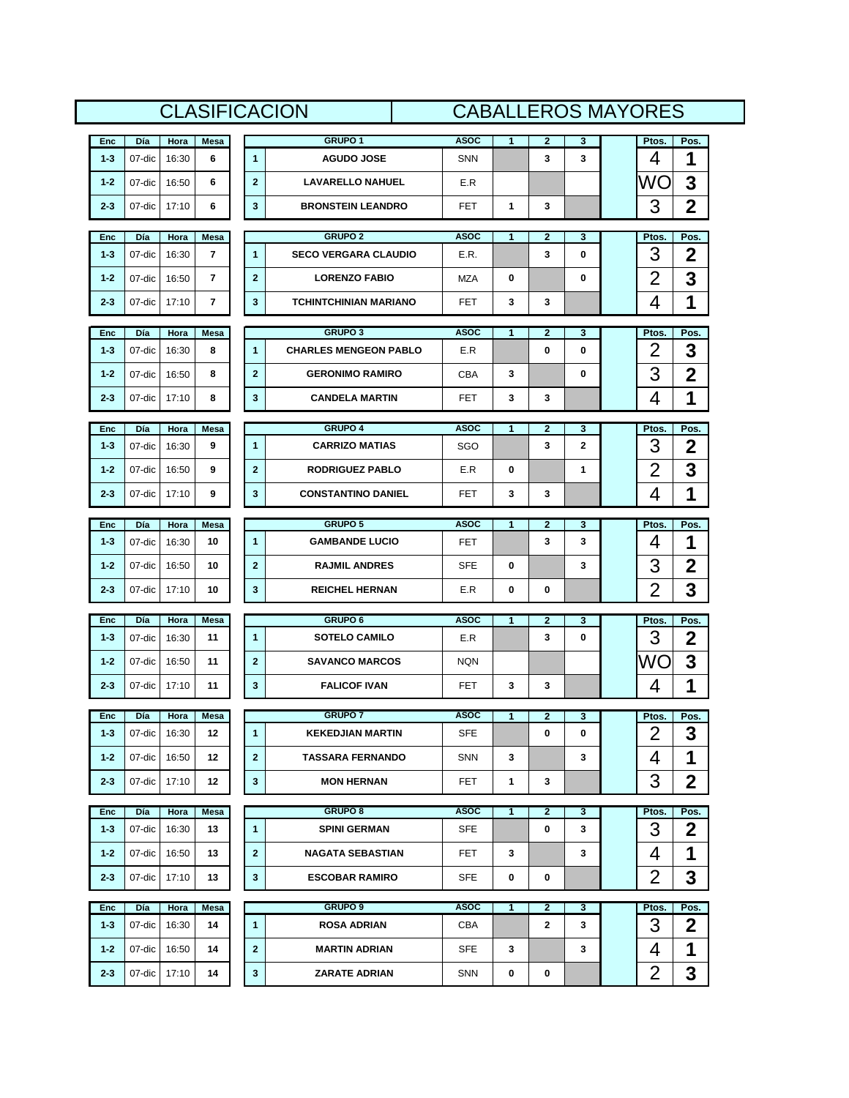|                |               |               |                |              | <b>CLASIFICACION</b>                    | <b>CABALLEROS MAYORES</b> |                      |                   |                   |                |                |
|----------------|---------------|---------------|----------------|--------------|-----------------------------------------|---------------------------|----------------------|-------------------|-------------------|----------------|----------------|
| Enc            | Día           | Hora          | Mesa           |              | <b>GRUPO 1</b>                          | <b>ASOC</b>               | $\blacktriangleleft$ | $\mathbf{2}$      | 3                 | Ptos.          | Pos.           |
| $1 - 3$        | 07-dic        | 16:30         | 6              | $\mathbf{1}$ | <b>AGUDO JOSE</b>                       | <b>SNN</b>                |                      | 3                 | 3                 | 4              | 1              |
| $1 - 2$        | $07$ -dic     | 16:50         | 6              | $\mathbf{2}$ | <b>LAVARELLO NAHUEL</b>                 | E.R                       |                      |                   |                   | WO             | 3              |
| $2 - 3$        | 07-dic        | 17:10         | 6              | 3            | <b>BRONSTEIN LEANDRO</b>                | FET                       | 1                    | 3                 |                   | 3              | $\overline{2}$ |
|                |               |               |                |              |                                         |                           |                      |                   |                   |                |                |
| Enc            | Día           | Hora          | Mesa           |              | <b>GRUPO 2</b>                          | <b>ASOC</b>               | 1                    | $\overline{2}$    | 3                 | Ptos.          | Pos.           |
| $1 - 3$        | 07-dic        | 16:30         | 7              | $\mathbf{1}$ | <b>SECO VERGARA CLAUDIO</b>             | E.R.                      |                      | 3                 | 0                 | 3              | $\mathbf 2$    |
| $1 - 2$        | $07$ -dic     | 16:50         | $\overline{7}$ | $\mathbf{2}$ | <b>LORENZO FABIO</b>                    | MZA                       | 0                    |                   | 0                 | $\overline{2}$ | 3              |
| $2 - 3$        | 07-dic        | 17:10         | 7              | $\mathbf{3}$ | TCHINTCHINIAN MARIANO                   | <b>FET</b>                | 3                    | 3                 |                   | 4              | 1              |
| Enc            | Día           | Hora          | Mesa           |              | <b>GRUPO 3</b>                          | <b>ASOC</b>               | 1                    | $\mathbf{2}$      | 3                 | Ptos.          | Pos.           |
| $1 - 3$        | 07-dic        | 16:30         | 8              | $\mathbf{1}$ | <b>CHARLES MENGEON PABLO</b>            | E.R                       |                      | 0                 | 0                 | 2              | 3              |
| $1 - 2$        | $07$ -dic     | 16:50         | 8              | $\mathbf{2}$ | <b>GERONIMO RAMIRO</b>                  | <b>CBA</b>                | 3                    |                   | 0                 | 3              | $\overline{2}$ |
| $2 - 3$        | 07-dic        | 17:10         | 8              | $\mathbf{3}$ | <b>CANDELA MARTIN</b>                   | FET                       | 3                    | 3                 |                   | 4              | 1              |
|                |               |               |                |              |                                         |                           |                      |                   |                   |                |                |
| Enc<br>$1 - 3$ | Día<br>07-dic | Hora<br>16:30 | Mesa<br>9      | $\mathbf{1}$ | <b>GRUPO 4</b><br><b>CARRIZO MATIAS</b> | <b>ASOC</b><br>SGO        | $\mathbf{1}$         | $\mathbf{2}$<br>3 | 3<br>$\mathbf{2}$ | Ptos.<br>3     | Pos.<br>2      |
|                | $07$ -dic     |               |                |              |                                         |                           | 0                    |                   |                   | $\overline{2}$ | 3              |
| $1 - 2$        |               | 16:50         | 9              | $\mathbf{2}$ | <b>RODRIGUEZ PABLO</b>                  | E.R                       |                      |                   | 1                 |                |                |
| $2 - 3$        | 07-dic        | 17:10         | 9              | 3            | <b>CONSTANTINO DANIEL</b>               | FET                       | 3                    | 3                 |                   | 4              | 1              |
| Enc            | Día           | Hora          | Mesa           |              | <b>GRUPO 5</b>                          | <b>ASOC</b>               | $\mathbf 1$          | 2                 | 3                 | Ptos.          | Pos.           |
| $1-3$          | 07-dic        | 16:30         | 10             | $\mathbf{1}$ | <b>GAMBANDE LUCIO</b>                   | FET                       |                      | 3                 | 3                 | 4              | 1              |
| $1 - 2$        | 07-dic        | 16:50         | 10             | $\mathbf{2}$ | <b>RAJMIL ANDRES</b>                    | <b>SFE</b>                | 0                    |                   | 3                 | 3              | $\mathbf 2$    |
| $2 - 3$        | 07-dic        | 17:10         | 10             | $\mathbf{3}$ | <b>REICHEL HERNAN</b>                   | E.R                       | 0                    | 0                 |                   | $\overline{2}$ | 3              |
| Enc            | Día           | Hora          | Mesa           |              | <b>GRUPO 6</b>                          | <b>ASOC</b>               | $\mathbf{1}$         | $\mathbf{2}$      | 3                 | Ptos.          | Pos.           |
| $1 - 3$        | 07-dic        | 16:30         | 11             | $\mathbf{1}$ | <b>SOTELO CAMILO</b>                    | E.R                       |                      | 3                 | 0                 | 3              | $\mathbf{2}$   |
| $1 - 2$        | 07-dic        | 16:50         | 11             | $\mathbf{2}$ | <b>SAVANCO MARCOS</b>                   | <b>NQN</b>                |                      |                   |                   | <b>WO</b>      | 3              |
| $2 - 3$        | 07-dic        | 17:10         | 11             | $\mathbf{3}$ | <b>FALICOF IVAN</b>                     | FET                       | 3                    | 3                 |                   | 4              | 1              |
|                |               |               |                |              |                                         |                           |                      |                   |                   |                |                |
| Enc.           | Día           | Hora          | Mesa           |              | <b>GRUPO 7</b>                          | <b>ASOC</b>               | 1                    | $\mathbf{2}$      | 3                 | Ptos.          | Pos.           |
| $1 - 3$        | 07-dic        | 16:30         | 12             | 1            | <b>KEKEDJIAN MARTIN</b>                 | <b>SFE</b>                |                      | 0                 | 0                 | $\overline{2}$ | 3              |
| $1 - 2$        | 07-dic        | 16:50         | 12             | $\mathbf{2}$ | <b>TASSARA FERNANDO</b>                 | SNN                       | 3                    |                   | 3                 | 4              | 1              |
| $2 - 3$        | 07-dic        | 17:10         | 12             | $\mathbf 3$  | <b>MON HERNAN</b>                       | FET                       | 1                    | 3                 |                   | 3              | $\overline{2}$ |
| Enc            | Día           | Hora          | Mesa           |              | <b>GRUPO 8</b>                          | <b>ASOC</b>               | $\mathbf{1}$         | $\mathbf{2}$      | 3                 | Ptos.          | Pos.           |
| $1 - 3$        | 07-dic        | 16:30         | 13             | $\mathbf{1}$ | <b>SPINI GERMAN</b>                     | <b>SFE</b>                |                      | 0                 | 3                 | 3              | 2              |
| $1 - 2$        | 07-dic        | 16:50         | 13             | $\mathbf{2}$ | <b>NAGATA SEBASTIAN</b>                 | <b>FET</b>                | 3                    |                   | 3                 | 4              | 1              |
| $2 - 3$        | 07-dic        | 17:10         | 13             | $\mathbf{3}$ | <b>ESCOBAR RAMIRO</b>                   | <b>SFE</b>                | 0                    | 0                 |                   | $\overline{2}$ | 3              |
|                | Día           | Hora          |                |              | <b>GRUPO 9</b>                          | <b>ASOC</b>               | $\mathbf{1}$         | $\mathbf{2}$      | 3                 | Ptos.          | Pos.           |
| Enc<br>$1 - 3$ | 07-dic        | 16:30         | Mesa<br>14     | 1            | <b>ROSA ADRIAN</b>                      | CBA                       |                      | 2                 | 3                 | 3              | 2              |
| $1 - 2$        | 07-dic        | 16:50         | 14             | $\mathbf{2}$ | <b>MARTIN ADRIAN</b>                    | <b>SFE</b>                | 3                    |                   | 3                 | 4              | 1              |
| $2 - 3$        | 07-dic        | 17:10         | 14             | 3            | <b>ZARATE ADRIAN</b>                    | SNN                       | 0                    | 0                 |                   | 2              | 3              |
|                |               |               |                |              |                                         |                           |                      |                   |                   |                |                |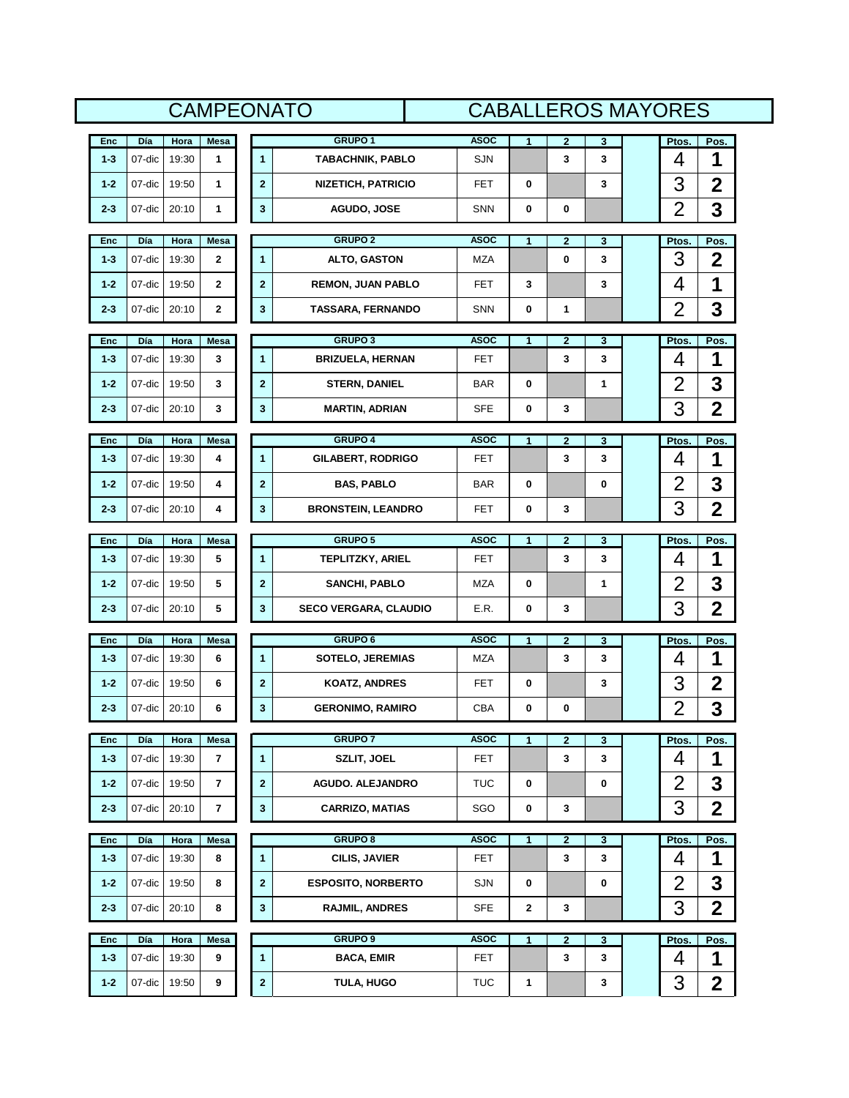|                |                  |               |                |                         | <b>CAMPEONATO</b>                         | <b>CABALLEROS MAYORES</b> |                      |                     |              |                |                         |  |
|----------------|------------------|---------------|----------------|-------------------------|-------------------------------------------|---------------------------|----------------------|---------------------|--------------|----------------|-------------------------|--|
| Enc            | Día              | Hora          | Mesa           |                         | <b>GRUPO 1</b>                            | <b>ASOC</b>               | 1                    | $\overline{2}$      | 3            | Ptos.          | Pos.                    |  |
| $1 - 3$        | $07$ -dic        | 19:30         | 1              | $\mathbf{1}$            | <b>TABACHNIK, PABLO</b>                   | <b>SJN</b>                |                      | 3                   | 3            | 4              | 1                       |  |
| $1 - 2$        | $07$ -dic        | 19:50         | 1              | $\overline{2}$          | <b>NIZETICH, PATRICIO</b>                 | FET                       | $\bf{0}$             |                     | 3            | 3              | $\mathbf{2}$            |  |
| $2 - 3$        | $07$ -dic        | 20:10         | 1              | $\mathbf{3}$            | <b>AGUDO, JOSE</b>                        | <b>SNN</b>                | 0                    | 0                   |              | $\overline{2}$ | 3                       |  |
| Enc            | Día              | Hora          | Mesa           |                         | <b>GRUPO 2</b>                            | <b>ASOC</b>               | 1                    | $\overline{2}$      | 3            | Ptos.          | Pos.                    |  |
| $1 - 3$        | $07$ -dic        | 19:30         | $\mathbf{2}$   | $\mathbf{1}$            | ALTO, GASTON                              | <b>MZA</b>                |                      | $\mathbf 0$         | 3            | 3              | $\overline{2}$          |  |
| $1 - 2$        | $07$ -dic        | 19:50         | $\mathbf{2}$   | $\overline{\mathbf{2}}$ | <b>REMON, JUAN PABLO</b>                  | FET                       | 3                    |                     | 3            | 4              | 1                       |  |
| $2 - 3$        | $07$ -dic        | 20:10         | $\mathbf{2}$   | $\mathbf{3}$            | <b>TASSARA, FERNANDO</b>                  | <b>SNN</b>                | 0                    | $\mathbf{1}$        |              | $\overline{2}$ | 3                       |  |
| Enc            | Día              | Hora          | Mesa           |                         | <b>GRUPO 3</b>                            | <b>ASOC</b>               | 1                    | $\overline{2}$      | 3            | Ptos.          | Pos.                    |  |
| $1 - 3$        | $07$ -dic        | 19:30         | 3              | $\mathbf{1}$            | <b>BRIZUELA, HERNAN</b>                   | FET                       |                      | 3                   | 3            | 4              | 1                       |  |
| $1 - 2$        | $07$ -dic        | 19:50         | 3              | $\overline{2}$          | <b>STERN, DANIEL</b>                      | <b>BAR</b>                | 0                    |                     | 1            | $\overline{2}$ | 3                       |  |
| $2 - 3$        | $07$ -dic        | 20:10         | 3              | $\mathbf{3}$            | <b>MARTIN, ADRIAN</b>                     | <b>SFE</b>                | 0                    | 3                   |              | 3              | $\overline{2}$          |  |
| Enc            | Día              | Hora          | Mesa           |                         | <b>GRUPO 4</b>                            | <b>ASOC</b>               | 1                    | $\overline{2}$      | 3            | Ptos.          | Pos.                    |  |
| $1 - 3$        | $07$ -dic        | 19:30         | 4              | $\mathbf{1}$            | <b>GILABERT, RODRIGO</b>                  | FET                       |                      | 3                   | 3            | 4              | 1                       |  |
| $1 - 2$        | $07$ -dic        | 19:50         | 4              | $\mathbf{2}$            | <b>BAS, PABLO</b>                         | <b>BAR</b>                | $\bf{0}$             |                     | $\mathbf 0$  | 2              | 3                       |  |
| $2 - 3$        | $07$ -dic        | 20:10         | 4              | $\mathbf{3}$            | <b>BRONSTEIN, LEANDRO</b>                 | FET                       | 0                    | 3                   |              | 3              | $\overline{2}$          |  |
|                |                  |               |                |                         |                                           |                           |                      |                     |              |                |                         |  |
| Enc<br>$1 - 3$ | Día<br>$07$ -dic | Hora<br>19:30 | Mesa<br>5      | $\mathbf{1}$            | <b>GRUPO 5</b><br><b>TEPLITZKY, ARIEL</b> | <b>ASOC</b><br>FET        | 1                    | $\overline{2}$<br>3 | 3<br>3       | Ptos.<br>4     | Pos.<br>1               |  |
| $1 - 2$        | $07$ -dic        | 19:50         | 5              | $\mathbf{2}$            | <b>SANCHI, PABLO</b>                      | MZA                       | 0                    |                     | 1            | $\overline{2}$ | 3                       |  |
| $2 - 3$        | $07$ -dic        | 20:10         | 5              | $\overline{\mathbf{3}}$ | <b>SECO VERGARA, CLAUDIO</b>              | E.R.                      | 0                    | 3                   |              | 3              | $\overline{\mathbf{2}}$ |  |
|                |                  |               |                |                         |                                           |                           |                      |                     |              |                |                         |  |
| Enc            | Día              | Hora          | Mesa           |                         | <b>GRUPO 6</b>                            | <b>ASOC</b>               | 1                    | $\overline{2}$      | 3            | Ptos.          | Pos.                    |  |
| $1 - 3$        | $07$ -dic        | 19:30         | 6              | $\mathbf{1}$            | <b>SOTELO, JEREMIAS</b>                   | MZA                       |                      | 3                   | 3            | 4              | 1                       |  |
| $1 - 2$        | $07$ -dic        | 19:50         | 6              | $\mathbf{2}$            | <b>KOATZ, ANDRES</b>                      | FET                       | 0                    |                     | 3            | 3              | $\mathbf{2}$            |  |
| $2 - 3$        |                  | 07-dic 20:10  | 6              | 3                       | <b>GERONIMO, RAMIRO</b>                   | CBA                       | 0                    | $\bf{0}$            |              | $\overline{2}$ | 3                       |  |
| Enc            | Día              | Hora          | Mesa           |                         | GRUPO 7                                   | <b>ASOC</b>               | $\blacktriangleleft$ | $\overline{2}$      | 3            | Ptos.          | Pos.                    |  |
| $1 - 3$        | $07$ -dic        | 19:30         | $\overline{7}$ | $\mathbf{1}$            | <b>SZLIT, JOEL</b>                        | <b>FET</b>                |                      | 3                   | $\mathbf{3}$ | 4              | 1                       |  |
| $1 - 2$        | $07$ -dic        | 19:50         | $\overline{7}$ | $\overline{2}$          | <b>AGUDO. ALEJANDRO</b>                   | <b>TUC</b>                | 0                    |                     | 0            | $\overline{2}$ | 3                       |  |
| $2 - 3$        | $07$ -dic        | 20:10         | $\overline{7}$ | 3                       | <b>CARRIZO, MATIAS</b>                    | SGO                       | 0                    | 3                   |              | 3              | $\overline{2}$          |  |
| Enc            | Día              | Hora          | Mesa           |                         | <b>GRUPO 8</b>                            | <b>ASOC</b>               | $\overline{1}$       | $\overline{2}$      | 3            | Ptos.          | Pos.                    |  |
| $1 - 3$        | $07$ -dic        | 19:30         | 8              | $\mathbf{1}$            | <b>CILIS, JAVIER</b>                      | <b>FET</b>                |                      | 3                   | $\mathbf{3}$ | 4              | 1                       |  |
| $1 - 2$        | $07$ -dic        | 19:50         | 8              | $\overline{2}$          | <b>ESPOSITO, NORBERTO</b>                 | SJN                       | 0                    |                     | 0            | $\overline{2}$ | 3                       |  |
| $2 - 3$        | $07$ -dic        | 20:10         | 8              | $\mathbf{3}$            | <b>RAJMIL, ANDRES</b>                     | SFE                       | $\mathbf{2}$         | 3                   |              | 3              | $\overline{2}$          |  |
| Enc            | Día              | Hora          | Mesa           |                         | <b>GRUPO 9</b>                            | <b>ASOC</b>               | $\overline{1}$       | $\overline{2}$      | 3            | Ptos.          | Pos.                    |  |
| $1 - 3$        | $07$ -dic        | 19:30         | 9              | $\mathbf{1}$            | <b>BACA, EMIR</b>                         | <b>FET</b>                |                      | 3                   | $\mathbf{3}$ | 4              | 1                       |  |
| $1 - 2$        | $07$ -dic        | 19:50         | 9              | $\overline{\mathbf{2}}$ | TULA, HUGO                                | <b>TUC</b>                | 1                    |                     | 3            | 3              | $\overline{2}$          |  |
|                |                  |               |                |                         |                                           |                           |                      |                     |              |                |                         |  |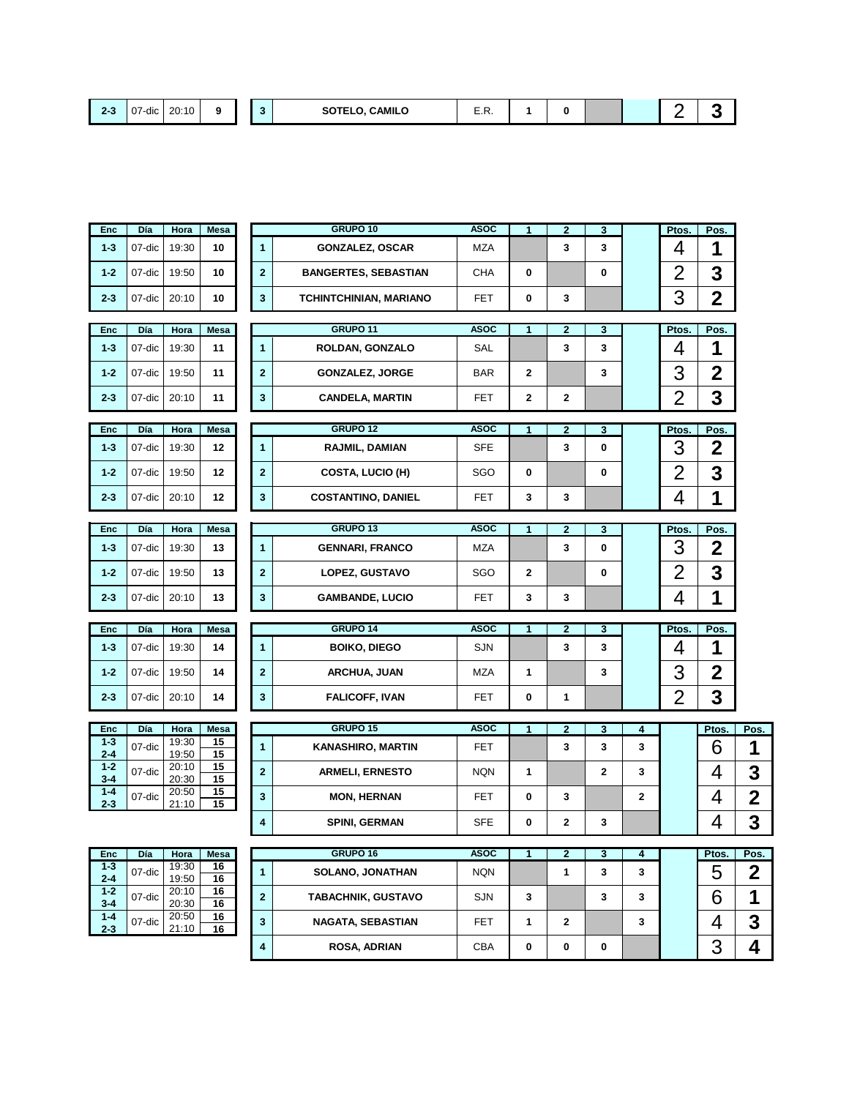| $2 - 3$ | $-$<br>$\cdots$<br>7-dic<br>v | 20:10 |  | . .<br> | $\sim$ $\sim$ $\sim$ $\sim$ $\sim$<br>ິ<br>, CAMILO<br><b>SUILLU</b> | $ -$<br>---- |  |  |  |
|---------|-------------------------------|-------|--|---------|----------------------------------------------------------------------|--------------|--|--|--|

| Enc                | Día    | Hora           | Mesa              |                         | GRUPO 10                    | <b>ASOC</b> | $\mathbf{1}$ | $\mathbf{2}$ | 3            |   | Ptos.          | Pos.             |                         |
|--------------------|--------|----------------|-------------------|-------------------------|-----------------------------|-------------|--------------|--------------|--------------|---|----------------|------------------|-------------------------|
| $1 - 3$            | 07-dic | 19:30          | 10                | $\mathbf{1}$            | <b>GONZALEZ, OSCAR</b>      | <b>MZA</b>  |              | 3            | 3            |   | 4              | 1                |                         |
| $1 - 2$            | 07-dic | 19:50          | 10                | $\mathbf{2}$            | <b>BANGERTES, SEBASTIAN</b> | <b>CHA</b>  | 0            |              | 0            |   | $\overline{2}$ | 3                |                         |
| $2 - 3$            | 07-dic | 20:10          | 10                | 3                       | TCHINTCHINIAN, MARIANO      | FET.        | 0            | 3            |              |   | 3              | $\overline{2}$   |                         |
| Enc                | Día    | Hora           | Mesa              |                         | GRUPO <sub>11</sub>         | <b>ASOC</b> | 1            | $\mathbf{2}$ | 3            |   | Ptos.          | Pos.             |                         |
| $1 - 3$            | 07-dic | 19:30          | 11                | $\mathbf{1}$            | ROLDAN, GONZALO             | SAL         |              | 3            | 3            |   | 4              | 1                |                         |
| $1 - 2$            | 07-dic | 19:50          | 11                | $\mathbf{2}$            | <b>GONZALEZ, JORGE</b>      | <b>BAR</b>  | $\mathbf{2}$ |              | 3            |   | 3              | $\overline{2}$   |                         |
| $2 - 3$            | 07-dic | 20:10          | 11                | 3                       | <b>CANDELA, MARTIN</b>      | FET.        | $\mathbf{2}$ | 2            |              |   | $\overline{2}$ | 3                |                         |
|                    |        |                |                   |                         |                             |             |              |              |              |   |                |                  |                         |
| Enc                | Día    | Hora           | <b>Mesa</b>       |                         | GRUPO <sub>12</sub>         | <b>ASOC</b> | 1            | 2            | 3            |   | Ptos.          | Pos.             |                         |
| $1 - 3$            | 07-dic | 19:30          | 12                | $\mathbf{1}$            | RAJMIL, DAMIAN              | <b>SFE</b>  |              | 3            | 0            |   | 3              | $\boldsymbol{2}$ |                         |
| $1 - 2$            | 07-dic | 19:50          | 12                | $\mathbf{2}$            | COSTA, LUCIO (H)            | SGO         | 0            |              | 0            |   | $\overline{2}$ | 3                |                         |
| $2 - 3$            | 07-dic | 20:10          | 12                | 3                       | <b>COSTANTINO, DANIEL</b>   | FET.        | 3            | 3            |              |   | 4              | 1                |                         |
| Enc                | Día    | Hora           | Mesa              |                         | GRUPO 13                    | <b>ASOC</b> | 1            | 2            | 3            |   | Ptos.          | Pos.             |                         |
| $1 - 3$            | 07-dic | 19:30          | 13                | $\mathbf{1}$            | <b>GENNARI, FRANCO</b>      | MZA         |              | 3            | 0            |   | 3              | $\boldsymbol{2}$ |                         |
| $1 - 2$            | 07-dic | 19:50          | 13                | $\mathbf{2}$            | LOPEZ, GUSTAVO              | SGO         | $\mathbf{2}$ |              | 0            |   | $\overline{2}$ | 3                |                         |
| $2 - 3$            | 07-dic | 20:10          | 13                | 3                       | <b>GAMBANDE, LUCIO</b>      | FET.        | 3            | 3            |              |   | 4              | 1                |                         |
|                    |        |                |                   |                         |                             |             |              |              |              |   |                |                  |                         |
| Enc                | Día    | Hora           | Mesa              |                         | GRUPO 14                    | <b>ASOC</b> | 1            | 2            | 3            |   | Ptos.          | Pos.             |                         |
| $1 - 3$            | 07-dic | 19:30          | 14                | $\mathbf{1}$            | <b>BOIKO, DIEGO</b>         | SJN         |              | 3            | 3            |   | 4              | 1                |                         |
| $1 - 2$            | 07-dic | 19:50          | 14                | $\mathbf{2}$            | <b>ARCHUA, JUAN</b>         | MZA         | 1            |              | 3            |   | 3              | $\boldsymbol{2}$ |                         |
| $2 - 3$            | 07-dic | 20:10          | 14                | 3                       | <b>FALICOFF, IVAN</b>       | <b>FET</b>  | 0            | 1            |              |   | $\overline{2}$ | 3                |                         |
| Enc                | Día    | Hora           | Mesa              |                         | GRUPO 15                    | <b>ASOC</b> | 1            | $\mathbf 2$  | 3            | 4 |                | Ptos.            | Pos.                    |
| $1 - 3$<br>$2 - 4$ | 07-dic | 19:30<br>19:50 | 15<br>15          | $\mathbf{1}$            | KANASHIRO, MARTIN           | <b>FET</b>  |              | 3            | 3            | 3 |                | 6                | 1                       |
| $1-2$<br>$3 - 4$   | 07-dic | 20:10<br>20:30 | 15<br>15          | $\overline{2}$          | <b>ARMELI, ERNESTO</b>      | <b>NQN</b>  | 1            |              | $\mathbf{2}$ | 3 |                | 4                | 3                       |
| $1 - 4$<br>$2 - 3$ | 07-dic | 20:50<br>21:10 | 15<br>15          | $\mathbf{3}$            | <b>MON, HERNAN</b>          | <b>FET</b>  | 0            | 3            |              | 2 |                | 4                | $\overline{\mathbf{2}}$ |
|                    |        |                |                   | 4                       | <b>SPINI, GERMAN</b>        | SFE         | 0            | 2            | 3            |   |                | 4                | 3                       |
|                    |        |                |                   |                         |                             |             |              |              |              |   |                |                  |                         |
| Enc<br>$1 - 3$     | Día    | Hora<br>19:30  | <b>Mesa</b><br>16 |                         | GRUPO 16                    | <b>ASOC</b> | 1            | 2            | 3            | 4 |                | Ptos.            | Pos.                    |
| $2 - 4$            | 07-dic | 19:50          | 16                | $\mathbf{1}$            | SOLANO, JONATHAN            | <b>NQN</b>  |              | 1            | 3            | 3 |                | 5                | $\mathbf 2$             |
| $1 - 2$<br>$3 - 4$ | 07-dic | 20:10<br>20:30 | 16<br>16          | $\overline{2}$          | <b>TABACHNIK, GUSTAVO</b>   | SJN         | 3            |              | 3            | 3 |                | 6                | 1                       |
| $1 - 4$<br>$2 - 3$ | 07-dic | 20:50<br>21:10 | 16<br>16          | $\overline{\mathbf{3}}$ | NAGATA, SEBASTIAN           | FET         | 1            | 2            |              | 3 |                | 4                | 3                       |
|                    |        |                |                   | 4                       | <b>ROSA, ADRIAN</b>         | CBA         | 0            | 0            | 0            |   |                | 3                | 4                       |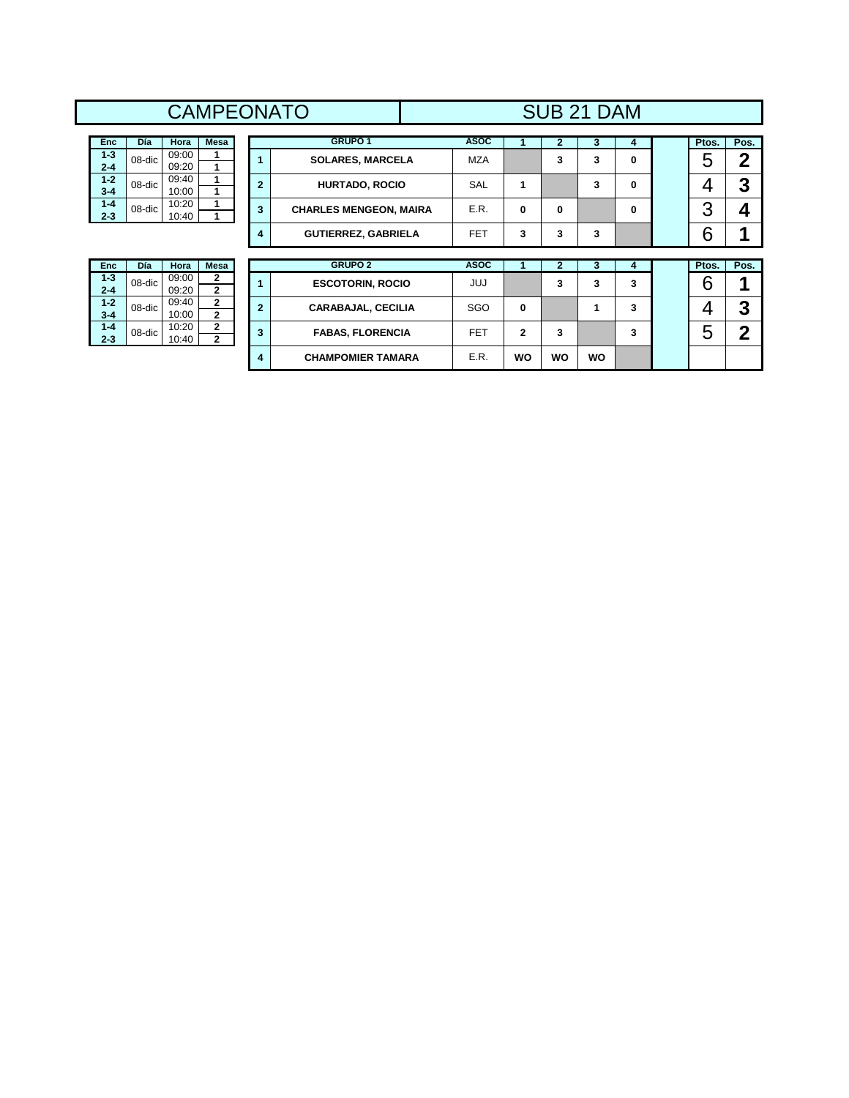## CAMPEONATO | SUB 21 DAM

| Enc     | Día    | Hora  | Mesa |
|---------|--------|-------|------|
| $1 - 3$ | 08-dic | 09:00 |      |
| $2 - 4$ |        | 09:20 |      |
| $1 - 2$ | 08-dic | 09:40 |      |
| $3 - 4$ |        | 10:00 |      |
| $1 - 4$ |        | 10:20 |      |
| $2 - 3$ | 08-dic | 10:40 |      |

| <b>Enc</b> | Día    | Hora  | <b>Mesa</b> |   | <b>GRUPO 1</b>                | <b>ASOC</b> |   |   |    |  | Ptos. | Pos.          |
|------------|--------|-------|-------------|---|-------------------------------|-------------|---|---|----|--|-------|---------------|
| $1 - 3$    | 08-dic | 09:00 |             |   | <b>SOLARES, MARCELA</b>       | <b>MZA</b>  |   | 3 | 3  |  | ∽     | $\rightarrow$ |
| $2 - 4$    |        | 09:20 |             |   |                               |             |   |   |    |  |       |               |
| $1 - 2$    | 08-dic | 09:40 |             | 2 | <b>HURTADO, ROCIO</b>         | <b>SAL</b>  |   |   |    |  |       | ◠             |
| $3 - 4$    |        | 10:00 |             |   |                               |             |   |   | v. |  |       | ື             |
| $1 - 4$    | 08-dic | 10:20 |             | 3 | <b>CHARLES MENGEON, MAIRA</b> | E.R.        | 0 | 0 |    |  | ⌒     |               |
| $2 - 3$    |        | 10:40 |             |   |                               |             |   |   |    |  |       |               |
|            |        |       |             | 4 | <b>GUTIERREZ, GABRIELA</b>    | FET         | 3 | 3 | 3  |  |       |               |
|            |        |       |             |   |                               |             |   |   |    |  |       |               |

|                    |           |                |                                  | $\overline{4}$ | <b>GUTIERREZ, GABRIELA</b> | <b>FET</b>  | 3            | 3         | 3         |   | 6     |      |
|--------------------|-----------|----------------|----------------------------------|----------------|----------------------------|-------------|--------------|-----------|-----------|---|-------|------|
| <b>Enc</b>         | Día       | Hora           | <b>Mesa</b>                      |                | <b>GRUPO 2</b>             | <b>ASOC</b> |              |           |           | 4 | Ptos. | Pos. |
| $1 - 3$<br>$2 - 4$ | $08$ -dic | 09:00<br>09:20 | $\overline{2}$<br>$\overline{2}$ |                | <b>ESCOTORIN, ROCIO</b>    | JUJ         |              | 3         | 3         |   | 6     | ◢    |
| $1 - 2$<br>$3 - 4$ | $08$ -dic | 09:40<br>10:00 | $\mathbf{2}$<br>2                | 2              | <b>CARABAJAL, CECILIA</b>  | SGO         | 0            |           |           |   |       | 3    |
| $1 - 4$<br>$2 - 3$ | 08-dic    | 10:20<br>10:40 | $\overline{2}$<br>$\mathbf{2}$   | 3              | <b>FABAS, FLORENCIA</b>    | <b>FET</b>  | $\mathbf{2}$ | 3         |           |   | ხ     | ົ    |
|                    |           |                |                                  | 4              | <b>CHAMPOMIER TAMARA</b>   | E.R.        | WO           | <b>WO</b> | <b>WO</b> |   |       |      |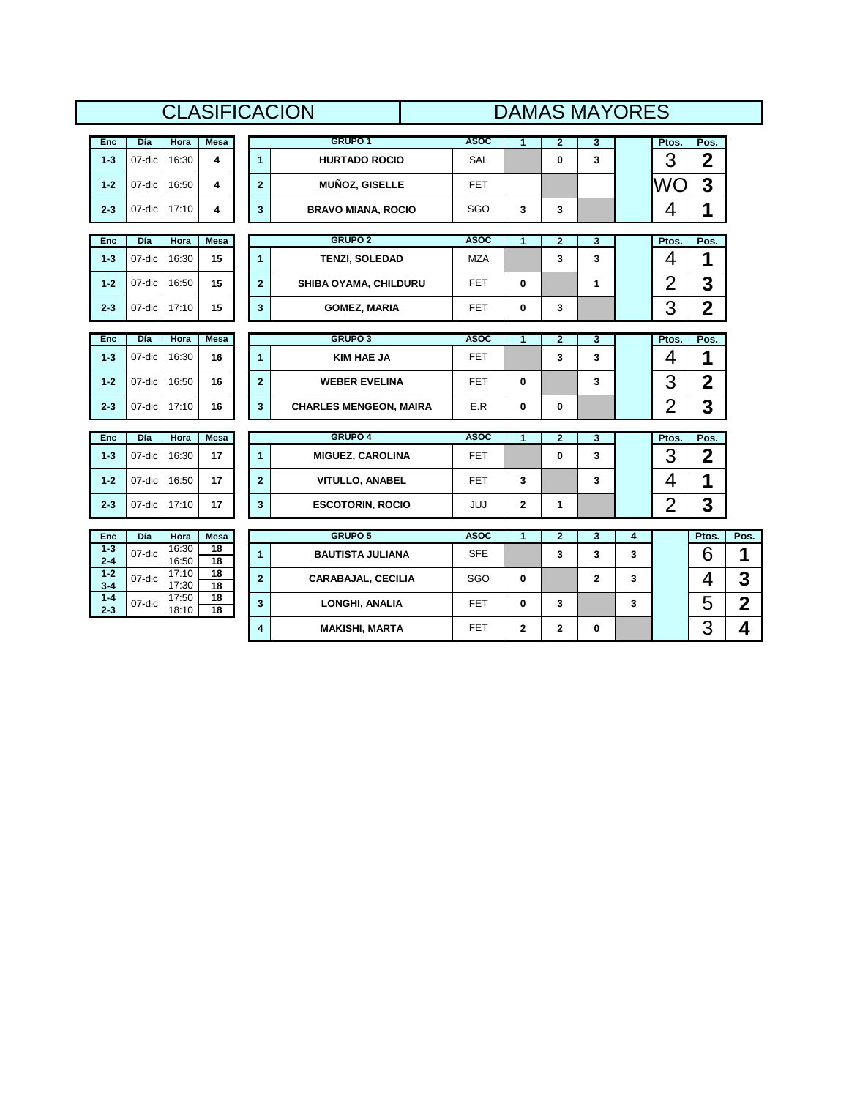|                    |        |                |                       |                         | <b>CLASIFICACION</b>          |             | <b>DAMAS MAYORES</b> |                |                         |   |                |                         |                |
|--------------------|--------|----------------|-----------------------|-------------------------|-------------------------------|-------------|----------------------|----------------|-------------------------|---|----------------|-------------------------|----------------|
| Enc                | Día    | Hora           | <b>Mesa</b>           |                         | GRUPO 1                       | <b>ASOC</b> | $\blacktriangleleft$ | $\overline{2}$ | $\mathbf{3}$            |   | Ptos.          | Pos.                    |                |
| $1 - 3$            | 07-dic | 16:30          | 4                     | $\blacktriangleleft$    | <b>HURTADO ROCIO</b>          | <b>SAL</b>  |                      | $\mathbf{0}$   | $\overline{\mathbf{3}}$ |   | 3              | $\overline{\mathbf{2}}$ |                |
| $1 - 2$            | 07-dic | 16:50          | 4                     | $\overline{2}$          | <b>MUÑOZ, GISELLE</b>         | <b>FET</b>  |                      |                |                         |   | WO             | 3                       |                |
| $2 - 3$            | 07-dic | 17:10          | 4                     | $\mathbf{3}$            | <b>BRAVO MIANA, ROCIO</b>     | SGO         | 3                    | 3              |                         |   | 4              | 1                       |                |
|                    |        |                |                       |                         |                               |             |                      |                |                         |   |                |                         |                |
| Enc                | Día    | Hora           | <b>Mesa</b>           |                         | <b>GRUPO 2</b>                | <b>ASOC</b> | 1                    | $\overline{2}$ | 3                       |   | Ptos.          | Pos.                    |                |
| $1 - 3$            | 07-dic | 16:30          | 15                    | $\mathbf{1}$            | <b>TENZI, SOLEDAD</b>         | <b>MZA</b>  |                      | 3              | 3                       |   | 4              | 1                       |                |
| $1 - 2$            | 07-dic | 16:50          | 15                    | $\overline{2}$          | SHIBA OYAMA, CHILDURU         | <b>FET</b>  | $\mathbf 0$          |                | $\mathbf{1}$            |   | $\overline{2}$ | 3                       |                |
| $2 - 3$            | 07-dic | 17:10          | 15                    | $\mathbf{3}$            | <b>GOMEZ, MARIA</b>           | <b>FET</b>  | 0                    | 3              |                         |   | 3              | $\mathbf 2$             |                |
| Enc                | Día    | Hora           | <b>Mesa</b>           |                         | <b>GRUPO 3</b>                | <b>ASOC</b> | $\blacktriangleleft$ | $\overline{2}$ | 3                       |   | Ptos.          | Pos.                    |                |
|                    |        |                |                       |                         |                               |             |                      |                |                         |   |                |                         |                |
| $1 - 3$            | 07-dic | 16:30          | 16                    | $\blacktriangleleft$    | <b>KIM HAE JA</b>             | <b>FET</b>  |                      | 3              | 3                       |   | 4              | 1                       |                |
| $1 - 2$            | 07-dic | 16:50          | 16                    | $\overline{2}$          | <b>WEBER EVELINA</b>          | <b>FET</b>  | 0                    |                | 3                       |   | 3              | $\overline{2}$          |                |
| $2 - 3$            | 07-dic | 17:10          | 16                    | $\overline{\mathbf{3}}$ | <b>CHARLES MENGEON, MAIRA</b> | E.R         | 0                    | $\mathbf 0$    |                         |   | $\overline{2}$ | 3                       |                |
| <b>Enc</b>         | Día    | Hora           | <b>Mesa</b>           |                         | <b>GRUPO 4</b>                | <b>ASOC</b> | 1                    | $\overline{2}$ | $\overline{\mathbf{3}}$ |   | Ptos.          | Pos.                    |                |
| $1 - 3$            | 07-dic | 16:30          | 17                    | $\blacktriangleleft$    | <b>MIGUEZ, CAROLINA</b>       | <b>FET</b>  |                      | $\mathbf{0}$   | 3                       |   | 3              | $\mathbf 2$             |                |
| $1 - 2$            | 07-dic | 16:50          | 17                    | $\overline{\mathbf{2}}$ | <b>VITULLO, ANABEL</b>        | <b>FET</b>  | 3                    |                | 3                       |   | 4              | 1                       |                |
| $2 - 3$            | 07-dic | 17:10          | 17                    | $\mathbf{3}$            | <b>ESCOTORIN, ROCIO</b>       | <b>JUJ</b>  | $\mathbf{2}$         | 1              |                         |   | $\overline{2}$ | 3                       |                |
|                    |        |                |                       |                         |                               |             |                      |                |                         |   |                |                         |                |
| Enc                | Día    | Hora<br>16:30  | <b>Mesa</b>           |                         | <b>GRUPO 5</b>                | <b>ASOC</b> | $\overline{1}$       | $\overline{2}$ | $\overline{\mathbf{3}}$ | 4 |                | Ptos.                   | Pos.           |
| $1 - 3$<br>$2 - 4$ | 07-dic | 16:50          | 18<br>18              | $\overline{1}$          | <b>BAUTISTA JULIANA</b>       | <b>SFE</b>  |                      | 3              | 3                       | 3 |                | 6                       | 1              |
| $1 - 2$<br>$3 - 4$ | 07-dic | 17:10<br>17:30 | $\overline{18}$<br>18 | $\overline{2}$          | <b>CARABAJAL, CECILIA</b>     | SGO         | $\mathbf 0$          |                | $\mathbf{2}$            | 3 |                | 4                       | 3              |
| $1 - 4$<br>$2 - 3$ | 07-dic | 17:50<br>18:10 | 18<br>18              | 3                       | LONGHI, ANALIA                | FET.        | $\bf{0}$             | 3              |                         | 3 |                | 5                       | $\overline{2}$ |
|                    |        |                |                       | 4                       | <b>MAKISHI, MARTA</b>         | <b>FET</b>  | $\mathbf{2}$         | $\overline{2}$ | 0                       |   |                | 3                       | 4              |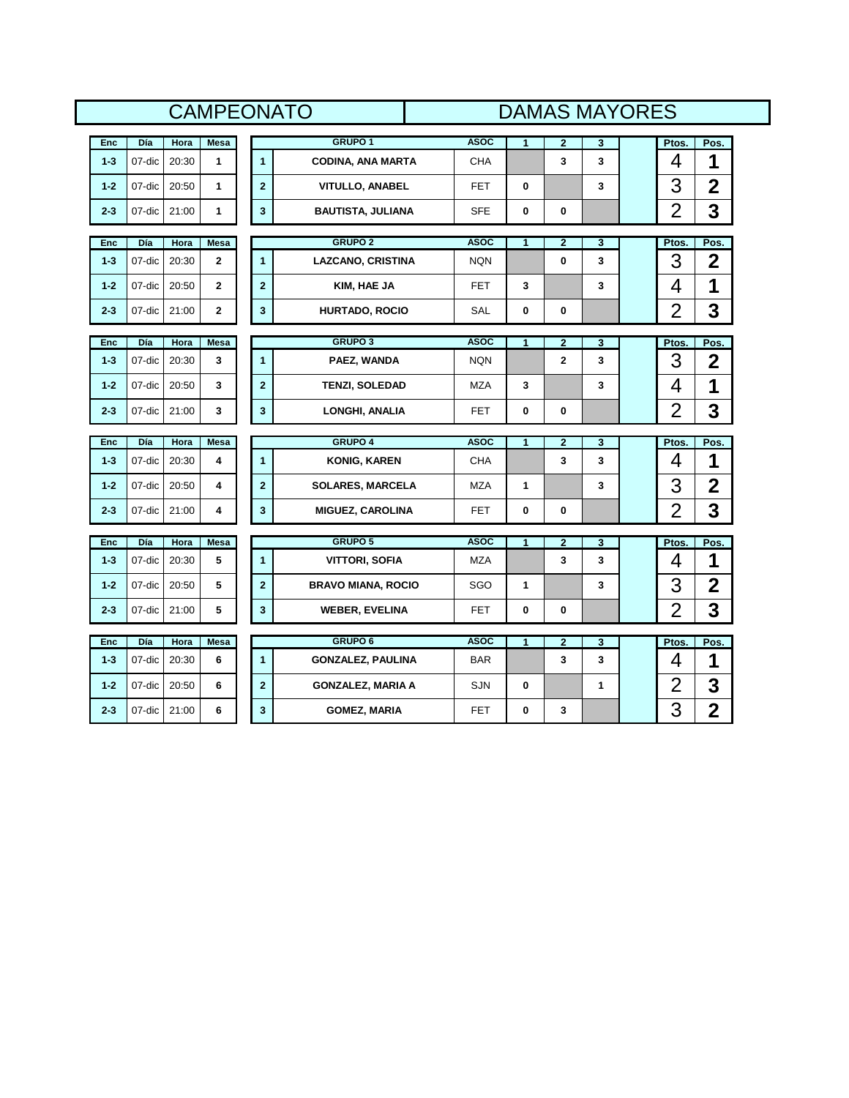|            |           |       |                |                         | <b>CAMPEONATO</b>         |             |                |                |   | <b>DAMAS MAYORES</b> |                |                         |
|------------|-----------|-------|----------------|-------------------------|---------------------------|-------------|----------------|----------------|---|----------------------|----------------|-------------------------|
| Enc        | Día       | Hora  | <b>Mesa</b>    |                         | <b>GRUPO 1</b>            | <b>ASOC</b> | $\mathbf{1}$   | $\mathbf{2}$   | 3 |                      | Ptos.          | Pos.                    |
| $1 - 3$    | 07-dic    | 20:30 | 1              | $\overline{1}$          | <b>CODINA, ANA MARTA</b>  | <b>CHA</b>  |                | 3              | 3 |                      | 4              | $\mathbf 1$             |
| $1 - 2$    | 07-dic    | 20:50 | $\mathbf{1}$   | $\overline{2}$          | <b>VITULLO, ANABEL</b>    | <b>FET</b>  | 0              |                | 3 |                      | 3              | $\mathbf 2$             |
| $2 - 3$    | 07-dic    | 21:00 | $\mathbf{1}$   | 3                       | <b>BAUTISTA, JULIANA</b>  | <b>SFE</b>  | 0              | 0              |   |                      | $\overline{2}$ | 3                       |
| Enc        | Día       | Hora  | <b>Mesa</b>    |                         | <b>GRUPO 2</b>            | <b>ASOC</b> | $\mathbf{1}$   | $\overline{2}$ | 3 |                      | <b>Ptos</b>    | Pos.                    |
| $1 - 3$    | 07-dic    | 20:30 | $\overline{2}$ | $\mathbf{1}$            | <b>LAZCANO, CRISTINA</b>  | <b>NQN</b>  |                | 0              | 3 |                      | 3              | $\overline{\mathbf{2}}$ |
| $1 - 2$    | 07-dic    | 20:50 | $\mathbf{2}$   | $\overline{2}$          | KIM, HAE JA               | <b>FET</b>  | 3              |                | 3 |                      | 4              | 1                       |
| $2 - 3$    | 07-dic    | 21:00 | $\mathbf{2}$   | $\mathbf 3$             | HURTADO, ROCIO            | <b>SAL</b>  | 0              | 0              |   |                      | $\overline{2}$ | 3                       |
| Enc        | Día       | Hora  | <b>Mesa</b>    |                         | <b>GRUPO 3</b>            | <b>ASOC</b> | 1              | $\mathbf{2}$   | 3 |                      | Ptos.          | Pos.                    |
| $1 - 3$    | 07-dic    | 20:30 | 3              | $\mathbf{1}$            | PAEZ, WANDA               | <b>NQN</b>  |                | $\mathbf{2}$   | 3 |                      | 3              | $\mathbf 2$             |
| $1 - 2$    | 07-dic    | 20:50 | 3              | $\overline{2}$          | <b>TENZI, SOLEDAD</b>     | <b>MZA</b>  | 3              |                | 3 |                      | 4              | 1                       |
| $2 - 3$    | 07-dic    | 21:00 | 3              | $\mathbf 3$             | LONGHI, ANALIA            | <b>FET</b>  | 0              | 0              |   |                      | $\overline{2}$ | 3                       |
| Enc        | Día       | Hora  | <b>Mesa</b>    |                         | <b>GRUPO 4</b>            | <b>ASOC</b> | 1              | $\mathbf{2}$   | 3 |                      | Ptos.          | Pos.                    |
| $1 - 3$    | 07-dic    | 20:30 | 4              | $\mathbf{1}$            | <b>KONIG, KAREN</b>       | <b>CHA</b>  |                | 3              | 3 |                      | 4              | 1                       |
| $1 - 2$    | 07-dic    | 20:50 | 4              | $\mathbf 2$             | <b>SOLARES, MARCELA</b>   | <b>MZA</b>  | 1              |                | 3 |                      | 3              | $\overline{2}$          |
| $2 - 3$    | $07$ -dic | 21:00 | 4              | $\mathbf 3$             |                           | <b>FET</b>  | 0              | 0              |   |                      | $\overline{2}$ | 3                       |
|            |           |       |                |                         | <b>MIGUEZ, CAROLINA</b>   |             |                |                |   |                      |                |                         |
| Enc        | Día       | Hora  | <b>Mesa</b>    |                         | <b>GRUPO 5</b>            | <b>ASOC</b> | $\mathbf{1}$   | $\overline{2}$ | 3 |                      | Ptos.          | Pos.                    |
| $1 - 3$    | 07-dic    | 20:30 | 5              | $\mathbf{1}$            | <b>VITTORI, SOFIA</b>     | <b>MZA</b>  |                | 3              | 3 |                      | 4              | 1                       |
| $1 - 2$    | 07-dic    | 20:50 | 5              | $\overline{2}$          | <b>BRAVO MIANA, ROCIO</b> | SGO         | 1              |                | 3 |                      | 3              | $\overline{2}$          |
| $2 - 3$    | 07-dic    | 21:00 | 5              | $\mathbf 3$             | <b>WEBER, EVELINA</b>     | <b>FET</b>  | 0              | 0              |   |                      | $\overline{2}$ | 3                       |
|            |           |       |                |                         |                           |             |                |                |   |                      |                |                         |
| <b>Enc</b> | Día       | Hora  | <b>Mesa</b>    |                         | <b>GRUPO 6</b>            | <b>ASOC</b> | $\overline{1}$ | $\overline{2}$ | 3 |                      |                |                         |
| $1 - 3$    | 07-dic    | 20:30 | 6              | $\mathbf{1}$            | <b>GONZALEZ, PAULINA</b>  | <b>BAR</b>  |                | 3              | 3 |                      | Ptos.<br>4     | Pos.<br>1               |
| $1 - 2$    | 07-dic    | 20:50 | 6              | $\overline{\mathbf{2}}$ | <b>GONZALEZ, MARIA A</b>  | <b>SJN</b>  | 0              |                | 1 |                      | $\overline{2}$ | 3                       |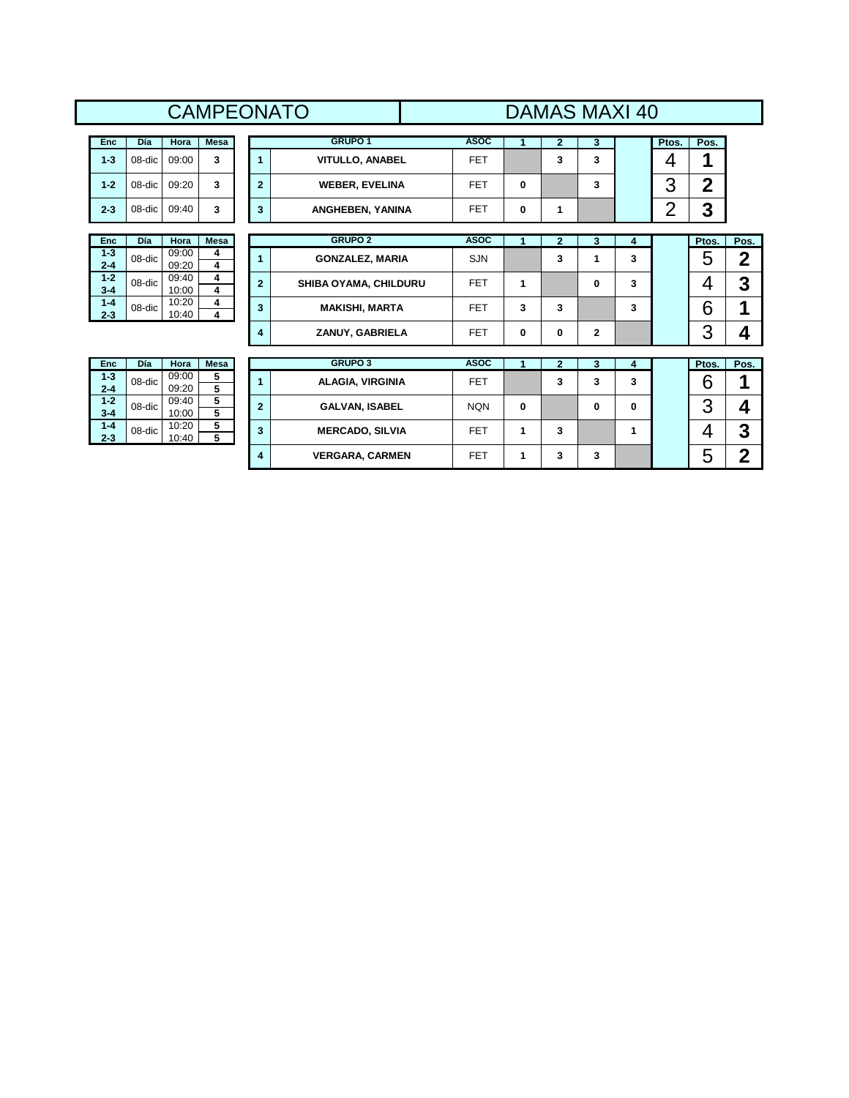# CAMPEONATO DAMAS MAXI 40

| Enc     | <b>D</b> ía   | Hora  | <b>Mesa</b> |         | <b>GRUPO 1</b>          | <b>ASOC</b> |   | -      | w | Ptos. | Pos. |
|---------|---------------|-------|-------------|---------|-------------------------|-------------|---|--------|---|-------|------|
| $1 - 3$ | $08$ -dic $ $ | 09:00 | 3           |         | <b>VITULLO, ANABEL</b>  | <b>FET</b>  |   | ◠<br>J |   |       |      |
| $1 - 2$ | $08$ -dic     | 09:20 |             | ົ       | <b>WEBER, EVELINA</b>   | <b>FET</b>  | 0 |        |   | ⊾     | m    |
| $2 - 3$ | 08-dic l      | 09:40 |             | ◠<br>۰J | <b>ANGHEBEN, YANINA</b> | FET         |   |        |   |       | ື    |

| Enc     | Día    | Hora  | Mesa |
|---------|--------|-------|------|
| $1 - 3$ | 08-dic | 09:00 | 4    |
| $2 - 4$ |        | 09:20 | 4    |
| $1 - 2$ | 08-dic | 09:40 | 4    |
| $3 - 4$ |        | 10:00 | 4    |
| $1 - 4$ | 08-dic | 10:20 | 4    |
| $2 - 3$ |        | 10:40 |      |

| $2 - 3$            | $08$ -dic | 09:40          | 3           | 3              | ANGHEBEN, YANINA             | <b>FET</b>  | 0 |   |              |  | 3     |      |
|--------------------|-----------|----------------|-------------|----------------|------------------------------|-------------|---|---|--------------|--|-------|------|
| <b>Enc</b>         | Día       | Hora           | <b>Mesa</b> |                | <b>GRUPO 2</b>               | <b>ASOC</b> |   |   |              |  | Ptos. | Pos. |
| $1 - 3$<br>$2 - 4$ | 08-dic    | 09:00<br>09:20 | 4           |                | <b>GONZALEZ, MARIA</b>       | <b>SJN</b>  |   | 3 |              |  | ວ     | ŋ    |
| $1 - 2$<br>$3 - 4$ | 08-dic    | 09:40<br>10:00 | 4           | $\overline{2}$ | <b>SHIBA OYAMA, CHILDURU</b> | <b>FET</b>  |   |   | 0            |  |       | າ    |
| $1 - 4$<br>$2 - 3$ | 08-dic    | 10:20<br>10:40 |             | 3              | <b>MAKISHI, MARTA</b>        | FET         | 3 | 3 |              |  | 6     |      |
|                    |           |                |             | 4              | ZANUY, GABRIELA              | <b>FET</b>  | 0 | 0 | $\mathbf{2}$ |  | ◠     |      |

| Enc     | Día    | Hora  | <b>Mesa</b> |  |
|---------|--------|-------|-------------|--|
| $1 - 3$ | 08-dic | 09:00 | 5           |  |
| $2 - 4$ |        | 09:20 | 5           |  |
| $1 - 2$ | 08-dic | 09.40 | 5           |  |
| $3 - 4$ |        | 10:00 | 5           |  |
| $1 - 4$ | 08-dic | 10.20 | 5           |  |
| $2 - 3$ |        | 10:40 |             |  |

|         |           |       |             |   | - - -                   |             |   |   |    |   | ັ     |      |
|---------|-----------|-------|-------------|---|-------------------------|-------------|---|---|----|---|-------|------|
|         |           |       |             |   |                         |             |   |   |    |   |       |      |
| Enc     | Día       | Hora  | <b>Mesa</b> |   | <b>GRUPO 3</b>          | <b>ASOC</b> |   |   | J. |   | Ptos. | Pos. |
| $1 - 3$ | $08$ -dic | 09:00 | 5           |   | <b>ALAGIA, VIRGINIA</b> | <b>FET</b>  |   | 3 | 3  | 3 | 6     |      |
| $2 - 4$ |           | 09:20 | 5           |   |                         |             |   |   |    |   |       |      |
| $1 - 2$ | 08-dic    | 09:40 | 5           | 2 | <b>GALVAN, ISABEL</b>   | <b>NQN</b>  | 0 |   | 0  | 0 | ◠     |      |
| $3 - 4$ |           | 10:00 | 5           |   |                         |             |   |   |    |   | J     |      |
| $1 - 4$ |           | 10:20 | 5           |   |                         |             |   |   |    |   |       | ŋ    |
| $2 - 3$ |           | 10:40 | 5           |   |                         |             |   |   |    |   |       | w    |
|         |           |       |             | 4 | <b>VERGARA, CARMEN</b>  | FET         |   | 3 | 3  |   | 5     | e    |
|         | $08$ -dic |       |             | 3 | <b>MERCADO, SILVIA</b>  | FET         |   | 3 |    |   |       |      |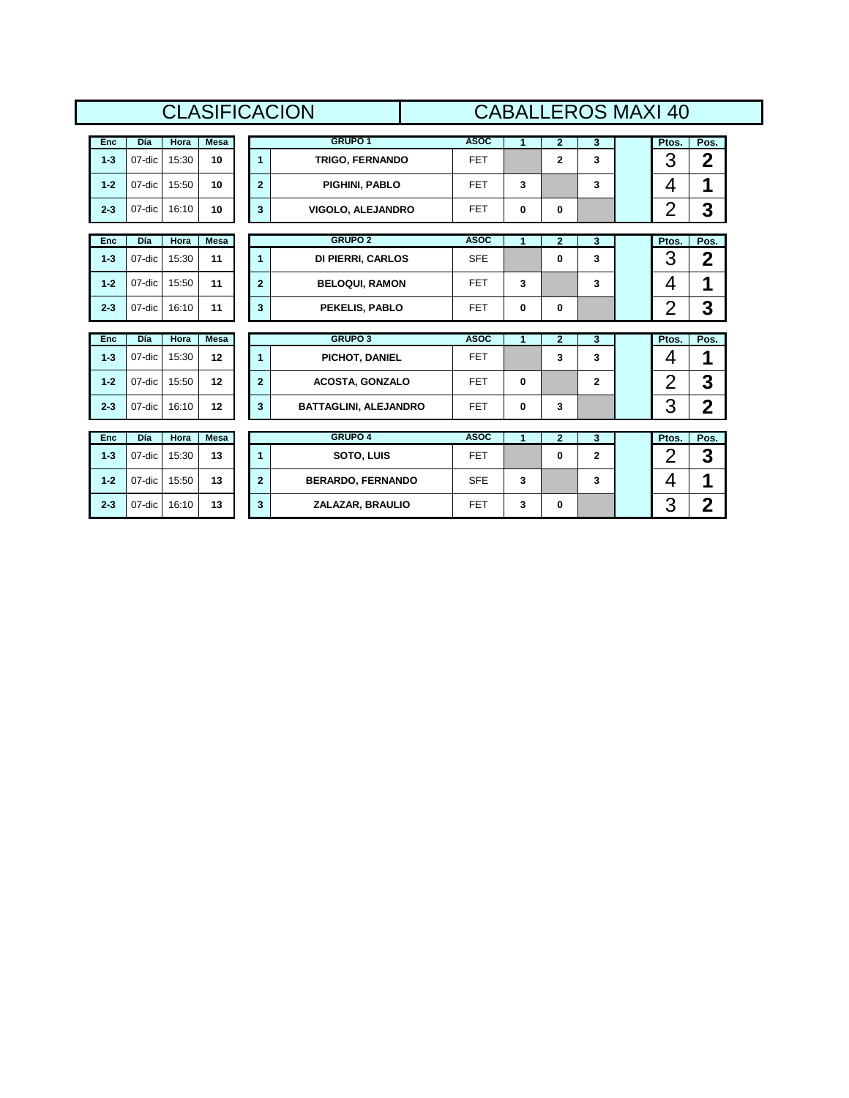|         |           |             |             |                      | <b>CLASIFICACION</b>         |             |              |                |                | <b>CABALLEROS MAXI 40</b> |                  |
|---------|-----------|-------------|-------------|----------------------|------------------------------|-------------|--------------|----------------|----------------|---------------------------|------------------|
| Enc     | Día       | Hora        | <b>Mesa</b> |                      | <b>GRUPO 1</b>               | <b>ASOC</b> | 1            | $\overline{2}$ | 3              | Ptos.                     | Pos.             |
| $1 - 3$ | 07-dic    | 15:30       | 10          | $\blacktriangleleft$ | <b>TRIGO, FERNANDO</b>       | <b>FET</b>  |              | $\mathbf{2}$   | 3              | 3                         | $\mathbf 2$      |
| $1 - 2$ | 07-dic    | 15:50       | 10          | $\overline{2}$       | PIGHINI, PABLO               | <b>FET</b>  | 3            |                | 3              | 4                         | 1                |
| $2 - 3$ | 07-dic    | 16:10       | 10          | 3                    | VIGOLO, ALEJANDRO            | <b>FET</b>  | 0            | 0              |                | $\overline{2}$            | 3                |
| Enc     | Día       | <b>Hora</b> | <b>Mesa</b> |                      | <b>GRUPO 2</b>               | <b>ASOC</b> | 1            | $\overline{2}$ | 3              | Ptos.                     | Pos.             |
| $1 - 3$ | 07-dic    | 15:30       | 11          | $\blacktriangleleft$ | DI PIERRI, CARLOS            | <b>SFE</b>  |              | 0              | 3              | 3                         | $\mathbf 2$      |
| $1 - 2$ | 07-dic    | 15:50       | 11          | $\overline{2}$       | <b>BELOQUI, RAMON</b>        | <b>FET</b>  | 3            |                | 3              | 4                         | 1                |
| $2 - 3$ | 07-dic    | 16:10       | 11          | 3                    | PEKELIS, PABLO               | <b>FET</b>  | $\mathbf{0}$ | 0              |                | $\overline{2}$            | 3                |
| Enc     | Día       | Hora        | <b>Mesa</b> |                      | <b>GRUPO 3</b>               | <b>ASOC</b> |              | $\overline{2}$ | 3              | Ptos.                     | Pos.             |
| $1 - 3$ | 07-dic    | 15:30       | 12          | $\blacktriangleleft$ | PICHOT, DANIEL               | <b>FET</b>  |              | 3              | 3              | 4                         | 1                |
| $1 - 2$ | $07$ -dic | 15:50       | 12          | $\overline{2}$       | <b>ACOSTA, GONZALO</b>       | <b>FET</b>  | $\mathbf{0}$ |                | $\mathbf{2}$   | $\overline{2}$            | 3                |
| $2 - 3$ | 07-dic    | 16:10       | 12          | 3                    | <b>BATTAGLINI, ALEJANDRO</b> | <b>FET</b>  | 0            | 3              |                | 3                         | $\overline{2}$   |
| Enc     | Día       | <b>Hora</b> | <b>Mesa</b> |                      | <b>GRUPO 4</b>               | <b>ASOC</b> | 1            | $\overline{2}$ | 3              | Ptos.                     | Pos.             |
| $1 - 3$ | 07-dic    | 15:30       | 13          | $\blacktriangleleft$ | SOTO, LUIS                   | <b>FET</b>  |              | 0              | $\overline{2}$ | $\overline{2}$            | 3                |
| $1 - 2$ | 07-dic    | 15:50       | 13          | $\overline{2}$       | <b>BERARDO, FERNANDO</b>     | <b>SFE</b>  | 3            |                | 3              | 4                         | 1                |
| $2 - 3$ | 07-dic    | 16:10       | 13          | 3                    | ZALAZAR, BRAULIO             | <b>FET</b>  | 3            | 0              |                | 3                         | $\boldsymbol{2}$ |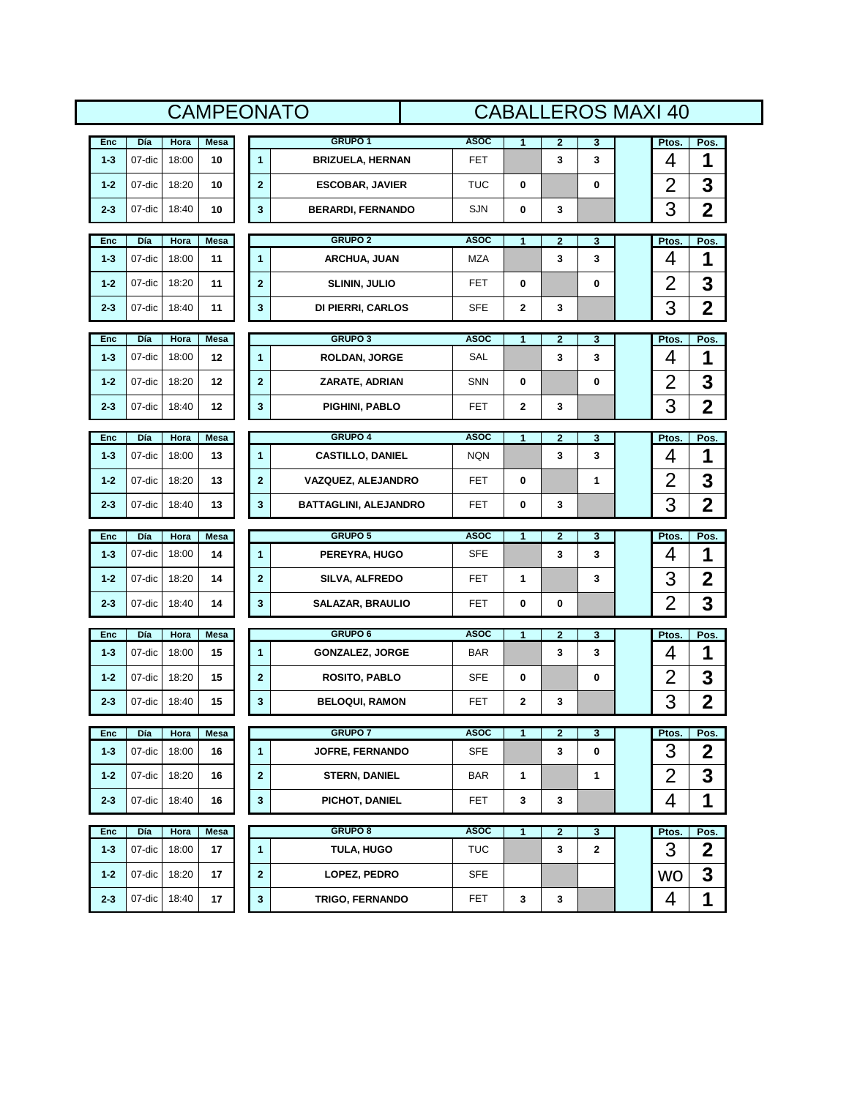| <b>CAMPEONATO</b><br><b>CABALLEROS MAXI 40</b> |               |               |             |                         |                              |             |                      |                         |                   |                |                         |  |
|------------------------------------------------|---------------|---------------|-------------|-------------------------|------------------------------|-------------|----------------------|-------------------------|-------------------|----------------|-------------------------|--|
| Enc                                            | Día           | Hora          | <b>Mesa</b> |                         | <b>GRUPO 1</b>               | <b>ASOC</b> | $\blacktriangleleft$ | $\mathbf{2}$            | 3                 | Ptos.          | Pos.                    |  |
| $1 - 3$                                        | 07-dic        | 18:00         | 10          | $\mathbf{1}$            | <b>BRIZUELA, HERNAN</b>      | <b>FET</b>  |                      | 3                       | 3                 | 4              | 1                       |  |
| $1 - 2$                                        | 07-dic        | 18:20         | 10          | $\overline{\mathbf{2}}$ | <b>ESCOBAR, JAVIER</b>       | <b>TUC</b>  | 0                    |                         | 0                 | $\overline{2}$ | 3                       |  |
| $2 - 3$                                        | 07-dic        | 18:40         | 10          | $\mathbf{3}$            | <b>BERARDI, FERNANDO</b>     | SJN         | 0                    | 3                       |                   | 3              | $\overline{\mathbf{2}}$ |  |
| Enc                                            | Día           | Hora          | Mesa        |                         | <b>GRUPO 2</b>               | <b>ASOC</b> | $\blacktriangleleft$ | $\mathbf{2}$            | 3                 | Ptos.          | Pos.                    |  |
| $1 - 3$                                        | 07-dic        | 18:00         | 11          | 1                       | ARCHUA, JUAN                 | <b>MZA</b>  |                      | 3                       | 3                 | 4              | 1                       |  |
| $1 - 2$                                        | 07-dic        | 18:20         | 11          | $\mathbf{2}$            | <b>SLININ, JULIO</b>         | <b>FET</b>  | $\mathbf 0$          |                         | 0                 | 2              | 3                       |  |
| $2 - 3$                                        | 07-dic        | 18:40         | 11          | $\mathbf{3}$            | DI PIERRI, CARLOS            | <b>SFE</b>  | $\mathbf{2}$         | 3                       |                   | 3              | $\mathbf 2$             |  |
|                                                |               |               |             |                         |                              |             |                      |                         |                   |                |                         |  |
| Enc                                            | Día           | Hora          | Mesa        |                         | <b>GRUPO 3</b>               | <b>ASOC</b> | $\blacktriangleleft$ | $\overline{2}$          | 3                 | Ptos.          | Pos.                    |  |
| $1 - 3$                                        | 07-dic        | 18:00         | 12          | $\mathbf{1}$            | <b>ROLDAN, JORGE</b>         | SAL         |                      | 3                       | 3                 | 4              | 1                       |  |
| $1 - 2$                                        | 07-dic        | 18:20         | 12          | $\mathbf{2}$            | ZARATE, ADRIAN               | <b>SNN</b>  | 0                    |                         | 0                 | $\overline{2}$ | 3                       |  |
| $2 - 3$                                        | 07-dic        | 18:40         | 12          | $\mathbf{3}$            | PIGHINI, PABLO               | <b>FET</b>  | $\mathbf{2}$         | 3                       |                   | 3              | $\overline{\mathbf{2}}$ |  |
| Enc                                            | Día           | Hora          | Mesa        |                         | <b>GRUPO 4</b>               | <b>ASOC</b> | $\blacktriangleleft$ | $\mathbf{2}$            | 3                 | Ptos.          | Pos.                    |  |
| $1 - 3$                                        | 07-dic        | 18:00         | 13          | $\mathbf{1}$            | <b>CASTILLO, DANIEL</b>      | <b>NQN</b>  |                      | 3                       | 3                 | 4              | 1                       |  |
| $1 - 2$                                        | 07-dic        | 18:20         | 13          | $\mathbf{2}$            | VAZQUEZ, ALEJANDRO           | FET         | $\bf{0}$             |                         | 1                 | $\overline{2}$ | 3                       |  |
| $2 - 3$                                        | 07-dic        | 18:40         | 13          | $\mathbf{3}$            | <b>BATTAGLINI, ALEJANDRO</b> | FET         | $\mathbf 0$          | 3                       |                   | 3              | $\overline{\mathbf{2}}$ |  |
| Enc                                            | Día           | Hora          | Mesa        |                         | <b>GRUPO 5</b>               | <b>ASOC</b> | $\blacktriangleleft$ | $\overline{\mathbf{2}}$ | 3                 | Ptos.          | Pos.                    |  |
| $1 - 3$                                        | 07-dic        | 18:00         | 14          | $\mathbf{1}$            | PEREYRA, HUGO                | <b>SFE</b>  |                      | 3                       | 3                 | 4              | 1                       |  |
| $1 - 2$                                        | 07-dic        | 18:20         | 14          | $\overline{2}$          | SILVA, ALFREDO               | <b>FET</b>  | $\mathbf{1}$         |                         | 3                 | 3              | $\mathbf{2}$            |  |
| $2 - 3$                                        | 07-dic        | 18:40         | 14          | 3                       | <b>SALAZAR, BRAULIO</b>      | <b>FET</b>  | $\mathbf 0$          | 0                       |                   | $\overline{2}$ | 3                       |  |
|                                                |               |               |             |                         |                              |             |                      |                         |                   |                |                         |  |
| Enc                                            | Día           | Hora          | Mesa        |                         | <b>GRUPO 6</b>               | <b>ASOC</b> | $\blacktriangleleft$ | $\overline{2}$          | $\mathbf{3}$      | Ptos.          | Pos.                    |  |
| $1 - 3$                                        | 07-dic        | 18:00         | 15          | $\mathbf{1}$            | <b>GONZALEZ, JORGE</b>       | <b>BAR</b>  |                      | 3                       | 3                 | 4              | 1                       |  |
| $1 - 2$                                        | 07-dic        | 18:20         | 15          | $\mathbf{2}$            | <b>ROSITO, PABLO</b>         | <b>SFE</b>  | $\bf{0}$             |                         | 0                 | $\overline{2}$ | 3                       |  |
| $2 - 3$                                        | 07-dic        | 18:40         | 15          | 3                       | <b>BELOQUI, RAMON</b>        | <b>FET</b>  | $\mathbf 2$          | 3                       |                   | 3              | $\overline{2}$          |  |
| Enc                                            | Día           | Hora          | Mesa        |                         | <b>GRUPO 7</b>               | <b>ASOC</b> | $\blacktriangleleft$ | $\bf{2}$                | $\mathbf{3}$      | Ptos.          | Pos.                    |  |
| $1 - 3$                                        | 07-dic        | 18:00         | 16          | $\mathbf{1}$            | <b>JOFRE, FERNANDO</b>       | <b>SFE</b>  |                      | 3                       | 0                 | 3              | $\mathbf 2$             |  |
| $1 - 2$                                        | 07-dic        | 18:20         | 16          | $\mathbf{2}$            | <b>STERN, DANIEL</b>         | <b>BAR</b>  | 1                    |                         | 1                 | $\overline{2}$ | 3                       |  |
| $2 - 3$                                        | 07-dic        | 18:40         | 16          | $\mathbf{3}$            | PICHOT, DANIEL               | FET         | $\mathbf{3}$         | 3                       |                   | 4              | 1                       |  |
|                                                |               |               |             |                         |                              | <b>ASOC</b> |                      |                         |                   |                |                         |  |
|                                                |               |               |             |                         |                              |             |                      |                         |                   |                |                         |  |
| Enc<br>$1 - 3$                                 | Día<br>07-dic | Hora<br>18:00 | Mesa<br>17  | 1                       | <b>GRUPO 8</b><br>TULA, HUGO | <b>TUC</b>  | 1                    | $\mathbf{2}$<br>3       | 3<br>$\mathbf{2}$ | Ptos.<br>3     | Pos.                    |  |
| $1 - 2$                                        | 07-dic        | 18:20         | 17          | $\mathbf{2}$            | LOPEZ, PEDRO                 | <b>SFE</b>  |                      |                         |                   | <b>WO</b>      | $\mathbf 2$<br>3        |  |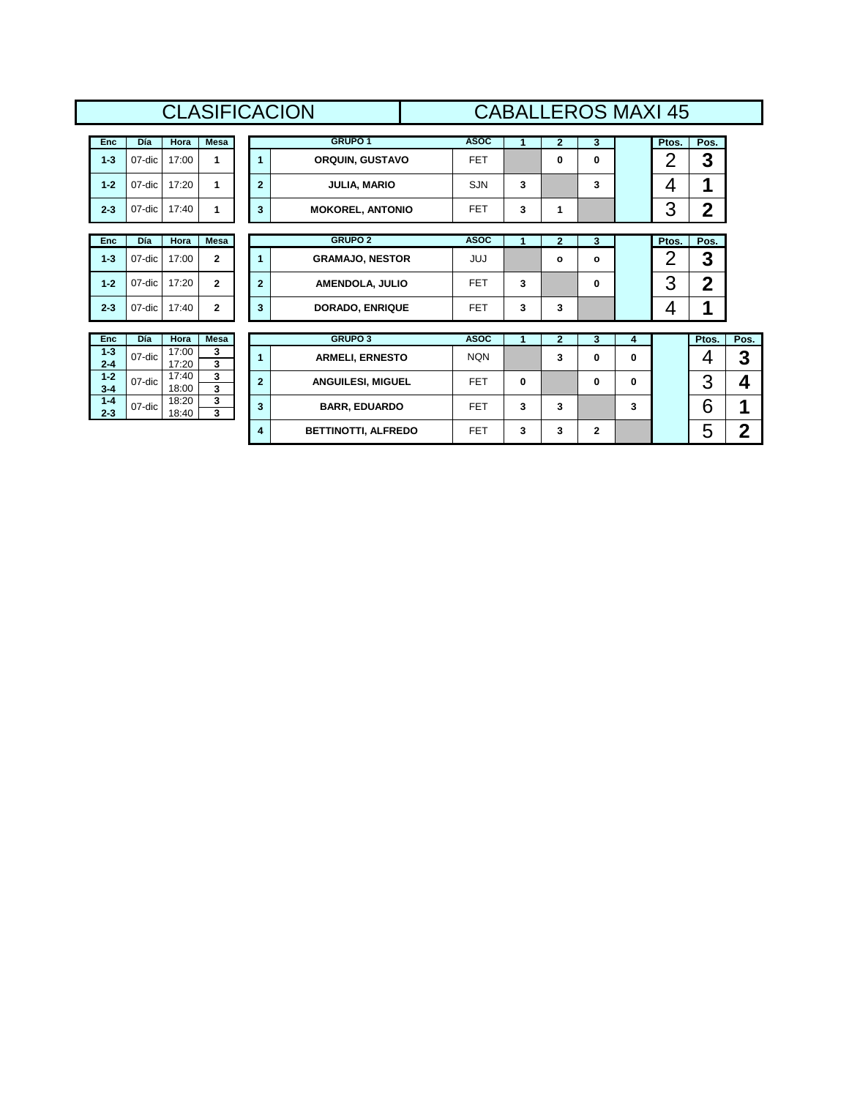| <b>CLASIFICACION</b> | <b>CABALLEROS MAXI 45</b> |
|----------------------|---------------------------|
|                      |                           |

**GRUPO 1** 

| Enc     | Día    | Hora  | Mesa |
|---------|--------|-------|------|
| $1 - 3$ | 07-dic | 17:00 |      |
| $1 - 2$ | 07-dic | 17:20 |      |
| $2 - 3$ | 07-dic | 17:40 |      |

| <b>Enc</b> | Día    | Hora  | <b>Mesa</b> |
|------------|--------|-------|-------------|
| $1 - 3$    | 07-dic | 17:00 | 2           |
| $1 - 2$    | 07-dic | 17:20 | 2           |
| $2 - 3$    | 07-dic | 17:40 | 2           |

| Enc     | Día    | Hora  | Mesa |
|---------|--------|-------|------|
| $1 - 3$ | 07-dic | 17:00 | 3    |
| $2 - 4$ |        | 17:20 | 3    |
| $1 - 2$ | 07-dic | 17.40 | 3    |
| $3 - 4$ |        | 18:00 | 3    |
| $1 - 4$ | 07-dic | 18.20 | 3    |
| $2 - 3$ |        | 18:40 | 3    |

| $1 - 3$ | 07-dic     | 17:00 |              |                | <b>ORQUIN, GUSTAVO</b>  | <b>FET</b>  |   | 0       | 0       |   |       | 3     |      |
|---------|------------|-------|--------------|----------------|-------------------------|-------------|---|---------|---------|---|-------|-------|------|
| $1 - 2$ | 07-dic     | 17:20 |              | $\overline{2}$ | <b>JULIA, MARIO</b>     | <b>SJN</b>  | 3 |         | 3       |   |       |       |      |
| $2 - 3$ | 07-dic     | 17:40 |              | 3              | <b>MOKOREL, ANTONIO</b> | <b>FET</b>  | 3 | 1       |         |   | ◠     | ኅ     |      |
|         |            |       |              |                |                         |             |   |         |         |   |       |       |      |
| Enc     | Día        | Hora  | <b>Mesa</b>  |                | <b>GRUPO 2</b>          | <b>ASOC</b> |   | 2       |         |   | Ptos. | Pos.  |      |
| $1 - 3$ | 07-dic     | 17:00 | $\mathbf{2}$ |                | <b>GRAMAJO, NESTOR</b>  | JUJ.        |   | $\circ$ | $\circ$ |   |       | 3     |      |
| $1 - 2$ | 07-dic     | 17:20 | $\mathbf{2}$ | $\overline{2}$ | AMENDOLA, JULIO         | <b>FET</b>  | 3 |         | 0       |   | 3     | ኅ     |      |
| $2 - 3$ | 07-dic     | 17:40 | $\mathbf{2}$ | 3              | <b>DORADO, ENRIQUE</b>  | <b>FET</b>  | 3 | 3       |         |   |       |       |      |
|         |            |       |              |                |                         |             |   |         |         |   |       |       |      |
| Enc     | <b>Día</b> | Hora  | <b>Mesa</b>  |                | <b>GRUPO 3</b>          | <b>ASOC</b> |   | 2       | 3       | 4 |       | Ptos. | Pos. |
| $\sim$  |            | 17.00 | $\sim$       |                |                         |             |   |         |         |   |       |       |      |

**Enc Día Hora Mesa 1 2 3 Ptos. Pos.**

| Dia.   | пога  | mesa   |   | <b>UNUFUJ</b>              | ASUU.      |   |  | 4 | PIOS. | ros. |
|--------|-------|--------|---|----------------------------|------------|---|--|---|-------|------|
| 07-dic | 17:00 | 3      |   | <b>ARMELI, ERNESTO</b>     | <b>NQN</b> |   |  | 0 |       |      |
|        | 17:20 | ີ      |   |                            |            |   |  |   |       |      |
| 07-dic | 17:40 | 3      | 2 | <b>ANGUILESI, MIGUEL</b>   | <b>FET</b> | O |  | 0 | ◠     |      |
|        | 18:00 | 3      |   |                            |            |   |  |   | w     |      |
| 07-dic | 18:20 | 3      | 3 | <b>BARR, EDUARDO</b>       | <b>FET</b> | 3 |  |   |       |      |
|        | 18:40 | ີ<br>c |   |                            |            |   |  | u |       |      |
|        |       |        | 4 | <b>BETTINOTTI, ALFREDO</b> | <b>FET</b> | 3 |  |   | ∽     |      |
|        |       |        |   |                            |            |   |  |   | w     |      |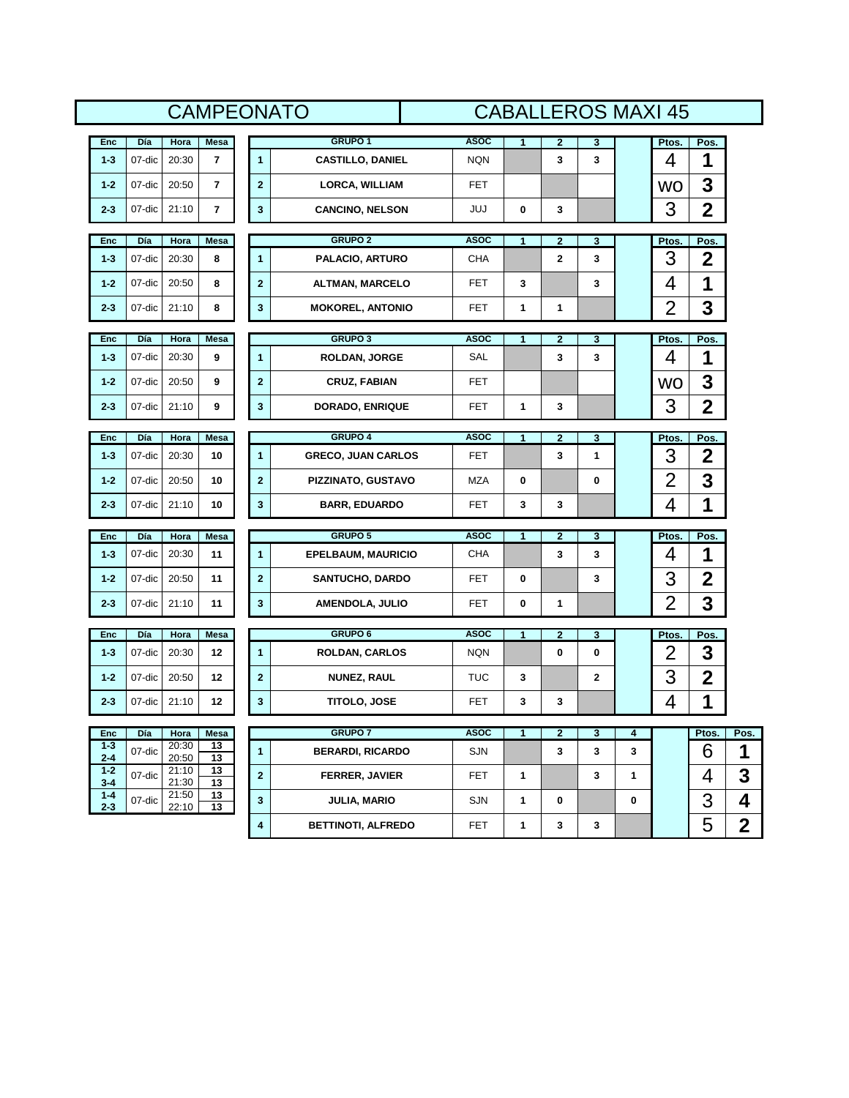|                    |           |                |                |                         | <b>CAMPEONATO</b>         | <b>CABALLEROS MAXI 45</b> |                      |                              |              |              |                |                |                  |  |  |
|--------------------|-----------|----------------|----------------|-------------------------|---------------------------|---------------------------|----------------------|------------------------------|--------------|--------------|----------------|----------------|------------------|--|--|
| Enc                | Día       | Hora           | Mesa           |                         | <b>GRUPO 1</b>            | <b>ASOC</b>               | $\blacktriangleleft$ | $\mathbf{2}$                 | 3            |              | Ptos.          | Pos.           |                  |  |  |
| $1 - 3$            | 07-dic    | 20:30          | $\overline{7}$ | $\mathbf{1}$            | <b>CASTILLO, DANIEL</b>   | <b>NQN</b>                |                      | 3                            | 3            |              | 4              | 1              |                  |  |  |
| $1 - 2$            | 07-dic    | 20:50          | $\overline{7}$ | $\mathbf{2}$            | <b>LORCA, WILLIAM</b>     | <b>FET</b>                |                      |                              |              |              | <b>WO</b>      | 3              |                  |  |  |
| $2 - 3$            | 07-dic    | 21:10          | $\overline{7}$ | $\mathbf{3}$            | <b>CANCINO, NELSON</b>    | JUJ                       | 0                    | 3                            |              |              | 3              | $\mathbf 2$    |                  |  |  |
| Enc                | Día       | Hora           | Mesa           |                         | <b>GRUPO 2</b>            | <b>ASOC</b>               | 1                    | $\mathbf{2}$                 | 3            |              | Ptos.          | Pos.           |                  |  |  |
| $1 - 3$            | 07-dic    | 20:30          | 8              | $\blacktriangleleft$    | PALACIO, ARTURO           | <b>CHA</b>                |                      | $\mathbf 2$                  | 3            |              | 3              | $\overline{2}$ |                  |  |  |
| $1 - 2$            | 07-dic    | 20:50          | 8              | $\mathbf{2}$            | <b>ALTMAN, MARCELO</b>    | <b>FET</b>                | 3                    |                              | 3            |              | 4              | 1              |                  |  |  |
| $2 - 3$            | 07-dic    | 21:10          | 8              | $\mathbf{3}$            | <b>MOKOREL, ANTONIO</b>   | <b>FET</b>                | 1                    | 1                            |              |              | $\overline{2}$ | 3              |                  |  |  |
| Enc                | Día       | Hora           | Mesa           |                         | <b>GRUPO 3</b>            | <b>ASOC</b>               | $\overline{1}$       | $\overline{2}$               | 3            |              | Ptos.          | Pos.           |                  |  |  |
| $1 - 3$            | 07-dic    | 20:30          | 9              | $\mathbf{1}$            | ROLDAN, JORGE             | SAL                       |                      | 3                            | 3            |              | 4              | 1              |                  |  |  |
| $1 - 2$            | 07-dic    | 20:50          | 9              | $\overline{\mathbf{2}}$ | <b>CRUZ, FABIAN</b>       | FET                       |                      |                              |              |              | <b>WO</b>      | 3              |                  |  |  |
| $2 - 3$            | 07-dic    | 21:10          | 9              | 3                       | <b>DORADO, ENRIQUE</b>    | <b>FET</b>                | 1                    | 3                            |              |              | 3              | $\mathbf 2$    |                  |  |  |
| Enc                | Día       | Hora           | Mesa           |                         | GRUPO 4                   | <b>ASOC</b>               | 1                    | $\overline{2}$               | 3            |              | Ptos.          | Pos.           |                  |  |  |
| $1 - 3$            | 07-dic    | 20:30          | 10             | $\mathbf{1}$            | <b>GRECO, JUAN CARLOS</b> | <b>FET</b>                |                      | 3                            | 1            |              | 3              | $\mathbf 2$    |                  |  |  |
| $1 - 2$            | 07-dic    | 20:50          | 10             | $\mathbf{2}$            | PIZZINATO, GUSTAVO        | <b>MZA</b>                | 0                    |                              | 0            |              | $\overline{2}$ | 3              |                  |  |  |
| $2 - 3$            | 07-dic    | 21:10          | 10             | $\mathbf{3}$            | <b>BARR, EDUARDO</b>      | <b>FET</b>                | 3                    | 3                            |              |              | $\overline{4}$ | 1              |                  |  |  |
| Enc                | Día       | Hora           | Mesa           |                         | <b>GRUPO 5</b>            | <b>ASOC</b>               | $\mathbf{1}$         | $\overline{2}$               | 3            |              | Ptos.          | Pos.           |                  |  |  |
| $1 - 3$            | 07-dic    | 20:30          | 11             | $\blacktriangleleft$    | <b>EPELBAUM, MAURICIO</b> | CHA                       |                      | 3                            | 3            |              | 4              | 1              |                  |  |  |
| $1 - 2$            | 07-dic    | 20:50          | 11             | $\mathbf{2}$            | <b>SANTUCHO, DARDO</b>    | <b>FET</b>                | 0                    |                              | 3            |              | 3              | $\mathbf 2$    |                  |  |  |
| $2 - 3$            | 07-dic    | 21:10          | 11             | $\mathbf{3}$            | AMENDOLA, JULIO           | FET                       | 0                    | 1                            |              |              | $\overline{2}$ | 3              |                  |  |  |
| Enc                | Día       | Hora           | Mesa           |                         | <b>GRUPO 6</b>            | <b>ASOC</b>               | $\mathbf{1}$         | $\overline{2}$               | $\mathbf{3}$ |              | Ptos.          | Pos.           |                  |  |  |
| $1 - 3$            | 07-dic    | 20:30          | 12             | $\mathbf{1}$            | <b>ROLDAN, CARLOS</b>     | <b>NQN</b>                |                      | $\mathbf 0$                  | $\mathbf 0$  |              | $\overline{2}$ | 3              |                  |  |  |
| $1 - 2$            | 07-dic    | 20:50          | 12             | $\mathbf{2}$            | <b>NUNEZ, RAUL</b>        | <b>TUC</b>                | 3                    |                              | 2            |              | 3              | $\overline{2}$ |                  |  |  |
| $2 - 3$            | $07$ -dic | 21:10          | 12             | 3                       | TITOLO, JOSE              | FET                       | 3                    | 3                            |              |              | 4              | 1              |                  |  |  |
| Enc                | Día       | Hora           | Mesa           |                         | <b>GRUPO 7</b>            | <b>ASOC</b>               | $\mathbf{1}$         |                              |              |              |                |                |                  |  |  |
| $1 - 3$            | 07-dic    | 20:30          | 13             | $\blacktriangleleft$    | <b>BERARDI, RICARDO</b>   | <b>SJN</b>                |                      | $\mathbf{2}$<br>$\mathbf{3}$ | 3<br>3       | 4<br>3       |                | Ptos.<br>6     | Pos.<br>1        |  |  |
| $2 - 4$<br>$1 - 2$ | 07-dic    | 20:50<br>21:10 | 13<br>13       | $\mathbf{2}$            | <b>FERRER, JAVIER</b>     | FET                       | $\mathbf{1}$         |                              | 3            | $\mathbf{1}$ |                | 4              | 3                |  |  |
| $3 - 4$<br>$1 - 4$ | 07-dic    | 21:30<br>21:50 | 13<br>13       | $\mathbf{3}$            | <b>JULIA, MARIO</b>       | <b>SJN</b>                | $\mathbf{1}$         | 0                            |              | 0            |                | 3              | 4                |  |  |
| $2 - 3$            |           | 22:10          | 13             | 4                       | <b>BETTINOTI, ALFREDO</b> | FET                       | $\mathbf{1}$         | 3                            | 3            |              |                | 5              | $\boldsymbol{2}$ |  |  |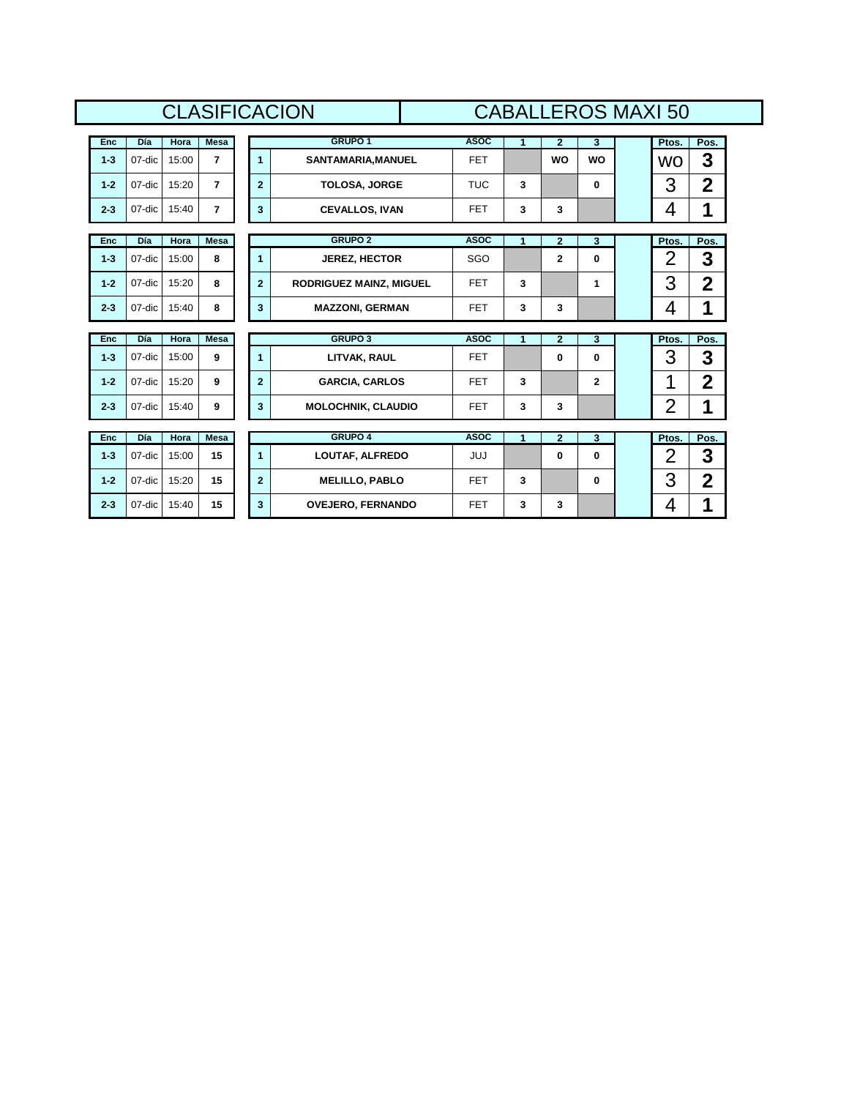|            |           |             |                | <b>CLASIFICACION</b>                             | <b>CABALLEROS MAXI 50</b> |             |                |                |              |  |                |                |  |
|------------|-----------|-------------|----------------|--------------------------------------------------|---------------------------|-------------|----------------|----------------|--------------|--|----------------|----------------|--|
| Enc        | Día       | Hora        | <b>Mesa</b>    | <b>GRUPO 1</b>                                   |                           | <b>ASOC</b> | 1              | $\overline{2}$ | 3            |  | Ptos.          | Pos.           |  |
| $1 - 3$    | 07-dic    | 15:00       | $\overline{7}$ | $\mathbf{1}$<br>SANTAMARIA, MANUEL               |                           | <b>FET</b>  |                | <b>WO</b>      | <b>WO</b>    |  | <b>WO</b>      | 3              |  |
| $1 - 2$    | $07$ -dic | 15:20       | $\overline{7}$ | $\overline{2}$<br><b>TOLOSA, JORGE</b>           |                           | <b>TUC</b>  | 3              |                | 0            |  | 3              | $\mathbf 2$    |  |
| $2 - 3$    | 07-dic    | 15:40       | $\overline{7}$ | 3<br><b>CEVALLOS, IVAN</b>                       |                           | <b>FET</b>  | 3              | 3              |              |  | 4              | 1              |  |
| Enc        | Día       | <b>Hora</b> | <b>Mesa</b>    | <b>GRUPO 2</b>                                   |                           | <b>ASOC</b> | $\blacksquare$ | $\mathbf{2}$   | 3            |  | Ptos.          | Pos.           |  |
| $1 - 3$    | 07-dic    | 15:00       | 8              | <b>JEREZ, HECTOR</b><br>1                        |                           | SGO         |                | $\mathbf{2}$   | 0            |  | $\overline{2}$ | 3              |  |
| $1 - 2$    | $07$ -dic | 15:20       | 8              | $\overline{2}$<br><b>RODRIGUEZ MAINZ, MIGUEL</b> |                           | <b>FET</b>  | 3              |                | 1            |  | 3              | $\overline{2}$ |  |
| $2 - 3$    | 07-dic    | 15:40       | 8              | 3<br><b>MAZZONI, GERMAN</b>                      |                           | <b>FET</b>  | 3              | 3              |              |  | 4              | 1              |  |
| Enc        | Día       | Hora        | <b>Mesa</b>    | <b>GRUPO 3</b>                                   |                           | <b>ASOC</b> | 1              | $\overline{2}$ | 3            |  | Ptos.          | Pos.           |  |
| $1 - 3$    | 07-dic    | 15:00       | 9              | 1<br>LITVAK, RAUL                                |                           | <b>FET</b>  |                | 0              | 0            |  | 3              | 3              |  |
| $1 - 2$    | 07-dic    | 15:20       | 9              | $\overline{2}$<br><b>GARCIA, CARLOS</b>          |                           | <b>FET</b>  | 3              |                | $\mathbf{2}$ |  | 1              | $\mathbf{2}$   |  |
| $2 - 3$    | 07-dic    | 15:40       | 9              | 3<br><b>MOLOCHNIK, CLAUDIO</b>                   |                           | <b>FET</b>  | 3              | 3              |              |  | $\overline{2}$ | 1              |  |
|            |           |             |                |                                                  |                           |             |                |                |              |  |                |                |  |
| <b>Enc</b> | Día       | Hora        | <b>Mesa</b>    | <b>GRUPO 4</b>                                   |                           | <b>ASOC</b> | 1              | $\overline{2}$ | 3            |  | Ptos.          | Pos.           |  |
| $1 - 3$    | 07-dic    | 15:00       | 15             | 1<br><b>LOUTAF, ALFREDO</b>                      |                           | <b>JUJ</b>  |                | $\Omega$       | 0            |  | 2              | 3              |  |
| $1 - 2$    | 07-dic    | 15:20       | 15             | $\overline{2}$<br><b>MELILLO, PABLO</b>          |                           | <b>FET</b>  | 3              |                | 0            |  | 3              | $\mathbf 2$    |  |
| $2 - 3$    | 07-dic    | 15:40       | 15             | 3 <sup>1</sup><br><b>OVEJERO, FERNANDO</b>       |                           | <b>FET</b>  | 3              | 3              |              |  | 4              | 1              |  |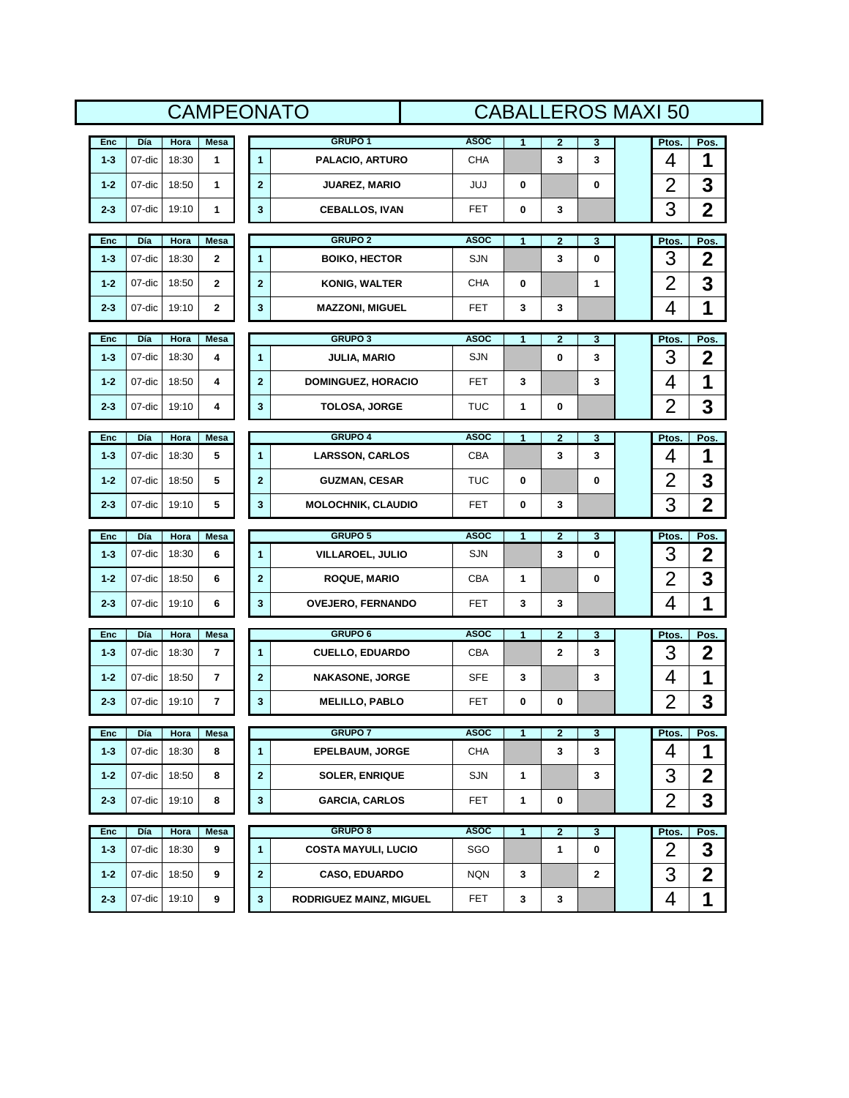| <b>CAMPEONATO</b><br><b>CABALLEROS MAXI 50</b> |            |       |                |  |                         |                            |  |             |                      |                |              |                |                         |  |
|------------------------------------------------|------------|-------|----------------|--|-------------------------|----------------------------|--|-------------|----------------------|----------------|--------------|----------------|-------------------------|--|
| Enc                                            | Día        | Hora  | <b>Mesa</b>    |  |                         | <b>GRUPO 1</b>             |  | <b>ASOC</b> | 1                    | $\mathbf{2}$   | 3            | Ptos.          | Pos.                    |  |
| $1 - 3$                                        | 07-dic     | 18:30 | 1              |  | $\mathbf{1}$            | PALACIO, ARTURO            |  | <b>CHA</b>  |                      | 3              | 3            | 4              | 1                       |  |
| $1 - 2$                                        | 07-dic     | 18:50 | 1              |  | $\overline{\mathbf{2}}$ | <b>JUAREZ, MARIO</b>       |  | JUJ         | 0                    |                | 0            | $\overline{2}$ | 3                       |  |
| $2 - 3$                                        | 07-dic     | 19:10 | 1              |  | 3                       | <b>CEBALLOS, IVAN</b>      |  | FET         | 0                    | 3              |              | 3              | $\mathbf{2}$            |  |
| Enc                                            | Día        | Hora  | Mesa           |  |                         | <b>GRUPO 2</b>             |  | <b>ASOC</b> | 1                    | $\mathbf{2}$   | 3            | Ptos.          | Pos.                    |  |
| $1 - 3$                                        | 07-dic     | 18:30 | $\mathbf{2}$   |  | $\mathbf{1}$            | <b>BOIKO, HECTOR</b>       |  | <b>SJN</b>  |                      | 3              | $\mathbf 0$  | 3              | $\mathbf 2$             |  |
| $1 - 2$                                        | 07-dic     | 18:50 | $\mathbf{2}$   |  | $\mathbf{2}$            | <b>KONIG, WALTER</b>       |  | <b>CHA</b>  | 0                    |                | 1            | $\overline{2}$ | 3                       |  |
| $2 - 3$                                        | 07-dic     | 19:10 | 2              |  | $\mathbf{3}$            | <b>MAZZONI, MIGUEL</b>     |  | FET         | 3                    | 3              |              | 4              | 1                       |  |
|                                                |            |       |                |  |                         |                            |  |             |                      |                |              |                |                         |  |
| Enc                                            | Día        | Hora  | Mesa           |  |                         | <b>GRUPO 3</b>             |  | <b>ASOC</b> | 1                    | $\overline{2}$ | 3            | Ptos.          | Pos.                    |  |
| $1 - 3$                                        | 07-dic     | 18:30 | 4              |  | $\mathbf{1}$            | <b>JULIA, MARIO</b>        |  | <b>SJN</b>  |                      | 0              | 3            | 3              | $\mathbf 2$             |  |
| $1 - 2$                                        | 07-dic     | 18:50 | 4              |  | $\mathbf{2}$            | <b>DOMINGUEZ, HORACIO</b>  |  | FET         | 3                    |                | 3            | 4              | 1                       |  |
| $2 - 3$                                        | 07-dic     | 19:10 | 4              |  | $\mathbf{3}$            | <b>TOLOSA, JORGE</b>       |  | <b>TUC</b>  | $\mathbf{1}$         | 0              |              | $\overline{2}$ | 3                       |  |
| <b>Enc</b>                                     | <b>Día</b> | Hora  | Mesa           |  |                         | <b>GRUPO 4</b>             |  | <b>ASOC</b> | 1                    | $\overline{2}$ | 3            | Ptos.          | Pos.                    |  |
| $1 - 3$                                        | 07-dic     | 18:30 | 5              |  | $\mathbf{1}$            | <b>LARSSON, CARLOS</b>     |  | <b>CBA</b>  |                      | 3              | 3            | 4              | 1                       |  |
| $1 - 2$                                        | 07-dic     | 18:50 | 5              |  | $\mathbf{2}$            | <b>GUZMAN, CESAR</b>       |  | <b>TUC</b>  | 0                    |                | 0            | $\overline{2}$ | 3                       |  |
| $2 - 3$                                        | 07-dic     | 19:10 | 5              |  | $\mathbf{3}$            | <b>MOLOCHNIK, CLAUDIO</b>  |  | FET         | 0                    | 3              |              | 3              | $\overline{\mathbf{2}}$ |  |
| Enc                                            | Día        | Hora  | Mesa           |  |                         | <b>GRUPO 5</b>             |  | <b>ASOC</b> | 1                    | $\overline{2}$ | 3            | Ptos.          | Pos.                    |  |
| $1 - 3$                                        | 07-dic     | 18:30 | 6              |  | $\mathbf{1}$            | <b>VILLAROEL, JULIO</b>    |  | <b>SJN</b>  |                      | 3              | $\mathbf{0}$ | 3              | $\mathbf{2}$            |  |
| $1 - 2$                                        | 07-dic     | 18:50 | 6              |  | $\overline{2}$          | <b>ROQUE, MARIO</b>        |  | <b>CBA</b>  | $\mathbf{1}$         |                | 0            | $\overline{2}$ | 3                       |  |
| $2 - 3$                                        | 07-dic     | 19:10 | 6              |  | $\mathbf{3}$            | <b>OVEJERO, FERNANDO</b>   |  | <b>FET</b>  | 3                    | 3              |              | 4              | 1                       |  |
| Enc                                            | Día        | Hora  | Mesa           |  |                         | <b>GRUPO 6</b>             |  | <b>ASOC</b> | $\blacktriangleleft$ | $\overline{2}$ | $\mathbf{3}$ | Ptos.          | Pos.                    |  |
| $1 - 3$                                        | 07-dic     | 18:30 | $\overline{7}$ |  | $\mathbf{1}$            | <b>CUELLO, EDUARDO</b>     |  | <b>CBA</b>  |                      | $\mathbf{2}$   | 3            | 3              | $\mathbf 2$             |  |
| $1 - 2$                                        | 07-dic     | 18:50 | $\overline{7}$ |  | $\mathbf{2}$            | <b>NAKASONE, JORGE</b>     |  | <b>SFE</b>  | 3                    |                | 3            | 4              | 1                       |  |
| $2 - 3$                                        | 07-dic     | 19:10 | 7              |  | 3                       | <b>MELILLO, PABLO</b>      |  | FET         | 0                    | 0              |              | $\overline{2}$ | 3                       |  |
|                                                |            |       |                |  |                         |                            |  |             |                      |                |              |                |                         |  |
| Enc                                            | Día        | Hora  | Mesa           |  |                         | <b>GRUPO 7</b>             |  | <b>ASOC</b> | $\blacktriangleleft$ | $\mathbf{2}$   | $\mathbf{3}$ | Ptos.          | Pos.                    |  |
| $1 - 3$                                        | 07-dic     | 18:30 | 8              |  | $\blacktriangleleft$    | <b>EPELBAUM, JORGE</b>     |  | CHA         |                      | 3              | 3            | 4              | 1                       |  |
| $1 - 2$                                        | 07-dic     | 18:50 | 8              |  | $\mathbf{2}$            | <b>SOLER, ENRIQUE</b>      |  | SJN         | 1                    |                | 3            | 3              | $\mathbf 2$             |  |
| $2 - 3$                                        | 07-dic     | 19:10 | 8              |  | 3                       | <b>GARCIA, CARLOS</b>      |  | FET         | 1                    | 0              |              | $\overline{2}$ | 3                       |  |
| Enc                                            | Día        | Hora  | Mesa           |  |                         | <b>GRUPO 8</b>             |  | <b>ASOC</b> | $\mathbf{1}$         | $\mathbf{2}$   | 3            | Ptos.          | Pos.                    |  |
| $1 - 3$                                        | 07-dic     | 18:30 | 9              |  | $\mathbf{1}$            | <b>COSTA MAYULI, LUCIO</b> |  | SGO         |                      | 1              | 0            | $\overline{2}$ | 3                       |  |
| $1 - 2$                                        | 07-dic     | 18:50 | 9              |  | 2                       | <b>CASO, EDUARDO</b>       |  | <b>NQN</b>  | 3                    |                | 2            | 3              | $\mathbf 2$             |  |
|                                                |            |       |                |  |                         |                            |  |             |                      |                |              |                |                         |  |